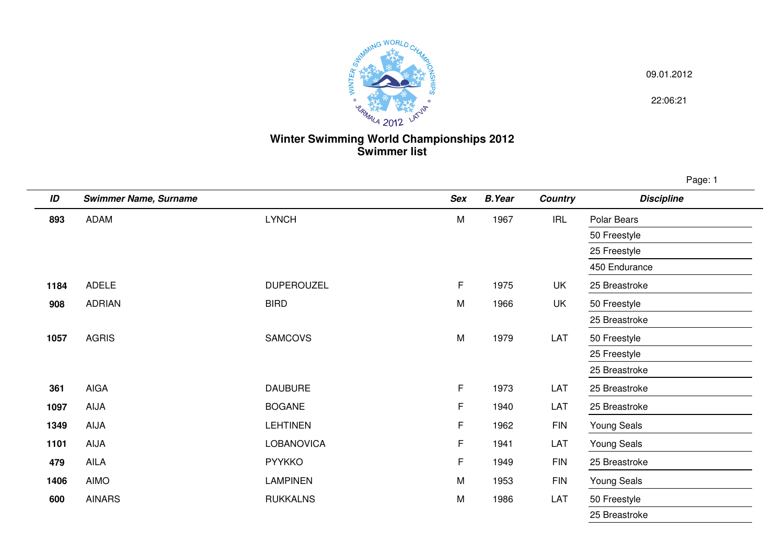

09.01.2012

22:06:21

## **Winter Swimming World Championships 2012 Swimmer list**

Page: 1

| ID   | <b>Swimmer Name, Surname</b> |                   | <b>Sex</b> | <b>B.Year</b> | <b>Country</b> | <b>Discipline</b>  |
|------|------------------------------|-------------------|------------|---------------|----------------|--------------------|
| 893  | ADAM                         | <b>LYNCH</b>      | M          | 1967          | <b>IRL</b>     | Polar Bears        |
|      |                              |                   |            |               |                | 50 Freestyle       |
|      |                              |                   |            |               |                | 25 Freestyle       |
|      |                              |                   |            |               |                | 450 Endurance      |
| 1184 | <b>ADELE</b>                 | <b>DUPEROUZEL</b> | F.         | 1975          | UK             | 25 Breastroke      |
| 908  | <b>ADRIAN</b>                | <b>BIRD</b>       | M          | 1966          | UK             | 50 Freestyle       |
|      |                              |                   |            |               |                | 25 Breastroke      |
| 1057 | <b>AGRIS</b>                 | <b>SAMCOVS</b>    | M          | 1979          | LAT            | 50 Freestyle       |
|      |                              |                   |            |               |                | 25 Freestyle       |
|      |                              |                   |            |               |                | 25 Breastroke      |
| 361  | <b>AIGA</b>                  | <b>DAUBURE</b>    | F          | 1973          | LAT            | 25 Breastroke      |
| 1097 | AIJA                         | <b>BOGANE</b>     | F          | 1940          | LAT            | 25 Breastroke      |
| 1349 | AIJA                         | <b>LEHTINEN</b>   | F          | 1962          | <b>FIN</b>     | <b>Young Seals</b> |
| 1101 | AIJA                         | LOBANOVICA        | F          | 1941          | LAT            | <b>Young Seals</b> |
| 479  | AILA                         | <b>PYYKKO</b>     | F          | 1949          | <b>FIN</b>     | 25 Breastroke      |
| 1406 | <b>AIMO</b>                  | <b>LAMPINEN</b>   | ${\sf M}$  | 1953          | <b>FIN</b>     | <b>Young Seals</b> |
| 600  | <b>AINARS</b>                | <b>RUKKALNS</b>   | M          | 1986          | LAT            | 50 Freestyle       |
|      |                              |                   |            |               |                | 25 Breastroke      |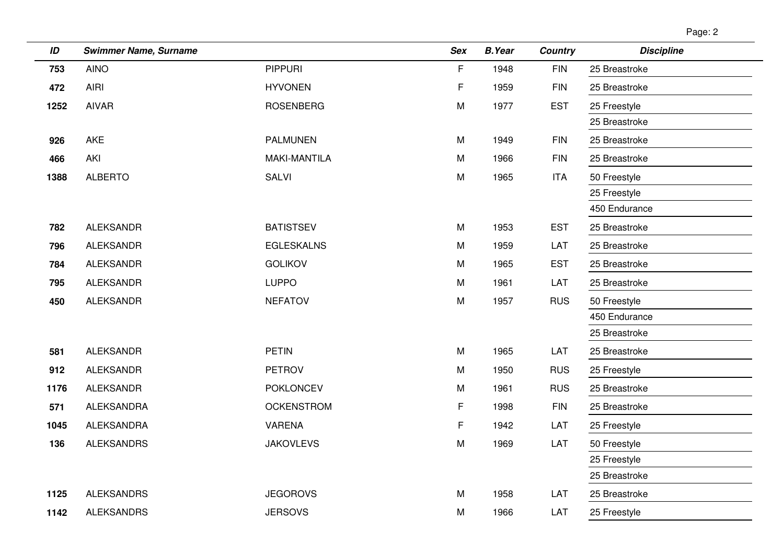| ın<br>ıc |  |
|----------|--|
|----------|--|

| ID   | <b>Swimmer Name, Surname</b> |                     | <b>Sex</b> | <b>B.Year</b> | <b>Country</b> | <b>Discipline</b> |
|------|------------------------------|---------------------|------------|---------------|----------------|-------------------|
| 753  | <b>AINO</b>                  | <b>PIPPURI</b>      | F          | 1948          | <b>FIN</b>     | 25 Breastroke     |
| 472  | <b>AIRI</b>                  | <b>HYVONEN</b>      | F          | 1959          | <b>FIN</b>     | 25 Breastroke     |
| 1252 | <b>AIVAR</b>                 | <b>ROSENBERG</b>    | M          | 1977          | <b>EST</b>     | 25 Freestyle      |
|      |                              |                     |            |               |                | 25 Breastroke     |
| 926  | AKE                          | <b>PALMUNEN</b>     | M          | 1949          | <b>FIN</b>     | 25 Breastroke     |
| 466  | AKI                          | <b>MAKI-MANTILA</b> | M          | 1966          | <b>FIN</b>     | 25 Breastroke     |
| 1388 | <b>ALBERTO</b>               | <b>SALVI</b>        | M          | 1965          | <b>ITA</b>     | 50 Freestyle      |
|      |                              |                     |            |               |                | 25 Freestyle      |
|      |                              |                     |            |               |                | 450 Endurance     |
| 782  | <b>ALEKSANDR</b>             | <b>BATISTSEV</b>    | M          | 1953          | <b>EST</b>     | 25 Breastroke     |
| 796  | <b>ALEKSANDR</b>             | <b>EGLESKALNS</b>   | M          | 1959          | LAT            | 25 Breastroke     |
| 784  | <b>ALEKSANDR</b>             | <b>GOLIKOV</b>      | M          | 1965          | <b>EST</b>     | 25 Breastroke     |
| 795  | <b>ALEKSANDR</b>             | <b>LUPPO</b>        | M          | 1961          | LAT            | 25 Breastroke     |
| 450  | <b>ALEKSANDR</b>             | <b>NEFATOV</b>      | M          | 1957          | <b>RUS</b>     | 50 Freestyle      |
|      |                              |                     |            |               |                | 450 Endurance     |
|      |                              |                     |            |               |                | 25 Breastroke     |
| 581  | <b>ALEKSANDR</b>             | <b>PETIN</b>        | M          | 1965          | LAT            | 25 Breastroke     |
| 912  | <b>ALEKSANDR</b>             | PETROV              | M          | 1950          | <b>RUS</b>     | 25 Freestyle      |
| 1176 | <b>ALEKSANDR</b>             | <b>POKLONCEV</b>    | M          | 1961          | <b>RUS</b>     | 25 Breastroke     |
| 571  | <b>ALEKSANDRA</b>            | <b>OCKENSTROM</b>   | F.         | 1998          | <b>FIN</b>     | 25 Breastroke     |
| 1045 | <b>ALEKSANDRA</b>            | <b>VARENA</b>       | F          | 1942          | LAT            | 25 Freestyle      |
| 136  | <b>ALEKSANDRS</b>            | <b>JAKOVLEVS</b>    | M          | 1969          | LAT            | 50 Freestyle      |
|      |                              |                     |            |               |                | 25 Freestyle      |
|      |                              |                     |            |               |                | 25 Breastroke     |
| 1125 | <b>ALEKSANDRS</b>            | <b>JEGOROVS</b>     | M          | 1958          | LAT            | 25 Breastroke     |
| 1142 | <b>ALEKSANDRS</b>            | <b>JERSOVS</b>      | M          | 1966          | LAT            | 25 Freestyle      |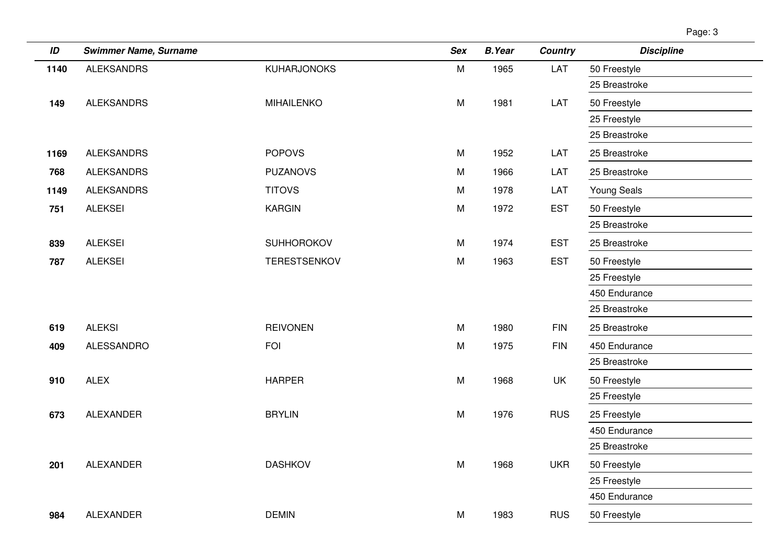| г<br>ॱ |  |
|--------|--|
|        |  |

| ID   | <b>Swimmer Name, Surname</b> |                     | <b>Sex</b> | <b>B.Year</b> | Country    | <b>Discipline</b>  |
|------|------------------------------|---------------------|------------|---------------|------------|--------------------|
| 1140 | <b>ALEKSANDRS</b>            | <b>KUHARJONOKS</b>  | ${\sf M}$  | 1965          | LAT        | 50 Freestyle       |
|      |                              |                     |            |               |            | 25 Breastroke      |
| 149  | <b>ALEKSANDRS</b>            | <b>MIHAILENKO</b>   | M          | 1981          | LAT        | 50 Freestyle       |
|      |                              |                     |            |               |            | 25 Freestyle       |
|      |                              |                     |            |               |            | 25 Breastroke      |
| 1169 | <b>ALEKSANDRS</b>            | <b>POPOVS</b>       | M          | 1952          | LAT        | 25 Breastroke      |
| 768  | <b>ALEKSANDRS</b>            | <b>PUZANOVS</b>     | M          | 1966          | LAT        | 25 Breastroke      |
| 1149 | <b>ALEKSANDRS</b>            | <b>TITOVS</b>       | M          | 1978          | LAT        | <b>Young Seals</b> |
| 751  | <b>ALEKSEI</b>               | <b>KARGIN</b>       | M          | 1972          | <b>EST</b> | 50 Freestyle       |
|      |                              |                     |            |               |            | 25 Breastroke      |
| 839  | <b>ALEKSEI</b>               | <b>SUHHOROKOV</b>   | M          | 1974          | <b>EST</b> | 25 Breastroke      |
| 787  | <b>ALEKSEI</b>               | <b>TERESTSENKOV</b> | M          | 1963          | <b>EST</b> | 50 Freestyle       |
|      |                              |                     |            |               |            | 25 Freestyle       |
|      |                              |                     |            |               |            | 450 Endurance      |
|      |                              |                     |            |               |            | 25 Breastroke      |
| 619  | <b>ALEKSI</b>                | <b>REIVONEN</b>     | M          | 1980          | <b>FIN</b> | 25 Breastroke      |
| 409  | <b>ALESSANDRO</b>            | <b>FOI</b>          | M          | 1975          | <b>FIN</b> | 450 Endurance      |
|      |                              |                     |            |               |            | 25 Breastroke      |
| 910  | <b>ALEX</b>                  | <b>HARPER</b>       | M          | 1968          | UK         | 50 Freestyle       |
|      |                              |                     |            |               |            | 25 Freestyle       |
| 673  | <b>ALEXANDER</b>             | <b>BRYLIN</b>       | ${\sf M}$  | 1976          | <b>RUS</b> | 25 Freestyle       |
|      |                              |                     |            |               |            | 450 Endurance      |
|      |                              |                     |            |               |            | 25 Breastroke      |
| 201  | <b>ALEXANDER</b>             | <b>DASHKOV</b>      | M          | 1968          | <b>UKR</b> | 50 Freestyle       |
|      |                              |                     |            |               |            | 25 Freestyle       |
|      |                              |                     |            |               |            | 450 Endurance      |
| 984  | <b>ALEXANDER</b>             | <b>DEMIN</b>        | M          | 1983          | <b>RUS</b> | 50 Freestyle       |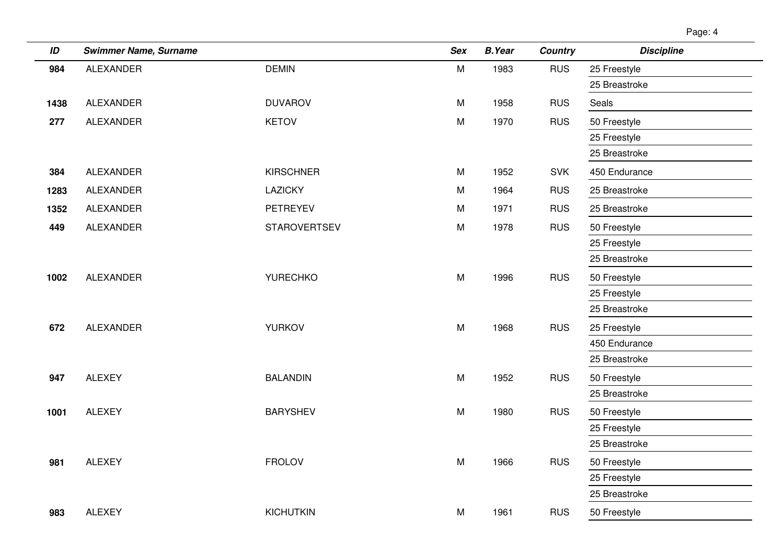| ID   | <b>Swimmer Name, Surname</b> |                     | <b>Sex</b> | <b>B.Year</b> | <b>Country</b> | <b>Discipline</b> |
|------|------------------------------|---------------------|------------|---------------|----------------|-------------------|
| 984  | ALEXANDER                    | <b>DEMIN</b>        | M          | 1983          | <b>RUS</b>     | 25 Freestyle      |
|      |                              |                     |            |               |                | 25 Breastroke     |
| 1438 | ALEXANDER                    | <b>DUVAROV</b>      | M          | 1958          | <b>RUS</b>     | Seals             |
| 277  | <b>ALEXANDER</b>             | <b>KETOV</b>        | M          | 1970          | <b>RUS</b>     | 50 Freestyle      |
|      |                              |                     |            |               |                | 25 Freestyle      |
|      |                              |                     |            |               |                | 25 Breastroke     |
| 384  | <b>ALEXANDER</b>             | <b>KIRSCHNER</b>    | M          | 1952          | <b>SVK</b>     | 450 Endurance     |
| 1283 | <b>ALEXANDER</b>             | LAZICKY             | M          | 1964          | <b>RUS</b>     | 25 Breastroke     |
| 1352 | ALEXANDER                    | PETREYEV            | M          | 1971          | <b>RUS</b>     | 25 Breastroke     |
| 449  | ALEXANDER                    | <b>STAROVERTSEV</b> | M          | 1978          | <b>RUS</b>     | 50 Freestyle      |
|      |                              |                     |            |               |                | 25 Freestyle      |
|      |                              |                     |            |               |                | 25 Breastroke     |
| 1002 | <b>ALEXANDER</b>             | <b>YURECHKO</b>     | M          | 1996          | <b>RUS</b>     | 50 Freestyle      |
|      |                              |                     |            |               |                | 25 Freestyle      |
|      |                              |                     |            |               |                | 25 Breastroke     |
| 672  | <b>ALEXANDER</b>             | <b>YURKOV</b>       | M          | 1968          | <b>RUS</b>     | 25 Freestyle      |
|      |                              |                     |            |               |                | 450 Endurance     |
|      |                              |                     |            |               |                | 25 Breastroke     |
| 947  | <b>ALEXEY</b>                | <b>BALANDIN</b>     | M          | 1952          | <b>RUS</b>     | 50 Freestyle      |
|      |                              |                     |            |               |                | 25 Breastroke     |
| 1001 | <b>ALEXEY</b>                | <b>BARYSHEV</b>     | M          | 1980          | <b>RUS</b>     | 50 Freestyle      |
|      |                              |                     |            |               |                | 25 Freestyle      |
|      |                              |                     |            |               |                | 25 Breastroke     |
| 981  | <b>ALEXEY</b>                | <b>FROLOV</b>       | M          | 1966          | <b>RUS</b>     | 50 Freestyle      |
|      |                              |                     |            |               |                | 25 Freestyle      |
|      |                              |                     |            |               |                | 25 Breastroke     |
| 983  | <b>ALEXEY</b>                | <b>KICHUTKIN</b>    | M          | 1961          | <b>RUS</b>     | 50 Freestyle      |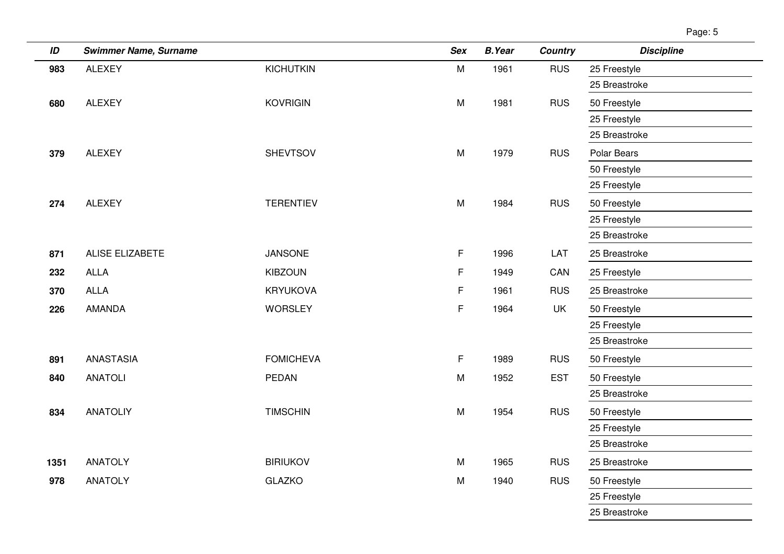| ID   | <b>Swimmer Name, Surname</b> |                  | <b>Sex</b> | <b>B.Year</b> | <b>Country</b> | <b>Discipline</b> |
|------|------------------------------|------------------|------------|---------------|----------------|-------------------|
| 983  | <b>ALEXEY</b>                | <b>KICHUTKIN</b> | M          | 1961          | <b>RUS</b>     | 25 Freestyle      |
|      |                              |                  |            |               |                | 25 Breastroke     |
| 680  | ALEXEY                       | <b>KOVRIGIN</b>  | M          | 1981          | <b>RUS</b>     | 50 Freestyle      |
|      |                              |                  |            |               |                | 25 Freestyle      |
|      |                              |                  |            |               |                | 25 Breastroke     |
| 379  | <b>ALEXEY</b>                | <b>SHEVTSOV</b>  | M          | 1979          | <b>RUS</b>     | Polar Bears       |
|      |                              |                  |            |               |                | 50 Freestyle      |
|      |                              |                  |            |               |                | 25 Freestyle      |
| 274  | <b>ALEXEY</b>                | <b>TERENTIEV</b> | M          | 1984          | <b>RUS</b>     | 50 Freestyle      |
|      |                              |                  |            |               |                | 25 Freestyle      |
|      |                              |                  |            |               |                | 25 Breastroke     |
| 871  | ALISE ELIZABETE              | <b>JANSONE</b>   | F          | 1996          | LAT            | 25 Breastroke     |
| 232  | <b>ALLA</b>                  | <b>KIBZOUN</b>   | F          | 1949          | CAN            | 25 Freestyle      |
| 370  | <b>ALLA</b>                  | <b>KRYUKOVA</b>  | F          | 1961          | <b>RUS</b>     | 25 Breastroke     |
| 226  | AMANDA                       | <b>WORSLEY</b>   | F          | 1964          | <b>UK</b>      | 50 Freestyle      |
|      |                              |                  |            |               |                | 25 Freestyle      |
|      |                              |                  |            |               |                | 25 Breastroke     |
| 891  | <b>ANASTASIA</b>             | <b>FOMICHEVA</b> | F          | 1989          | <b>RUS</b>     | 50 Freestyle      |
| 840  | <b>ANATOLI</b>               | PEDAN            | M          | 1952          | <b>EST</b>     | 50 Freestyle      |
|      |                              |                  |            |               |                | 25 Breastroke     |
| 834  | <b>ANATOLIY</b>              | <b>TIMSCHIN</b>  | M          | 1954          | <b>RUS</b>     | 50 Freestyle      |
|      |                              |                  |            |               |                | 25 Freestyle      |
|      |                              |                  |            |               |                | 25 Breastroke     |
| 1351 | <b>ANATOLY</b>               | <b>BIRIUKOV</b>  | M          | 1965          | <b>RUS</b>     | 25 Breastroke     |
| 978  | <b>ANATOLY</b>               | <b>GLAZKO</b>    | M          | 1940          | <b>RUS</b>     | 50 Freestyle      |
|      |                              |                  |            |               |                | 25 Freestyle      |
|      |                              |                  |            |               |                | 25 Breastroke     |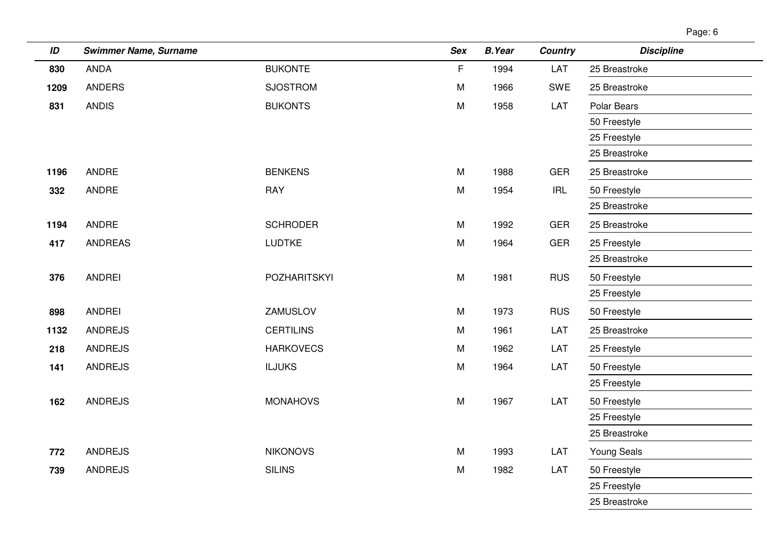Page: 6

| ID   | <b>Swimmer Name, Surname</b> |                     | Sex       | <b>B.Year</b> | <b>Country</b>                     | <b>Discipline</b>  |
|------|------------------------------|---------------------|-----------|---------------|------------------------------------|--------------------|
| 830  | <b>ANDA</b>                  | <b>BUKONTE</b>      | F         | 1994          | LAT                                | 25 Breastroke      |
| 1209 | <b>ANDERS</b>                | <b>SJOSTROM</b>     | M         | 1966          | SWE                                | 25 Breastroke      |
| 831  | <b>ANDIS</b>                 | <b>BUKONTS</b>      | M         | 1958          | LAT                                | Polar Bears        |
|      |                              |                     |           |               |                                    | 50 Freestyle       |
|      |                              |                     |           |               |                                    | 25 Freestyle       |
|      |                              |                     |           |               |                                    | 25 Breastroke      |
| 1196 | <b>ANDRE</b>                 | <b>BENKENS</b>      | M         | 1988          | <b>GER</b>                         | 25 Breastroke      |
| 332  | <b>ANDRE</b>                 | <b>RAY</b>          | M         | 1954          | $\ensuremath{\mathsf{IRL}}\xspace$ | 50 Freestyle       |
|      |                              |                     |           |               |                                    | 25 Breastroke      |
| 1194 | <b>ANDRE</b>                 | <b>SCHRODER</b>     | M         | 1992          | <b>GER</b>                         | 25 Breastroke      |
| 417  | <b>ANDREAS</b>               | <b>LUDTKE</b>       | M         | 1964          | <b>GER</b>                         | 25 Freestyle       |
|      |                              |                     |           |               |                                    | 25 Breastroke      |
| 376  | <b>ANDREI</b>                | <b>POZHARITSKYI</b> | ${\sf M}$ | 1981          | <b>RUS</b>                         | 50 Freestyle       |
|      |                              |                     |           |               |                                    | 25 Freestyle       |
| 898  | <b>ANDREI</b>                | ZAMUSLOV            | M         | 1973          | <b>RUS</b>                         | 50 Freestyle       |
| 1132 | <b>ANDREJS</b>               | <b>CERTILINS</b>    | M         | 1961          | LAT                                | 25 Breastroke      |
| 218  | <b>ANDREJS</b>               | <b>HARKOVECS</b>    | M         | 1962          | LAT                                | 25 Freestyle       |
| 141  | <b>ANDREJS</b>               | <b>ILJUKS</b>       | M         | 1964          | LAT                                | 50 Freestyle       |
|      |                              |                     |           |               |                                    | 25 Freestyle       |
| 162  | <b>ANDREJS</b>               | <b>MONAHOVS</b>     | ${\sf M}$ | 1967          | LAT                                | 50 Freestyle       |
|      |                              |                     |           |               |                                    | 25 Freestyle       |
|      |                              |                     |           |               |                                    | 25 Breastroke      |
| 772  | ANDREJS                      | <b>NIKONOVS</b>     | M         | 1993          | LAT                                | <b>Young Seals</b> |
| 739  | <b>ANDREJS</b>               | <b>SILINS</b>       | ${\sf M}$ | 1982          | LAT                                | 50 Freestyle       |
|      |                              |                     |           |               |                                    | 25 Freestyle       |
|      |                              |                     |           |               |                                    | 25 Breastroke      |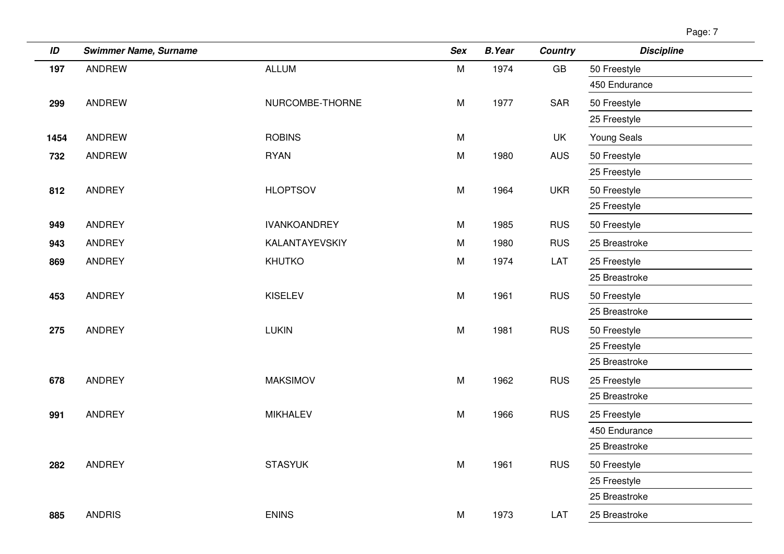|--|

| ID   | <b>Swimmer Name, Surname</b> |                       | <b>Sex</b> | <b>B.Year</b> | <b>Country</b> | <b>Discipline</b>  |
|------|------------------------------|-----------------------|------------|---------------|----------------|--------------------|
| 197  | <b>ANDREW</b>                | <b>ALLUM</b>          | M          | 1974          | GB             | 50 Freestyle       |
|      |                              |                       |            |               |                | 450 Endurance      |
| 299  | <b>ANDREW</b>                | NURCOMBE-THORNE       | M          | 1977          | SAR            | 50 Freestyle       |
|      |                              |                       |            |               |                | 25 Freestyle       |
| 1454 | ANDREW                       | <b>ROBINS</b>         | M          |               | UK             | <b>Young Seals</b> |
| 732  | ANDREW                       | <b>RYAN</b>           | M          | 1980          | <b>AUS</b>     | 50 Freestyle       |
|      |                              |                       |            |               |                | 25 Freestyle       |
| 812  | <b>ANDREY</b>                | <b>HLOPTSOV</b>       | M          | 1964          | <b>UKR</b>     | 50 Freestyle       |
|      |                              |                       |            |               |                | 25 Freestyle       |
| 949  | ANDREY                       | <b>IVANKOANDREY</b>   | M          | 1985          | <b>RUS</b>     | 50 Freestyle       |
| 943  | ANDREY                       | <b>KALANTAYEVSKIY</b> | M          | 1980          | <b>RUS</b>     | 25 Breastroke      |
| 869  | ANDREY                       | KHUTKO                | M          | 1974          | LAT            | 25 Freestyle       |
|      |                              |                       |            |               |                | 25 Breastroke      |
| 453  | ANDREY                       | <b>KISELEV</b>        | M          | 1961          | <b>RUS</b>     | 50 Freestyle       |
|      |                              |                       |            |               |                | 25 Breastroke      |
| 275  | ANDREY                       | <b>LUKIN</b>          | M          | 1981          | <b>RUS</b>     | 50 Freestyle       |
|      |                              |                       |            |               |                | 25 Freestyle       |
|      |                              |                       |            |               |                | 25 Breastroke      |
| 678  | <b>ANDREY</b>                | <b>MAKSIMOV</b>       | M          | 1962          | <b>RUS</b>     | 25 Freestyle       |
|      |                              |                       |            |               |                | 25 Breastroke      |
| 991  | ANDREY                       | <b>MIKHALEV</b>       | M          | 1966          | <b>RUS</b>     | 25 Freestyle       |
|      |                              |                       |            |               |                | 450 Endurance      |
|      |                              |                       |            |               |                | 25 Breastroke      |
| 282  | ANDREY                       | <b>STASYUK</b>        | M          | 1961          | <b>RUS</b>     | 50 Freestyle       |
|      |                              |                       |            |               |                | 25 Freestyle       |
|      |                              |                       |            |               |                | 25 Breastroke      |
| 885  | <b>ANDRIS</b>                | <b>ENINS</b>          | M          | 1973          | LAT            | 25 Breastroke      |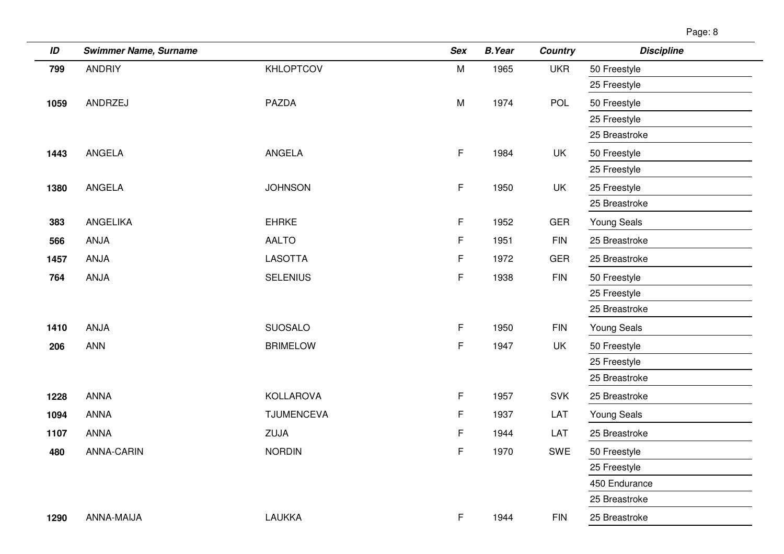| ID   | <b>Swimmer Name, Surname</b> |                   | <b>Sex</b> | <b>B.Year</b> | <b>Country</b> | <b>Discipline</b>  |
|------|------------------------------|-------------------|------------|---------------|----------------|--------------------|
| 799  | <b>ANDRIY</b>                | <b>KHLOPTCOV</b>  | M          | 1965          | <b>UKR</b>     | 50 Freestyle       |
|      |                              |                   |            |               |                | 25 Freestyle       |
| 1059 | ANDRZEJ                      | <b>PAZDA</b>      | M          | 1974          | POL            | 50 Freestyle       |
|      |                              |                   |            |               |                | 25 Freestyle       |
|      |                              |                   |            |               |                | 25 Breastroke      |
| 1443 | <b>ANGELA</b>                | ANGELA            | F          | 1984          | UK             | 50 Freestyle       |
|      |                              |                   |            |               |                | 25 Freestyle       |
| 1380 | <b>ANGELA</b>                | <b>JOHNSON</b>    | F          | 1950          | UK             | 25 Freestyle       |
|      |                              |                   |            |               |                | 25 Breastroke      |
| 383  | <b>ANGELIKA</b>              | <b>EHRKE</b>      | F          | 1952          | <b>GER</b>     | <b>Young Seals</b> |
| 566  | ANJA                         | <b>AALTO</b>      | F          | 1951          | <b>FIN</b>     | 25 Breastroke      |
| 1457 | ANJA                         | <b>LASOTTA</b>    | F          | 1972          | <b>GER</b>     | 25 Breastroke      |
| 764  | <b>ANJA</b>                  | <b>SELENIUS</b>   | F          | 1938          | <b>FIN</b>     | 50 Freestyle       |
|      |                              |                   |            |               |                | 25 Freestyle       |
|      |                              |                   |            |               |                | 25 Breastroke      |
| 1410 | ANJA                         | <b>SUOSALO</b>    | F.         | 1950          | <b>FIN</b>     | <b>Young Seals</b> |
| 206  | <b>ANN</b>                   | <b>BRIMELOW</b>   | F          | 1947          | UK             | 50 Freestyle       |
|      |                              |                   |            |               |                | 25 Freestyle       |
|      |                              |                   |            |               |                | 25 Breastroke      |
| 1228 | <b>ANNA</b>                  | <b>KOLLAROVA</b>  | F          | 1957          | <b>SVK</b>     | 25 Breastroke      |
| 1094 | <b>ANNA</b>                  | <b>TJUMENCEVA</b> | F          | 1937          | LAT            | <b>Young Seals</b> |
| 1107 | <b>ANNA</b>                  | ZUJA              | F          | 1944          | LAT            | 25 Breastroke      |
| 480  | <b>ANNA-CARIN</b>            | <b>NORDIN</b>     | F          | 1970          | SWE            | 50 Freestyle       |
|      |                              |                   |            |               |                | 25 Freestyle       |
|      |                              |                   |            |               |                | 450 Endurance      |
|      |                              |                   |            |               |                | 25 Breastroke      |
| 1290 | ANNA-MAIJA                   | <b>LAUKKA</b>     | F.         | 1944          | <b>FIN</b>     | 25 Breastroke      |
|      |                              |                   |            |               |                |                    |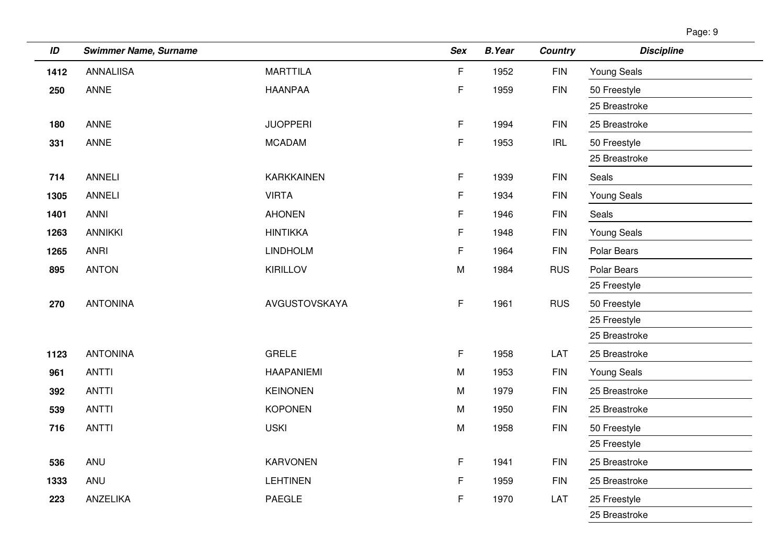|--|--|

| ID   | <b>Swimmer Name, Surname</b> |                   | <b>Sex</b> | <b>B.Year</b> | <b>Country</b> | <b>Discipline</b>  |
|------|------------------------------|-------------------|------------|---------------|----------------|--------------------|
| 1412 | <b>ANNALIISA</b>             | <b>MARTTILA</b>   | F          | 1952          | <b>FIN</b>     | <b>Young Seals</b> |
| 250  | ANNE                         | <b>HAANPAA</b>    | F          | 1959          | <b>FIN</b>     | 50 Freestyle       |
|      |                              |                   |            |               |                | 25 Breastroke      |
| 180  | <b>ANNE</b>                  | <b>JUOPPERI</b>   | F          | 1994          | <b>FIN</b>     | 25 Breastroke      |
| 331  | <b>ANNE</b>                  | <b>MCADAM</b>     | F          | 1953          | <b>IRL</b>     | 50 Freestyle       |
|      |                              |                   |            |               |                | 25 Breastroke      |
| 714  | <b>ANNELI</b>                | <b>KARKKAINEN</b> | F          | 1939          | <b>FIN</b>     | Seals              |
| 1305 | <b>ANNELI</b>                | <b>VIRTA</b>      | F          | 1934          | <b>FIN</b>     | Young Seals        |
| 1401 | <b>ANNI</b>                  | <b>AHONEN</b>     | F          | 1946          | $\mathsf{FIN}$ | Seals              |
| 1263 | <b>ANNIKKI</b>               | <b>HINTIKKA</b>   | F          | 1948          | <b>FIN</b>     | Young Seals        |
| 1265 | <b>ANRI</b>                  | <b>LINDHOLM</b>   | F          | 1964          | <b>FIN</b>     | Polar Bears        |
| 895  | <b>ANTON</b>                 | <b>KIRILLOV</b>   | M          | 1984          | <b>RUS</b>     | Polar Bears        |
|      |                              |                   |            |               |                | 25 Freestyle       |
| 270  | <b>ANTONINA</b>              | AVGUSTOVSKAYA     | F          | 1961          | <b>RUS</b>     | 50 Freestyle       |
|      |                              |                   |            |               |                | 25 Freestyle       |
|      |                              |                   |            |               |                | 25 Breastroke      |
| 1123 | <b>ANTONINA</b>              | <b>GRELE</b>      | F.         | 1958          | LAT            | 25 Breastroke      |
| 961  | <b>ANTTI</b>                 | <b>HAAPANIEMI</b> | M          | 1953          | <b>FIN</b>     | <b>Young Seals</b> |
| 392  | <b>ANTTI</b>                 | <b>KEINONEN</b>   | ${\sf M}$  | 1979          | <b>FIN</b>     | 25 Breastroke      |
| 539  | <b>ANTTI</b>                 | <b>KOPONEN</b>    | M          | 1950          | <b>FIN</b>     | 25 Breastroke      |
| 716  | <b>ANTTI</b>                 | <b>USKI</b>       | M          | 1958          | <b>FIN</b>     | 50 Freestyle       |
|      |                              |                   |            |               |                | 25 Freestyle       |
| 536  | ANU                          | <b>KARVONEN</b>   | F          | 1941          | <b>FIN</b>     | 25 Breastroke      |
| 1333 | ANU                          | <b>LEHTINEN</b>   | F          | 1959          | <b>FIN</b>     | 25 Breastroke      |
| 223  | ANZELIKA                     | PAEGLE            | F          | 1970          | LAT            | 25 Freestyle       |
|      |                              |                   |            |               |                | 25 Breastroke      |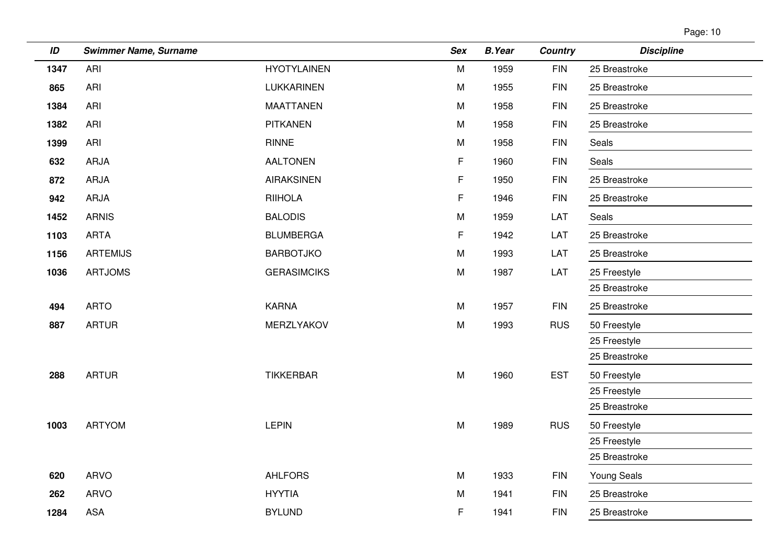| Page: 10 |  |
|----------|--|
|          |  |

| ID   | <b>Swimmer Name, Surname</b> |                    | <b>Sex</b> | <b>B.Year</b> | <b>Country</b> | <b>Discipline</b>  |
|------|------------------------------|--------------------|------------|---------------|----------------|--------------------|
| 1347 | ARI                          | <b>HYOTYLAINEN</b> | M          | 1959          | <b>FIN</b>     | 25 Breastroke      |
| 865  | ARI                          | LUKKARINEN         | M          | 1955          | <b>FIN</b>     | 25 Breastroke      |
| 1384 | <b>ARI</b>                   | <b>MAATTANEN</b>   | ${\sf M}$  | 1958          | <b>FIN</b>     | 25 Breastroke      |
| 1382 | ARI                          | <b>PITKANEN</b>    | M          | 1958          | <b>FIN</b>     | 25 Breastroke      |
| 1399 | ARI                          | RINNE              | M          | 1958          | <b>FIN</b>     | Seals              |
| 632  | ARJA                         | <b>AALTONEN</b>    | F          | 1960          | <b>FIN</b>     | Seals              |
| 872  | ARJA                         | <b>AIRAKSINEN</b>  | F          | 1950          | <b>FIN</b>     | 25 Breastroke      |
| 942  | ARJA                         | <b>RIIHOLA</b>     | F          | 1946          | <b>FIN</b>     | 25 Breastroke      |
| 1452 | <b>ARNIS</b>                 | <b>BALODIS</b>     | M          | 1959          | LAT            | Seals              |
| 1103 | <b>ARTA</b>                  | <b>BLUMBERGA</b>   | F          | 1942          | LAT            | 25 Breastroke      |
| 1156 | <b>ARTEMIJS</b>              | <b>BARBOTJKO</b>   | M          | 1993          | LAT            | 25 Breastroke      |
| 1036 | <b>ARTJOMS</b>               | <b>GERASIMCIKS</b> | M          | 1987          | LAT            | 25 Freestyle       |
|      |                              |                    |            |               |                | 25 Breastroke      |
| 494  | <b>ARTO</b>                  | <b>KARNA</b>       | M          | 1957          | <b>FIN</b>     | 25 Breastroke      |
| 887  | <b>ARTUR</b>                 | MERZLYAKOV         | ${\sf M}$  | 1993          | <b>RUS</b>     | 50 Freestyle       |
|      |                              |                    |            |               |                | 25 Freestyle       |
|      |                              |                    |            |               |                | 25 Breastroke      |
| 288  | <b>ARTUR</b>                 | <b>TIKKERBAR</b>   | ${\sf M}$  | 1960          | <b>EST</b>     | 50 Freestyle       |
|      |                              |                    |            |               |                | 25 Freestyle       |
|      |                              |                    |            |               |                | 25 Breastroke      |
| 1003 | <b>ARTYOM</b>                | <b>LEPIN</b>       | ${\sf M}$  | 1989          | <b>RUS</b>     | 50 Freestyle       |
|      |                              |                    |            |               |                | 25 Freestyle       |
|      |                              |                    |            |               |                | 25 Breastroke      |
| 620  | <b>ARVO</b>                  | <b>AHLFORS</b>     | M          | 1933          | <b>FIN</b>     | <b>Young Seals</b> |
| 262  | <b>ARVO</b>                  | <b>HYYTIA</b>      | ${\sf M}$  | 1941          | <b>FIN</b>     | 25 Breastroke      |
| 1284 | <b>ASA</b>                   | <b>BYLUND</b>      | F          | 1941          | <b>FIN</b>     | 25 Breastroke      |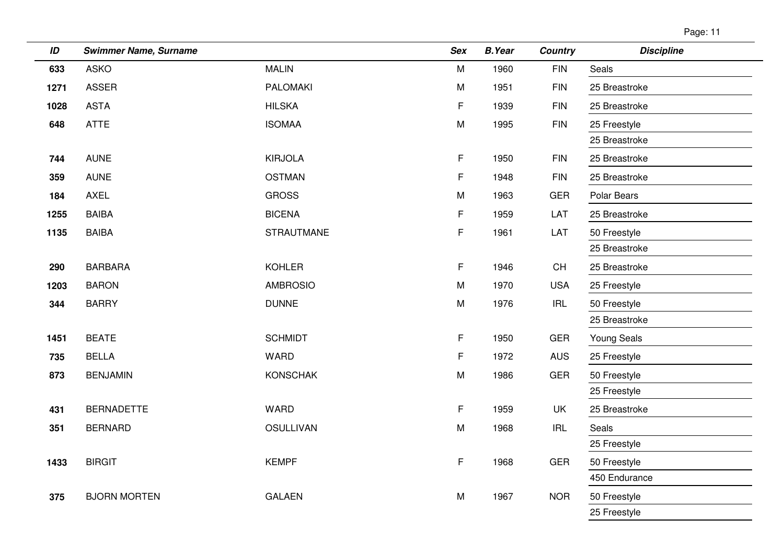| Page: ' | 1 |
|---------|---|
|         |   |

| ID   | <b>Swimmer Name, Surname</b> |                   | <b>Sex</b> | <b>B.Year</b> | <b>Country</b> | <b>Discipline</b>  |
|------|------------------------------|-------------------|------------|---------------|----------------|--------------------|
| 633  | <b>ASKO</b>                  | <b>MALIN</b>      | ${\sf M}$  | 1960          | <b>FIN</b>     | Seals              |
| 1271 | <b>ASSER</b>                 | <b>PALOMAKI</b>   | M          | 1951          | <b>FIN</b>     | 25 Breastroke      |
| 1028 | <b>ASTA</b>                  | <b>HILSKA</b>     | F          | 1939          | <b>FIN</b>     | 25 Breastroke      |
| 648  | <b>ATTE</b>                  | <b>ISOMAA</b>     | M          | 1995          | <b>FIN</b>     | 25 Freestyle       |
|      |                              |                   |            |               |                | 25 Breastroke      |
| 744  | <b>AUNE</b>                  | <b>KIRJOLA</b>    | F.         | 1950          | <b>FIN</b>     | 25 Breastroke      |
| 359  | <b>AUNE</b>                  | <b>OSTMAN</b>     | F.         | 1948          | <b>FIN</b>     | 25 Breastroke      |
| 184  | <b>AXEL</b>                  | <b>GROSS</b>      | M          | 1963          | <b>GER</b>     | Polar Bears        |
| 1255 | <b>BAIBA</b>                 | <b>BICENA</b>     | F.         | 1959          | LAT            | 25 Breastroke      |
| 1135 | <b>BAIBA</b>                 | <b>STRAUTMANE</b> | F.         | 1961          | LAT            | 50 Freestyle       |
|      |                              |                   |            |               |                | 25 Breastroke      |
| 290  | <b>BARBARA</b>               | <b>KOHLER</b>     | F.         | 1946          | CH             | 25 Breastroke      |
| 1203 | <b>BARON</b>                 | <b>AMBROSIO</b>   | M          | 1970          | <b>USA</b>     | 25 Freestyle       |
| 344  | <b>BARRY</b>                 | <b>DUNNE</b>      | ${\sf M}$  | 1976          | <b>IRL</b>     | 50 Freestyle       |
|      |                              |                   |            |               |                | 25 Breastroke      |
| 1451 | <b>BEATE</b>                 | <b>SCHMIDT</b>    | F.         | 1950          | <b>GER</b>     | <b>Young Seals</b> |
| 735  | <b>BELLA</b>                 | <b>WARD</b>       | F.         | 1972          | <b>AUS</b>     | 25 Freestyle       |
| 873  | <b>BENJAMIN</b>              | <b>KONSCHAK</b>   | ${\sf M}$  | 1986          | <b>GER</b>     | 50 Freestyle       |
|      |                              |                   |            |               |                | 25 Freestyle       |
| 431  | <b>BERNADETTE</b>            | WARD              | F          | 1959          | UK             | 25 Breastroke      |
| 351  | <b>BERNARD</b>               | <b>OSULLIVAN</b>  | M          | 1968          | IRL            | Seals              |
|      |                              |                   |            |               |                | 25 Freestyle       |
| 1433 | <b>BIRGIT</b>                | <b>KEMPF</b>      | F.         | 1968          | <b>GER</b>     | 50 Freestyle       |
|      |                              |                   |            |               |                | 450 Endurance      |
| 375  | <b>BJORN MORTEN</b>          | <b>GALAEN</b>     | M          | 1967          | <b>NOR</b>     | 50 Freestyle       |
|      |                              |                   |            |               |                | 25 Freestyle       |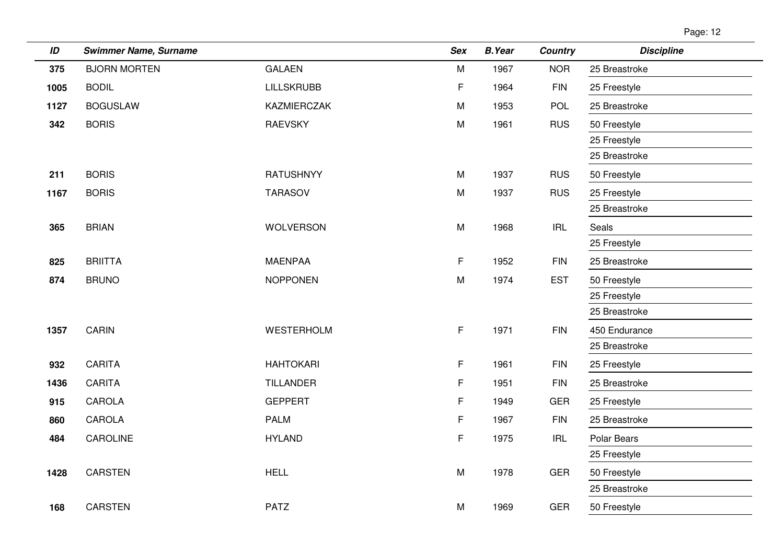| ID   | <b>Swimmer Name, Surname</b> |                    | Sex       | <b>B.Year</b> | <b>Country</b> | <b>Discipline</b> |
|------|------------------------------|--------------------|-----------|---------------|----------------|-------------------|
| 375  | <b>BJORN MORTEN</b>          | <b>GALAEN</b>      | M         | 1967          | <b>NOR</b>     | 25 Breastroke     |
| 1005 | <b>BODIL</b>                 | <b>LILLSKRUBB</b>  | F         | 1964          | <b>FIN</b>     | 25 Freestyle      |
| 1127 | <b>BOGUSLAW</b>              | <b>KAZMIERCZAK</b> | M         | 1953          | POL            | 25 Breastroke     |
| 342  | <b>BORIS</b>                 | <b>RAEVSKY</b>     | M         | 1961          | <b>RUS</b>     | 50 Freestyle      |
|      |                              |                    |           |               |                | 25 Freestyle      |
|      |                              |                    |           |               |                | 25 Breastroke     |
| 211  | <b>BORIS</b>                 | <b>RATUSHNYY</b>   | ${\sf M}$ | 1937          | <b>RUS</b>     | 50 Freestyle      |
| 1167 | <b>BORIS</b>                 | <b>TARASOV</b>     | ${\sf M}$ | 1937          | <b>RUS</b>     | 25 Freestyle      |
|      |                              |                    |           |               |                | 25 Breastroke     |
| 365  | <b>BRIAN</b>                 | <b>WOLVERSON</b>   | M         | 1968          | <b>IRL</b>     | Seals             |
|      |                              |                    |           |               |                | 25 Freestyle      |
| 825  | <b>BRIITTA</b>               | <b>MAENPAA</b>     | F.        | 1952          | <b>FIN</b>     | 25 Breastroke     |
| 874  | <b>BRUNO</b>                 | <b>NOPPONEN</b>    | M         | 1974          | <b>EST</b>     | 50 Freestyle      |
|      |                              |                    |           |               |                | 25 Freestyle      |
|      |                              |                    |           |               |                | 25 Breastroke     |
| 1357 | CARIN                        | WESTERHOLM         | F.        | 1971          | <b>FIN</b>     | 450 Endurance     |
|      |                              |                    |           |               |                | 25 Breastroke     |
| 932  | <b>CARITA</b>                | <b>HAHTOKARI</b>   | F.        | 1961          | <b>FIN</b>     | 25 Freestyle      |
| 1436 | <b>CARITA</b>                | <b>TILLANDER</b>   | F         | 1951          | <b>FIN</b>     | 25 Breastroke     |
| 915  | CAROLA                       | <b>GEPPERT</b>     | F         | 1949          | <b>GER</b>     | 25 Freestyle      |
| 860  | CAROLA                       | <b>PALM</b>        | F         | 1967          | <b>FIN</b>     | 25 Breastroke     |
| 484  | CAROLINE                     | <b>HYLAND</b>      | F         | 1975          | <b>IRL</b>     | Polar Bears       |
|      |                              |                    |           |               |                | 25 Freestyle      |
| 1428 | CARSTEN                      | <b>HELL</b>        | M         | 1978          | <b>GER</b>     | 50 Freestyle      |
|      |                              |                    |           |               |                | 25 Breastroke     |
| 168  | <b>CARSTEN</b>               | <b>PATZ</b>        | M         | 1969          | <b>GER</b>     | 50 Freestyle      |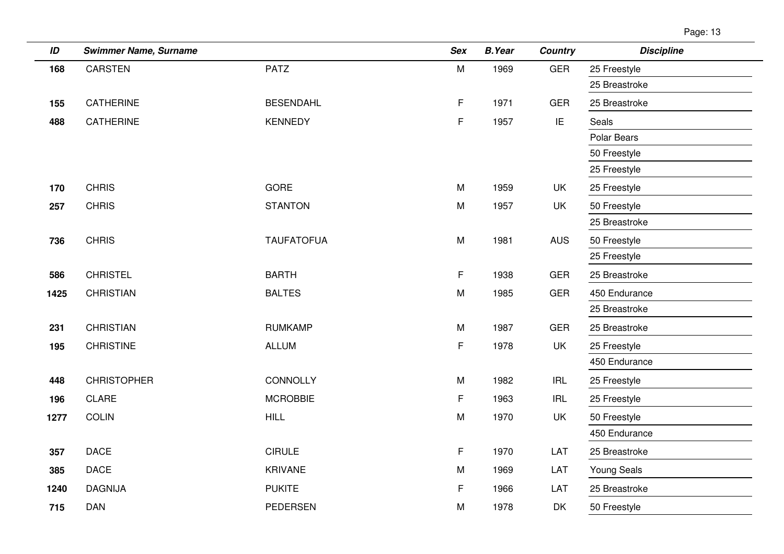|  | Page: 1 | 13 |
|--|---------|----|
|--|---------|----|

| ID   | <b>Swimmer Name, Surname</b> |                   | <b>Sex</b> | <b>B.Year</b> | <b>Country</b> | <b>Discipline</b>  |
|------|------------------------------|-------------------|------------|---------------|----------------|--------------------|
| 168  | <b>CARSTEN</b>               | <b>PATZ</b>       | ${\sf M}$  | 1969          | <b>GER</b>     | 25 Freestyle       |
|      |                              |                   |            |               |                | 25 Breastroke      |
| 155  | CATHERINE                    | <b>BESENDAHL</b>  | F          | 1971          | <b>GER</b>     | 25 Breastroke      |
| 488  | CATHERINE                    | <b>KENNEDY</b>    | F          | 1957          | IE             | Seals              |
|      |                              |                   |            |               |                | Polar Bears        |
|      |                              |                   |            |               |                | 50 Freestyle       |
|      |                              |                   |            |               |                | 25 Freestyle       |
| 170  | <b>CHRIS</b>                 | <b>GORE</b>       | M          | 1959          | <b>UK</b>      | 25 Freestyle       |
| 257  | <b>CHRIS</b>                 | <b>STANTON</b>    | M          | 1957          | UK             | 50 Freestyle       |
|      |                              |                   |            |               |                | 25 Breastroke      |
| 736  | <b>CHRIS</b>                 | <b>TAUFATOFUA</b> | M          | 1981          | <b>AUS</b>     | 50 Freestyle       |
|      |                              |                   |            |               |                | 25 Freestyle       |
| 586  | <b>CHRISTEL</b>              | <b>BARTH</b>      | F          | 1938          | <b>GER</b>     | 25 Breastroke      |
| 1425 | <b>CHRISTIAN</b>             | <b>BALTES</b>     | M          | 1985          | <b>GER</b>     | 450 Endurance      |
|      |                              |                   |            |               |                | 25 Breastroke      |
| 231  | <b>CHRISTIAN</b>             | <b>RUMKAMP</b>    | M          | 1987          | <b>GER</b>     | 25 Breastroke      |
| 195  | <b>CHRISTINE</b>             | <b>ALLUM</b>      | F          | 1978          | UK             | 25 Freestyle       |
|      |                              |                   |            |               |                | 450 Endurance      |
| 448  | <b>CHRISTOPHER</b>           | CONNOLLY          | M          | 1982          | <b>IRL</b>     | 25 Freestyle       |
| 196  | <b>CLARE</b>                 | <b>MCROBBIE</b>   | F          | 1963          | <b>IRL</b>     | 25 Freestyle       |
| 1277 | <b>COLIN</b>                 | <b>HILL</b>       | M          | 1970          | UK             | 50 Freestyle       |
|      |                              |                   |            |               |                | 450 Endurance      |
| 357  | <b>DACE</b>                  | <b>CIRULE</b>     | F          | 1970          | LAT            | 25 Breastroke      |
| 385  | <b>DACE</b>                  | <b>KRIVANE</b>    | M          | 1969          | LAT            | <b>Young Seals</b> |
| 1240 | <b>DAGNIJA</b>               | <b>PUKITE</b>     | F          | 1966          | LAT            | 25 Breastroke      |
| 715  | <b>DAN</b>                   | <b>PEDERSEN</b>   | ${\sf M}$  | 1978          | DK             | 50 Freestyle       |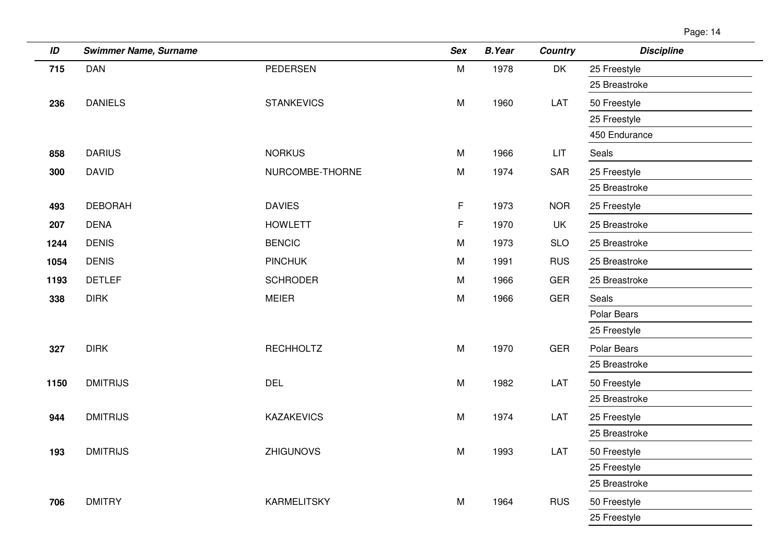| ID   | <b>Swimmer Name, Surname</b> |                    | <b>Sex</b> | <b>B.Year</b> | <b>Country</b> | <b>Discipline</b> |
|------|------------------------------|--------------------|------------|---------------|----------------|-------------------|
| 715  | <b>DAN</b>                   | <b>PEDERSEN</b>    | M          | 1978          | DK             | 25 Freestyle      |
|      |                              |                    |            |               |                | 25 Breastroke     |
| 236  | <b>DANIELS</b>               | <b>STANKEVICS</b>  | M          | 1960          | LAT            | 50 Freestyle      |
|      |                              |                    |            |               |                | 25 Freestyle      |
|      |                              |                    |            |               |                | 450 Endurance     |
| 858  | <b>DARIUS</b>                | <b>NORKUS</b>      | M          | 1966          | <b>LIT</b>     | Seals             |
| 300  | <b>DAVID</b>                 | NURCOMBE-THORNE    | M          | 1974          | <b>SAR</b>     | 25 Freestyle      |
|      |                              |                    |            |               |                | 25 Breastroke     |
| 493  | <b>DEBORAH</b>               | <b>DAVIES</b>      | F.         | 1973          | <b>NOR</b>     | 25 Freestyle      |
| 207  | <b>DENA</b>                  | <b>HOWLETT</b>     | F          | 1970          | UK             | 25 Breastroke     |
| 1244 | <b>DENIS</b>                 | <b>BENCIC</b>      | M          | 1973          | <b>SLO</b>     | 25 Breastroke     |
| 1054 | <b>DENIS</b>                 | <b>PINCHUK</b>     | M          | 1991          | <b>RUS</b>     | 25 Breastroke     |
| 1193 | <b>DETLEF</b>                | <b>SCHRODER</b>    | M          | 1966          | <b>GER</b>     | 25 Breastroke     |
| 338  | <b>DIRK</b>                  | <b>MEIER</b>       | M          | 1966          | <b>GER</b>     | Seals             |
|      |                              |                    |            |               |                | Polar Bears       |
|      |                              |                    |            |               |                | 25 Freestyle      |
| 327  | <b>DIRK</b>                  | <b>RECHHOLTZ</b>   | M          | 1970          | <b>GER</b>     | Polar Bears       |
|      |                              |                    |            |               |                | 25 Breastroke     |
| 1150 | <b>DMITRIJS</b>              | <b>DEL</b>         | M          | 1982          | LAT            | 50 Freestyle      |
|      |                              |                    |            |               |                | 25 Breastroke     |
| 944  | <b>DMITRIJS</b>              | <b>KAZAKEVICS</b>  | M          | 1974          | LAT            | 25 Freestyle      |
|      |                              |                    |            |               |                | 25 Breastroke     |
| 193  | <b>DMITRIJS</b>              | <b>ZHIGUNOVS</b>   | M          | 1993          | LAT            | 50 Freestyle      |
|      |                              |                    |            |               |                | 25 Freestyle      |
|      |                              |                    |            |               |                | 25 Breastroke     |
| 706  | <b>DMITRY</b>                | <b>KARMELITSKY</b> | M          | 1964          | <b>RUS</b>     | 50 Freestyle      |
|      |                              |                    |            |               |                | 25 Freestyle      |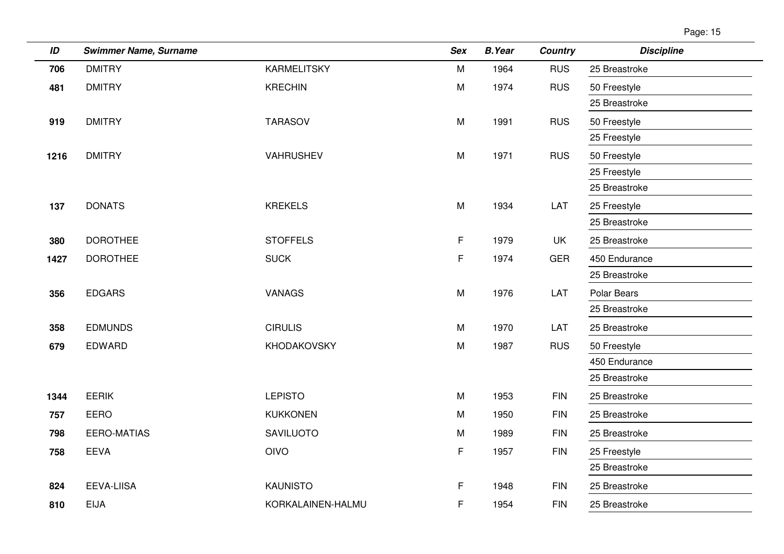| Page: ' | 15 |
|---------|----|
|         |    |

| ID   | <b>Swimmer Name, Surname</b> |                    | <b>Sex</b> | <b>B.Year</b> | <b>Country</b> | <b>Discipline</b> |
|------|------------------------------|--------------------|------------|---------------|----------------|-------------------|
| 706  | <b>DMITRY</b>                | <b>KARMELITSKY</b> | M          | 1964          | <b>RUS</b>     | 25 Breastroke     |
| 481  | <b>DMITRY</b>                | <b>KRECHIN</b>     | M          | 1974          | <b>RUS</b>     | 50 Freestyle      |
|      |                              |                    |            |               |                | 25 Breastroke     |
| 919  | <b>DMITRY</b>                | <b>TARASOV</b>     | M          | 1991          | <b>RUS</b>     | 50 Freestyle      |
|      |                              |                    |            |               |                | 25 Freestyle      |
| 1216 | <b>DMITRY</b>                | VAHRUSHEV          | M          | 1971          | <b>RUS</b>     | 50 Freestyle      |
|      |                              |                    |            |               |                | 25 Freestyle      |
|      |                              |                    |            |               |                | 25 Breastroke     |
| 137  | <b>DONATS</b>                | <b>KREKELS</b>     | M          | 1934          | LAT            | 25 Freestyle      |
|      |                              |                    |            |               |                | 25 Breastroke     |
| 380  | <b>DOROTHEE</b>              | <b>STOFFELS</b>    | F.         | 1979          | <b>UK</b>      | 25 Breastroke     |
| 1427 | <b>DOROTHEE</b>              | <b>SUCK</b>        | F          | 1974          | GER            | 450 Endurance     |
|      |                              |                    |            |               |                | 25 Breastroke     |
| 356  | <b>EDGARS</b>                | <b>VANAGS</b>      | M          | 1976          | LAT            | Polar Bears       |
|      |                              |                    |            |               |                | 25 Breastroke     |
| 358  | <b>EDMUNDS</b>               | <b>CIRULIS</b>     | M          | 1970          | LAT            | 25 Breastroke     |
| 679  | EDWARD                       | KHODAKOVSKY        | M          | 1987          | <b>RUS</b>     | 50 Freestyle      |
|      |                              |                    |            |               |                | 450 Endurance     |
|      |                              |                    |            |               |                | 25 Breastroke     |
| 1344 | <b>EERIK</b>                 | <b>LEPISTO</b>     | M          | 1953          | <b>FIN</b>     | 25 Breastroke     |
| 757  | <b>EERO</b>                  | <b>KUKKONEN</b>    | M          | 1950          | <b>FIN</b>     | 25 Breastroke     |
| 798  | <b>EERO-MATIAS</b>           | <b>SAVILUOTO</b>   | M          | 1989          | <b>FIN</b>     | 25 Breastroke     |
| 758  | <b>EEVA</b>                  | <b>OIVO</b>        | F          | 1957          | <b>FIN</b>     | 25 Freestyle      |
|      |                              |                    |            |               |                | 25 Breastroke     |
| 824  | <b>EEVA-LIISA</b>            | <b>KAUNISTO</b>    | F.         | 1948          | <b>FIN</b>     | 25 Breastroke     |
| 810  | <b>EIJA</b>                  | KORKALAINEN-HALMU  | F          | 1954          | <b>FIN</b>     | 25 Breastroke     |
|      |                              |                    |            |               |                |                   |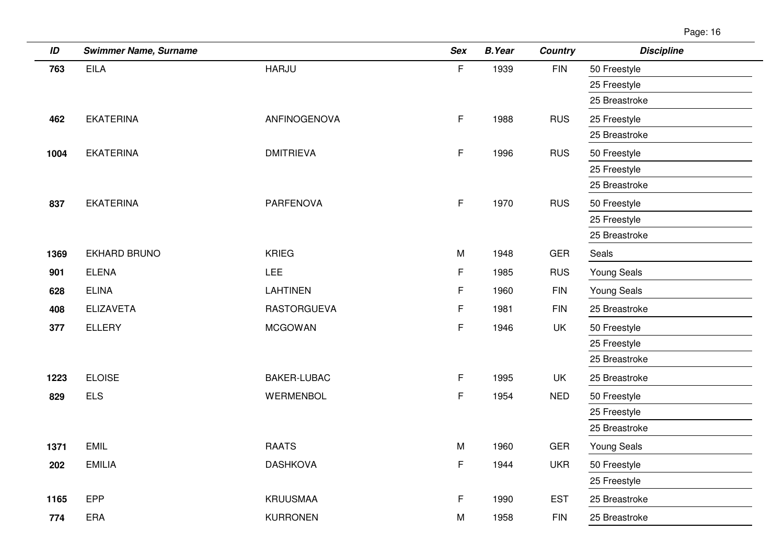| ID   | <b>Swimmer Name, Surname</b> |                    | <b>Sex</b>  | <b>B.Year</b> | <b>Country</b> | <b>Discipline</b>  |
|------|------------------------------|--------------------|-------------|---------------|----------------|--------------------|
| 763  | <b>EILA</b>                  | <b>HARJU</b>       | F           | 1939          | <b>FIN</b>     | 50 Freestyle       |
|      |                              |                    |             |               |                | 25 Freestyle       |
|      |                              |                    |             |               |                | 25 Breastroke      |
| 462  | <b>EKATERINA</b>             | ANFINOGENOVA       | F.          | 1988          | <b>RUS</b>     | 25 Freestyle       |
|      |                              |                    |             |               |                | 25 Breastroke      |
| 1004 | <b>EKATERINA</b>             | <b>DMITRIEVA</b>   | $\mathsf F$ | 1996          | <b>RUS</b>     | 50 Freestyle       |
|      |                              |                    |             |               |                | 25 Freestyle       |
|      |                              |                    |             |               |                | 25 Breastroke      |
| 837  | <b>EKATERINA</b>             | <b>PARFENOVA</b>   | F           | 1970          | <b>RUS</b>     | 50 Freestyle       |
|      |                              |                    |             |               |                | 25 Freestyle       |
|      |                              |                    |             |               |                | 25 Breastroke      |
| 1369 | EKHARD BRUNO                 | <b>KRIEG</b>       | M           | 1948          | <b>GER</b>     | Seals              |
| 901  | <b>ELENA</b>                 | <b>LEE</b>         | F.          | 1985          | <b>RUS</b>     | Young Seals        |
| 628  | <b>ELINA</b>                 | <b>LAHTINEN</b>    | F           | 1960          | <b>FIN</b>     | Young Seals        |
| 408  | <b>ELIZAVETA</b>             | <b>RASTORGUEVA</b> | F           | 1981          | <b>FIN</b>     | 25 Breastroke      |
| 377  | <b>ELLERY</b>                | <b>MCGOWAN</b>     | F           | 1946          | UK             | 50 Freestyle       |
|      |                              |                    |             |               |                | 25 Freestyle       |
|      |                              |                    |             |               |                | 25 Breastroke      |
| 1223 | <b>ELOISE</b>                | <b>BAKER-LUBAC</b> | F.          | 1995          | UK             | 25 Breastroke      |
| 829  | <b>ELS</b>                   | WERMENBOL          | $\mathsf F$ | 1954          | <b>NED</b>     | 50 Freestyle       |
|      |                              |                    |             |               |                | 25 Freestyle       |
|      |                              |                    |             |               |                | 25 Breastroke      |
| 1371 | <b>EMIL</b>                  | <b>RAATS</b>       | M           | 1960          | <b>GER</b>     | <b>Young Seals</b> |
| 202  | <b>EMILIA</b>                | <b>DASHKOVA</b>    | F           | 1944          | <b>UKR</b>     | 50 Freestyle       |
|      |                              |                    |             |               |                | 25 Freestyle       |
| 1165 | EPP                          | <b>KRUUSMAA</b>    | F.          | 1990          | <b>EST</b>     | 25 Breastroke      |
| 774  | ERA                          | <b>KURRONEN</b>    | M           | 1958          | <b>FIN</b>     | 25 Breastroke      |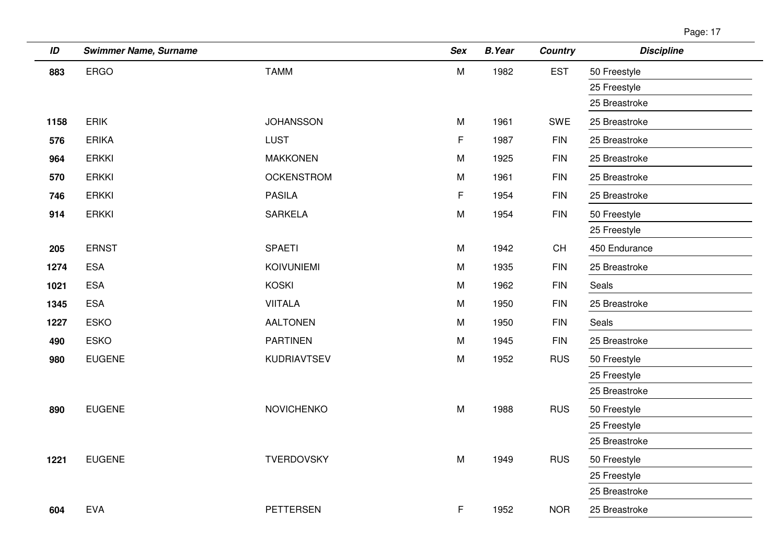| ID   | <b>Swimmer Name, Surname</b> |                   | <b>Sex</b>  | <b>B.Year</b> | <b>Country</b> | <b>Discipline</b> |
|------|------------------------------|-------------------|-------------|---------------|----------------|-------------------|
| 883  | <b>ERGO</b>                  | <b>TAMM</b>       | M           | 1982          | <b>EST</b>     | 50 Freestyle      |
|      |                              |                   |             |               |                | 25 Freestyle      |
|      |                              |                   |             |               |                | 25 Breastroke     |
| 1158 | ERIK                         | <b>JOHANSSON</b>  | M           | 1961          | SWE            | 25 Breastroke     |
| 576  | <b>ERIKA</b>                 | <b>LUST</b>       | $\mathsf F$ | 1987          | <b>FIN</b>     | 25 Breastroke     |
| 964  | <b>ERKKI</b>                 | <b>MAKKONEN</b>   | M           | 1925          | <b>FIN</b>     | 25 Breastroke     |
| 570  | <b>ERKKI</b>                 | <b>OCKENSTROM</b> | M           | 1961          | <b>FIN</b>     | 25 Breastroke     |
| 746  | <b>ERKKI</b>                 | <b>PASILA</b>     | F           | 1954          | <b>FIN</b>     | 25 Breastroke     |
| 914  | <b>ERKKI</b>                 | <b>SARKELA</b>    | M           | 1954          | <b>FIN</b>     | 50 Freestyle      |
|      |                              |                   |             |               |                | 25 Freestyle      |
| 205  | <b>ERNST</b>                 | <b>SPAETI</b>     | M           | 1942          | CH             | 450 Endurance     |
| 1274 | <b>ESA</b>                   | <b>KOIVUNIEMI</b> | M           | 1935          | <b>FIN</b>     | 25 Breastroke     |
| 1021 | <b>ESA</b>                   | <b>KOSKI</b>      | M           | 1962          | <b>FIN</b>     | Seals             |
| 1345 | <b>ESA</b>                   | <b>VIITALA</b>    | M           | 1950          | <b>FIN</b>     | 25 Breastroke     |
| 1227 | <b>ESKO</b>                  | <b>AALTONEN</b>   | M           | 1950          | <b>FIN</b>     | Seals             |
| 490  | <b>ESKO</b>                  | <b>PARTINEN</b>   | M           | 1945          | <b>FIN</b>     | 25 Breastroke     |
| 980  | <b>EUGENE</b>                | KUDRIAVTSEV       | M           | 1952          | <b>RUS</b>     | 50 Freestyle      |
|      |                              |                   |             |               |                | 25 Freestyle      |
|      |                              |                   |             |               |                | 25 Breastroke     |
| 890  | <b>EUGENE</b>                | <b>NOVICHENKO</b> | ${\sf M}$   | 1988          | <b>RUS</b>     | 50 Freestyle      |
|      |                              |                   |             |               |                | 25 Freestyle      |
|      |                              |                   |             |               |                | 25 Breastroke     |
| 1221 | <b>EUGENE</b>                | TVERDOVSKY        | M           | 1949          | <b>RUS</b>     | 50 Freestyle      |
|      |                              |                   |             |               |                | 25 Freestyle      |
|      |                              |                   |             |               |                | 25 Breastroke     |
| 604  | <b>EVA</b>                   | <b>PETTERSEN</b>  | F           | 1952          | <b>NOR</b>     | 25 Breastroke     |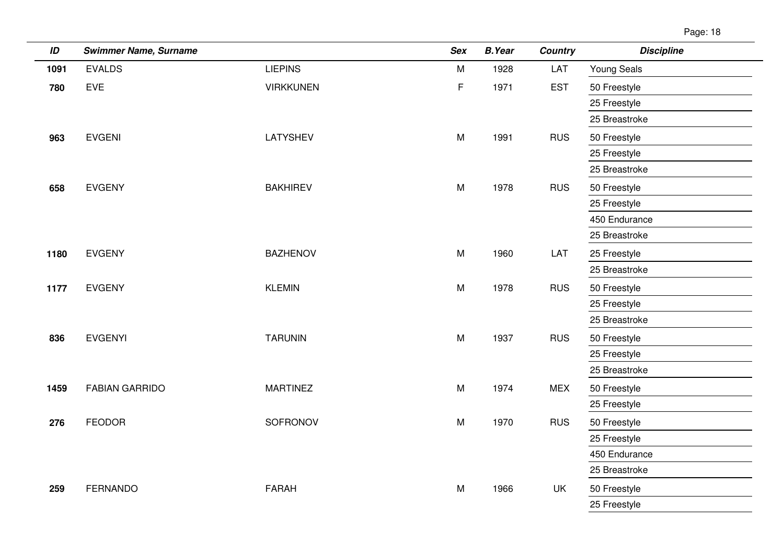Page: 18

| ID   | <b>Swimmer Name, Surname</b> |                  | <b>Sex</b>  | <b>B.Year</b> | <b>Country</b> | <b>Discipline</b>  |
|------|------------------------------|------------------|-------------|---------------|----------------|--------------------|
| 1091 | <b>EVALDS</b>                | <b>LIEPINS</b>   | M           | 1928          | LAT            | <b>Young Seals</b> |
| 780  | EVE                          | <b>VIRKKUNEN</b> | $\mathsf F$ | 1971          | <b>EST</b>     | 50 Freestyle       |
|      |                              |                  |             |               |                | 25 Freestyle       |
|      |                              |                  |             |               |                | 25 Breastroke      |
| 963  | <b>EVGENI</b>                | LATYSHEV         | M           | 1991          | <b>RUS</b>     | 50 Freestyle       |
|      |                              |                  |             |               |                | 25 Freestyle       |
|      |                              |                  |             |               |                | 25 Breastroke      |
| 658  | <b>EVGENY</b>                | <b>BAKHIREV</b>  | M           | 1978          | <b>RUS</b>     | 50 Freestyle       |
|      |                              |                  |             |               |                | 25 Freestyle       |
|      |                              |                  |             |               |                | 450 Endurance      |
|      |                              |                  |             |               |                | 25 Breastroke      |
| 1180 | <b>EVGENY</b>                | <b>BAZHENOV</b>  | M           | 1960          | LAT            | 25 Freestyle       |
|      |                              |                  |             |               |                | 25 Breastroke      |
| 1177 | <b>EVGENY</b>                | <b>KLEMIN</b>    | M           | 1978          | <b>RUS</b>     | 50 Freestyle       |
|      |                              |                  |             |               |                | 25 Freestyle       |
|      |                              |                  |             |               |                | 25 Breastroke      |
| 836  | <b>EVGENYI</b>               | <b>TARUNIN</b>   | M           | 1937          | <b>RUS</b>     | 50 Freestyle       |
|      |                              |                  |             |               |                | 25 Freestyle       |
|      |                              |                  |             |               |                | 25 Breastroke      |
| 1459 | <b>FABIAN GARRIDO</b>        | <b>MARTINEZ</b>  | M           | 1974          | <b>MEX</b>     | 50 Freestyle       |
|      |                              |                  |             |               |                | 25 Freestyle       |
| 276  | <b>FEODOR</b>                | SOFRONOV         | M           | 1970          | <b>RUS</b>     | 50 Freestyle       |
|      |                              |                  |             |               |                | 25 Freestyle       |
|      |                              |                  |             |               |                | 450 Endurance      |
|      |                              |                  |             |               |                | 25 Breastroke      |
| 259  | <b>FERNANDO</b>              | <b>FARAH</b>     | M           | 1966          | UK             | 50 Freestyle       |
|      |                              |                  |             |               |                | 25 Freestyle       |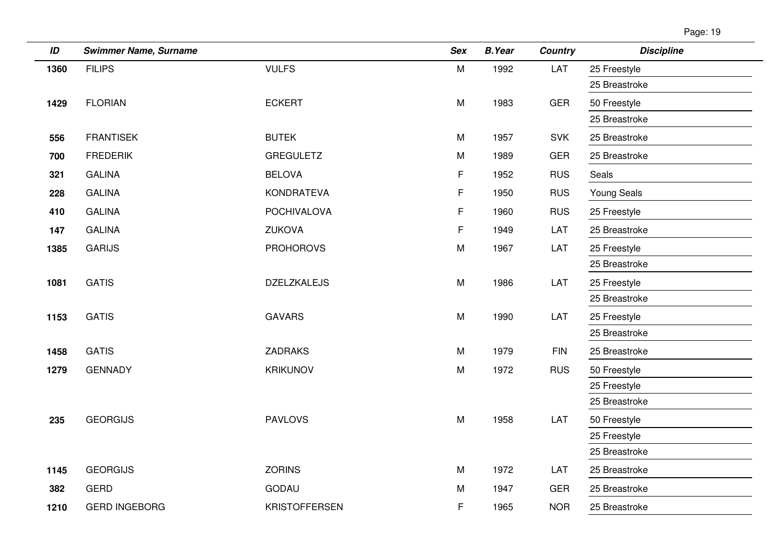| ID   | <b>Swimmer Name, Surname</b> |                      | <b>Sex</b> | <b>B.Year</b> | <b>Country</b> | <b>Discipline</b> |
|------|------------------------------|----------------------|------------|---------------|----------------|-------------------|
| 1360 | <b>FILIPS</b>                | <b>VULFS</b>         | ${\sf M}$  | 1992          | LAT            | 25 Freestyle      |
|      |                              |                      |            |               |                | 25 Breastroke     |
| 1429 | <b>FLORIAN</b>               | <b>ECKERT</b>        | M          | 1983          | <b>GER</b>     | 50 Freestyle      |
|      |                              |                      |            |               |                | 25 Breastroke     |
| 556  | <b>FRANTISEK</b>             | <b>BUTEK</b>         | M          | 1957          | <b>SVK</b>     | 25 Breastroke     |
| 700  | <b>FREDERIK</b>              | <b>GREGULETZ</b>     | M          | 1989          | <b>GER</b>     | 25 Breastroke     |
| 321  | <b>GALINA</b>                | <b>BELOVA</b>        | F          | 1952          | <b>RUS</b>     | Seals             |
| 228  | <b>GALINA</b>                | KONDRATEVA           | F          | 1950          | <b>RUS</b>     | Young Seals       |
| 410  | <b>GALINA</b>                | <b>POCHIVALOVA</b>   | F          | 1960          | <b>RUS</b>     | 25 Freestyle      |
| 147  | <b>GALINA</b>                | <b>ZUKOVA</b>        | F          | 1949          | LAT            | 25 Breastroke     |
| 1385 | <b>GARIJS</b>                | <b>PROHOROVS</b>     | M          | 1967          | LAT            | 25 Freestyle      |
|      |                              |                      |            |               |                | 25 Breastroke     |
| 1081 | <b>GATIS</b>                 | <b>DZELZKALEJS</b>   | ${\sf M}$  | 1986          | LAT            | 25 Freestyle      |
|      |                              |                      |            |               |                | 25 Breastroke     |
| 1153 | <b>GATIS</b>                 | <b>GAVARS</b>        | M          | 1990          | LAT            | 25 Freestyle      |
|      |                              |                      |            |               |                | 25 Breastroke     |
| 1458 | <b>GATIS</b>                 | <b>ZADRAKS</b>       | M          | 1979          | <b>FIN</b>     | 25 Breastroke     |
| 1279 | <b>GENNADY</b>               | <b>KRIKUNOV</b>      | M          | 1972          | <b>RUS</b>     | 50 Freestyle      |
|      |                              |                      |            |               |                | 25 Freestyle      |
|      |                              |                      |            |               |                | 25 Breastroke     |
| 235  | <b>GEORGIJS</b>              | <b>PAVLOVS</b>       | M          | 1958          | LAT            | 50 Freestyle      |
|      |                              |                      |            |               |                | 25 Freestyle      |
|      |                              |                      |            |               |                | 25 Breastroke     |
| 1145 | <b>GEORGIJS</b>              | <b>ZORINS</b>        | M          | 1972          | LAT            | 25 Breastroke     |
| 382  | <b>GERD</b>                  | <b>GODAU</b>         | M          | 1947          | <b>GER</b>     | 25 Breastroke     |
| 1210 | <b>GERD INGEBORG</b>         | <b>KRISTOFFERSEN</b> | F          | 1965          | <b>NOR</b>     | 25 Breastroke     |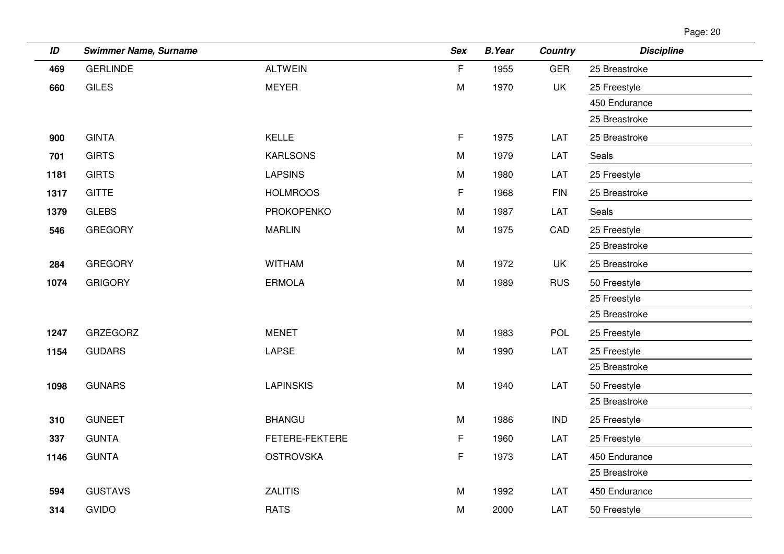| ID   | <b>Swimmer Name, Surname</b> |                   | <b>Sex</b>  | <b>B.Year</b> | <b>Country</b> | <b>Discipline</b> |
|------|------------------------------|-------------------|-------------|---------------|----------------|-------------------|
| 469  | <b>GERLINDE</b>              | <b>ALTWEIN</b>    | $\mathsf F$ | 1955          | <b>GER</b>     | 25 Breastroke     |
| 660  | <b>GILES</b>                 | <b>MEYER</b>      | M           | 1970          | <b>UK</b>      | 25 Freestyle      |
|      |                              |                   |             |               |                | 450 Endurance     |
|      |                              |                   |             |               |                | 25 Breastroke     |
| 900  | <b>GINTA</b>                 | <b>KELLE</b>      | $\mathsf F$ | 1975          | LAT            | 25 Breastroke     |
| 701  | <b>GIRTS</b>                 | <b>KARLSONS</b>   | M           | 1979          | LAT            | Seals             |
| 1181 | <b>GIRTS</b>                 | <b>LAPSINS</b>    | M           | 1980          | LAT            | 25 Freestyle      |
| 1317 | <b>GITTE</b>                 | <b>HOLMROOS</b>   | F           | 1968          | <b>FIN</b>     | 25 Breastroke     |
| 1379 | <b>GLEBS</b>                 | <b>PROKOPENKO</b> | M           | 1987          | LAT            | Seals             |
| 546  | <b>GREGORY</b>               | <b>MARLIN</b>     | M           | 1975          | CAD            | 25 Freestyle      |
|      |                              |                   |             |               |                | 25 Breastroke     |
| 284  | <b>GREGORY</b>               | <b>WITHAM</b>     | M           | 1972          | <b>UK</b>      | 25 Breastroke     |
| 1074 | <b>GRIGORY</b>               | <b>ERMOLA</b>     | M           | 1989          | <b>RUS</b>     | 50 Freestyle      |
|      |                              |                   |             |               |                | 25 Freestyle      |
|      |                              |                   |             |               |                | 25 Breastroke     |
| 1247 | <b>GRZEGORZ</b>              | <b>MENET</b>      | M           | 1983          | <b>POL</b>     | 25 Freestyle      |
| 1154 | <b>GUDARS</b>                | <b>LAPSE</b>      | ${\sf M}$   | 1990          | LAT            | 25 Freestyle      |
|      |                              |                   |             |               |                | 25 Breastroke     |
| 1098 | <b>GUNARS</b>                | <b>LAPINSKIS</b>  | M           | 1940          | LAT            | 50 Freestyle      |
|      |                              |                   |             |               |                | 25 Breastroke     |
| 310  | <b>GUNEET</b>                | <b>BHANGU</b>     | M           | 1986          | <b>IND</b>     | 25 Freestyle      |
| 337  | <b>GUNTA</b>                 | FETERE-FEKTERE    | F           | 1960          | LAT            | 25 Freestyle      |
| 1146 | <b>GUNTA</b>                 | <b>OSTROVSKA</b>  | F           | 1973          | LAT            | 450 Endurance     |
|      |                              |                   |             |               |                | 25 Breastroke     |
| 594  | <b>GUSTAVS</b>               | <b>ZALITIS</b>    | M           | 1992          | LAT            | 450 Endurance     |
| 314  | <b>GVIDO</b>                 | <b>RATS</b>       | M           | 2000          | LAT            | 50 Freestyle      |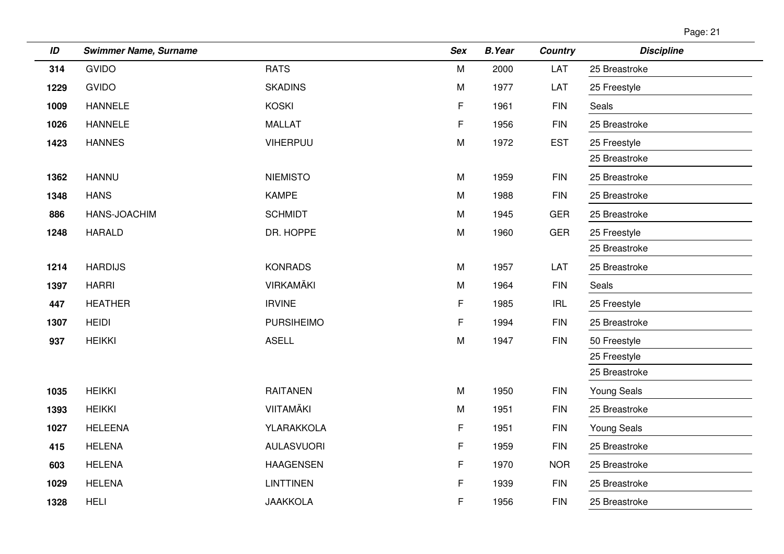| aae: |  |
|------|--|
|      |  |

| ID   | <b>Swimmer Name, Surname</b> |                   | <b>Sex</b> | <b>B.Year</b> | <b>Country</b> | <b>Discipline</b>  |
|------|------------------------------|-------------------|------------|---------------|----------------|--------------------|
| 314  | <b>GVIDO</b>                 | <b>RATS</b>       | M          | 2000          | LAT            | 25 Breastroke      |
| 1229 | <b>GVIDO</b>                 | <b>SKADINS</b>    | M          | 1977          | LAT            | 25 Freestyle       |
| 1009 | <b>HANNELE</b>               | <b>KOSKI</b>      | F          | 1961          | <b>FIN</b>     | Seals              |
| 1026 | <b>HANNELE</b>               | <b>MALLAT</b>     | F          | 1956          | <b>FIN</b>     | 25 Breastroke      |
| 1423 | <b>HANNES</b>                | VIHERPUU          | M          | 1972          | <b>EST</b>     | 25 Freestyle       |
|      |                              |                   |            |               |                | 25 Breastroke      |
| 1362 | <b>HANNU</b>                 | <b>NIEMISTO</b>   | M          | 1959          | <b>FIN</b>     | 25 Breastroke      |
| 1348 | <b>HANS</b>                  | <b>KAMPE</b>      | M          | 1988          | <b>FIN</b>     | 25 Breastroke      |
| 886  | HANS-JOACHIM                 | <b>SCHMIDT</b>    | M          | 1945          | <b>GER</b>     | 25 Breastroke      |
| 1248 | <b>HARALD</b>                | DR. HOPPE         | M          | 1960          | <b>GER</b>     | 25 Freestyle       |
|      |                              |                   |            |               |                | 25 Breastroke      |
| 1214 | <b>HARDIJS</b>               | <b>KONRADS</b>    | M          | 1957          | LAT            | 25 Breastroke      |
| 1397 | <b>HARRI</b>                 | <b>VIRKAMÄKI</b>  | Μ          | 1964          | <b>FIN</b>     | Seals              |
| 447  | <b>HEATHER</b>               | <b>IRVINE</b>     | F          | 1985          | <b>IRL</b>     | 25 Freestyle       |
| 1307 | <b>HEIDI</b>                 | <b>PURSIHEIMO</b> | F          | 1994          | <b>FIN</b>     | 25 Breastroke      |
| 937  | <b>HEIKKI</b>                | <b>ASELL</b>      | M          | 1947          | <b>FIN</b>     | 50 Freestyle       |
|      |                              |                   |            |               |                | 25 Freestyle       |
|      |                              |                   |            |               |                | 25 Breastroke      |
| 1035 | <b>HEIKKI</b>                | <b>RAITANEN</b>   | M          | 1950          | <b>FIN</b>     | Young Seals        |
| 1393 | <b>HEIKKI</b>                | VIITAMÄKI         | M          | 1951          | <b>FIN</b>     | 25 Breastroke      |
| 1027 | <b>HELEENA</b>               | YLARAKKOLA        | F          | 1951          | <b>FIN</b>     | <b>Young Seals</b> |
| 415  | <b>HELENA</b>                | <b>AULASVUORI</b> | F          | 1959          | <b>FIN</b>     | 25 Breastroke      |
| 603  | <b>HELENA</b>                | <b>HAAGENSEN</b>  | F          | 1970          | <b>NOR</b>     | 25 Breastroke      |
| 1029 | <b>HELENA</b>                | <b>LINTTINEN</b>  | F          | 1939          | <b>FIN</b>     | 25 Breastroke      |
| 1328 | <b>HELI</b>                  | <b>JAAKKOLA</b>   | F          | 1956          | <b>FIN</b>     | 25 Breastroke      |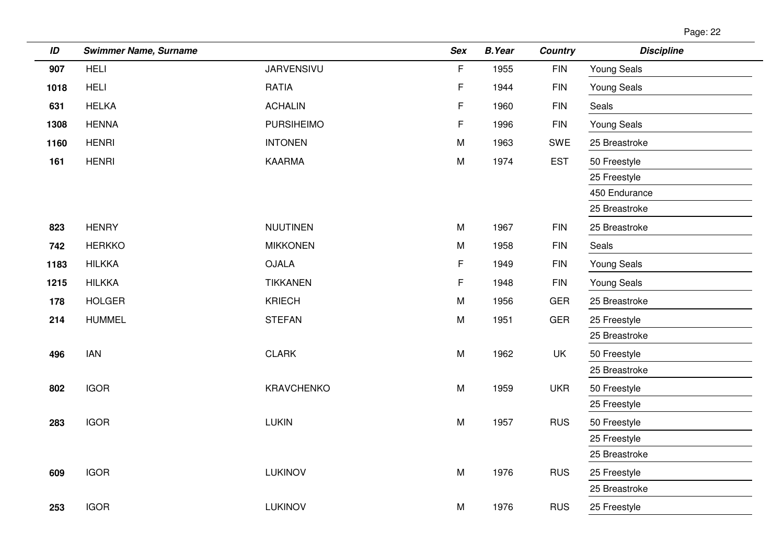| age: |  |
|------|--|
|      |  |

| ID   | <b>Swimmer Name, Surname</b> |                   | <b>Sex</b>  | <b>B.Year</b> | <b>Country</b> | <b>Discipline</b>  |
|------|------------------------------|-------------------|-------------|---------------|----------------|--------------------|
| 907  | <b>HELI</b>                  | <b>JARVENSIVU</b> | $\mathsf F$ | 1955          | <b>FIN</b>     | Young Seals        |
| 1018 | <b>HELI</b>                  | <b>RATIA</b>      | F           | 1944          | <b>FIN</b>     | <b>Young Seals</b> |
| 631  | <b>HELKA</b>                 | <b>ACHALIN</b>    | F           | 1960          | <b>FIN</b>     | Seals              |
| 1308 | <b>HENNA</b>                 | <b>PURSIHEIMO</b> | F           | 1996          | ${\sf FIN}$    | Young Seals        |
| 1160 | <b>HENRI</b>                 | <b>INTONEN</b>    | M           | 1963          | SWE            | 25 Breastroke      |
| 161  | <b>HENRI</b>                 | <b>KAARMA</b>     | M           | 1974          | <b>EST</b>     | 50 Freestyle       |
|      |                              |                   |             |               |                | 25 Freestyle       |
|      |                              |                   |             |               |                | 450 Endurance      |
|      |                              |                   |             |               |                | 25 Breastroke      |
| 823  | <b>HENRY</b>                 | <b>NUUTINEN</b>   | M           | 1967          | <b>FIN</b>     | 25 Breastroke      |
| 742  | <b>HERKKO</b>                | <b>MIKKONEN</b>   | ${\sf M}$   | 1958          | <b>FIN</b>     | Seals              |
| 1183 | <b>HILKKA</b>                | <b>OJALA</b>      | F           | 1949          | <b>FIN</b>     | Young Seals        |
| 1215 | <b>HILKKA</b>                | <b>TIKKANEN</b>   | F           | 1948          | <b>FIN</b>     | <b>Young Seals</b> |
| 178  | <b>HOLGER</b>                | <b>KRIECH</b>     | M           | 1956          | <b>GER</b>     | 25 Breastroke      |
| 214  | <b>HUMMEL</b>                | <b>STEFAN</b>     | M           | 1951          | <b>GER</b>     | 25 Freestyle       |
|      |                              |                   |             |               |                | 25 Breastroke      |
| 496  | <b>IAN</b>                   | <b>CLARK</b>      | ${\sf M}$   | 1962          | UK             | 50 Freestyle       |
|      |                              |                   |             |               |                | 25 Breastroke      |
| 802  | <b>IGOR</b>                  | KRAVCHENKO        | M           | 1959          | <b>UKR</b>     | 50 Freestyle       |
|      |                              |                   |             |               |                | 25 Freestyle       |
| 283  | <b>IGOR</b>                  | <b>LUKIN</b>      | ${\sf M}$   | 1957          | <b>RUS</b>     | 50 Freestyle       |
|      |                              |                   |             |               |                | 25 Freestyle       |
|      |                              |                   |             |               |                | 25 Breastroke      |
| 609  | <b>IGOR</b>                  | LUKINOV           | M           | 1976          | <b>RUS</b>     | 25 Freestyle       |
|      |                              |                   |             |               |                | 25 Breastroke      |
| 253  | <b>IGOR</b>                  | <b>LUKINOV</b>    | M           | 1976          | <b>RUS</b>     | 25 Freestyle       |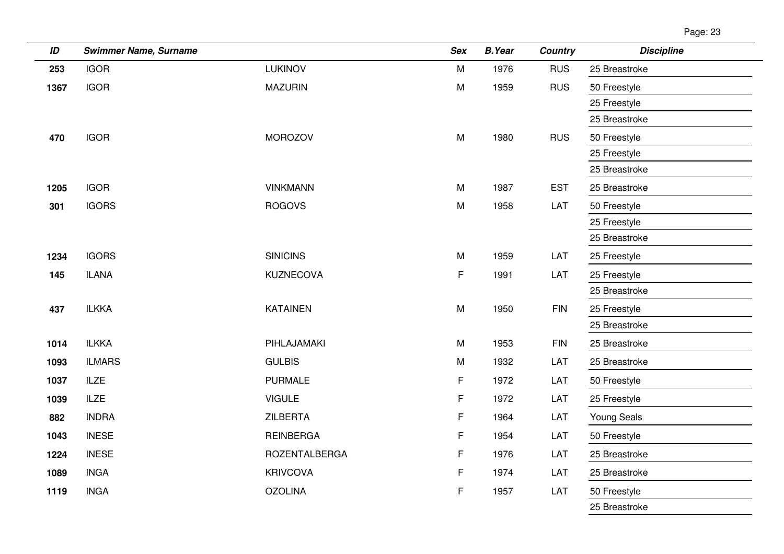| ID   | <b>Swimmer Name, Surname</b> |                      | Sex       | <b>B.Year</b> | <b>Country</b> | <b>Discipline</b>  |
|------|------------------------------|----------------------|-----------|---------------|----------------|--------------------|
| 253  | <b>IGOR</b>                  | <b>LUKINOV</b>       | M         | 1976          | <b>RUS</b>     | 25 Breastroke      |
| 1367 | <b>IGOR</b>                  | <b>MAZURIN</b>       | ${\sf M}$ | 1959          | <b>RUS</b>     | 50 Freestyle       |
|      |                              |                      |           |               |                | 25 Freestyle       |
|      |                              |                      |           |               |                | 25 Breastroke      |
| 470  | <b>IGOR</b>                  | <b>MOROZOV</b>       | M         | 1980          | <b>RUS</b>     | 50 Freestyle       |
|      |                              |                      |           |               |                | 25 Freestyle       |
|      |                              |                      |           |               |                | 25 Breastroke      |
| 1205 | <b>IGOR</b>                  | <b>VINKMANN</b>      | M         | 1987          | <b>EST</b>     | 25 Breastroke      |
| 301  | <b>IGORS</b>                 | <b>ROGOVS</b>        | ${\sf M}$ | 1958          | LAT            | 50 Freestyle       |
|      |                              |                      |           |               |                | 25 Freestyle       |
|      |                              |                      |           |               |                | 25 Breastroke      |
| 1234 | <b>IGORS</b>                 | <b>SINICINS</b>      | M         | 1959          | LAT            | 25 Freestyle       |
| 145  | <b>ILANA</b>                 | <b>KUZNECOVA</b>     | F         | 1991          | LAT            | 25 Freestyle       |
|      |                              |                      |           |               |                | 25 Breastroke      |
| 437  | <b>ILKKA</b>                 | <b>KATAINEN</b>      | M         | 1950          | <b>FIN</b>     | 25 Freestyle       |
|      |                              |                      |           |               |                | 25 Breastroke      |
| 1014 | <b>ILKKA</b>                 | PIHLAJAMAKI          | M         | 1953          | <b>FIN</b>     | 25 Breastroke      |
| 1093 | <b>ILMARS</b>                | <b>GULBIS</b>        | M         | 1932          | LAT            | 25 Breastroke      |
| 1037 | <b>ILZE</b>                  | <b>PURMALE</b>       | F         | 1972          | LAT            | 50 Freestyle       |
| 1039 | <b>ILZE</b>                  | <b>VIGULE</b>        | F         | 1972          | LAT            | 25 Freestyle       |
| 882  | <b>INDRA</b>                 | <b>ZILBERTA</b>      | F         | 1964          | LAT            | <b>Young Seals</b> |
| 1043 | <b>INESE</b>                 | <b>REINBERGA</b>     | F         | 1954          | LAT            | 50 Freestyle       |
| 1224 | <b>INESE</b>                 | <b>ROZENTALBERGA</b> | F         | 1976          | LAT            | 25 Breastroke      |
| 1089 | <b>INGA</b>                  | <b>KRIVCOVA</b>      | F         | 1974          | LAT            | 25 Breastroke      |
| 1119 | <b>INGA</b>                  | <b>OZOLINA</b>       | F         | 1957          | LAT            | 50 Freestyle       |
|      |                              |                      |           |               |                | 25 Breastroke      |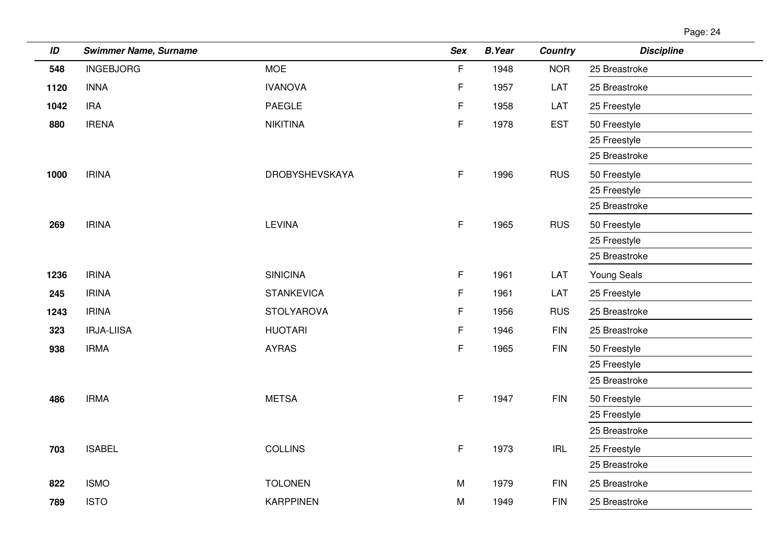| Page: 2 | ◢ |
|---------|---|
|         |   |

| ID   | <b>Swimmer Name, Surname</b> |                       | <b>Sex</b> | <b>B.Year</b> | <b>Country</b>                     | <b>Discipline</b>  |
|------|------------------------------|-----------------------|------------|---------------|------------------------------------|--------------------|
| 548  | <b>INGEBJORG</b>             | <b>MOE</b>            | F          | 1948          | <b>NOR</b>                         | 25 Breastroke      |
| 1120 | <b>INNA</b>                  | <b>IVANOVA</b>        | F          | 1957          | LAT                                | 25 Breastroke      |
| 1042 | <b>IRA</b>                   | <b>PAEGLE</b>         | F          | 1958          | LAT                                | 25 Freestyle       |
| 880  | <b>IRENA</b>                 | <b>NIKITINA</b>       | F          | 1978          | <b>EST</b>                         | 50 Freestyle       |
|      |                              |                       |            |               |                                    | 25 Freestyle       |
|      |                              |                       |            |               |                                    | 25 Breastroke      |
| 1000 | <b>IRINA</b>                 | <b>DROBYSHEVSKAYA</b> | F          | 1996          | <b>RUS</b>                         | 50 Freestyle       |
|      |                              |                       |            |               |                                    | 25 Freestyle       |
|      |                              |                       |            |               |                                    | 25 Breastroke      |
| 269  | <b>IRINA</b>                 | <b>LEVINA</b>         | F          | 1965          | <b>RUS</b>                         | 50 Freestyle       |
|      |                              |                       |            |               |                                    | 25 Freestyle       |
|      |                              |                       |            |               |                                    | 25 Breastroke      |
| 1236 | <b>IRINA</b>                 | <b>SINICINA</b>       | F          | 1961          | LAT                                | <b>Young Seals</b> |
| 245  | <b>IRINA</b>                 | <b>STANKEVICA</b>     | F          | 1961          | LAT                                | 25 Freestyle       |
| 1243 | <b>IRINA</b>                 | <b>STOLYAROVA</b>     | F          | 1956          | <b>RUS</b>                         | 25 Breastroke      |
| 323  | <b>IRJA-LIISA</b>            | <b>HUOTARI</b>        | F          | 1946          | <b>FIN</b>                         | 25 Breastroke      |
| 938  | <b>IRMA</b>                  | <b>AYRAS</b>          | F          | 1965          | <b>FIN</b>                         | 50 Freestyle       |
|      |                              |                       |            |               |                                    | 25 Freestyle       |
|      |                              |                       |            |               |                                    | 25 Breastroke      |
| 486  | <b>IRMA</b>                  | <b>METSA</b>          | F          | 1947          | <b>FIN</b>                         | 50 Freestyle       |
|      |                              |                       |            |               |                                    | 25 Freestyle       |
|      |                              |                       |            |               |                                    | 25 Breastroke      |
| 703  | <b>ISABEL</b>                | <b>COLLINS</b>        | F          | 1973          | $\ensuremath{\mathsf{IRL}}\xspace$ | 25 Freestyle       |
|      |                              |                       |            |               |                                    | 25 Breastroke      |
| 822  | <b>ISMO</b>                  | <b>TOLONEN</b>        | M          | 1979          | <b>FIN</b>                         | 25 Breastroke      |
| 789  | <b>ISTO</b>                  | <b>KARPPINEN</b>      | M          | 1949          | <b>FIN</b>                         | 25 Breastroke      |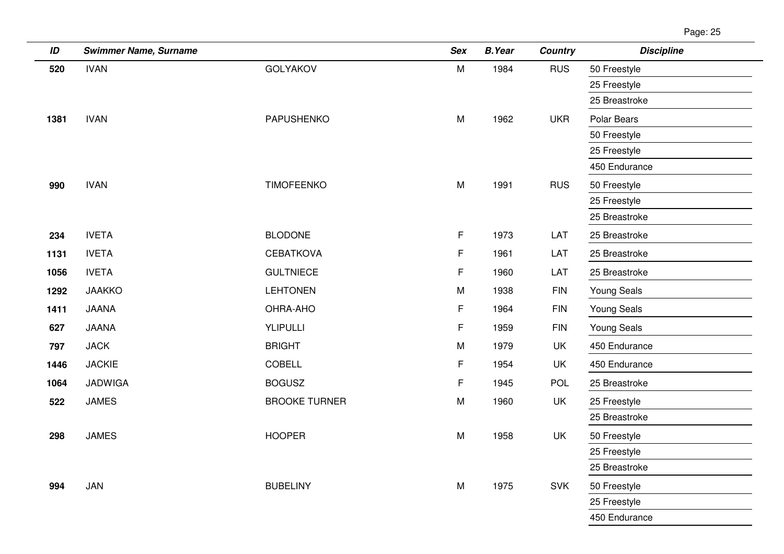| ID   | <b>Swimmer Name, Surname</b> |                      | <b>Sex</b> | <b>B.Year</b> | Country    | <b>Discipline</b>  |
|------|------------------------------|----------------------|------------|---------------|------------|--------------------|
| 520  | <b>IVAN</b>                  | <b>GOLYAKOV</b>      | M          | 1984          | <b>RUS</b> | 50 Freestyle       |
|      |                              |                      |            |               |            | 25 Freestyle       |
|      |                              |                      |            |               |            | 25 Breastroke      |
| 1381 | <b>IVAN</b>                  | <b>PAPUSHENKO</b>    | M          | 1962          | <b>UKR</b> | <b>Polar Bears</b> |
|      |                              |                      |            |               |            | 50 Freestyle       |
|      |                              |                      |            |               |            | 25 Freestyle       |
|      |                              |                      |            |               |            | 450 Endurance      |
| 990  | <b>IVAN</b>                  | <b>TIMOFEENKO</b>    | M          | 1991          | <b>RUS</b> | 50 Freestyle       |
|      |                              |                      |            |               |            | 25 Freestyle       |
|      |                              |                      |            |               |            | 25 Breastroke      |
| 234  | <b>IVETA</b>                 | <b>BLODONE</b>       | F          | 1973          | LAT        | 25 Breastroke      |
| 1131 | <b>IVETA</b>                 | <b>CEBATKOVA</b>     | F          | 1961          | LAT        | 25 Breastroke      |
| 1056 | <b>IVETA</b>                 | <b>GULTNIECE</b>     | F          | 1960          | LAT        | 25 Breastroke      |
| 1292 | <b>JAAKKO</b>                | <b>LEHTONEN</b>      | M          | 1938          | <b>FIN</b> | Young Seals        |
| 1411 | <b>JAANA</b>                 | OHRA-AHO             | F          | 1964          | <b>FIN</b> | <b>Young Seals</b> |
| 627  | <b>JAANA</b>                 | YLIPULLI             | F          | 1959          | <b>FIN</b> | Young Seals        |
| 797  | <b>JACK</b>                  | <b>BRIGHT</b>        | ${\sf M}$  | 1979          | UK         | 450 Endurance      |
| 1446 | <b>JACKIE</b>                | COBELL               | F.         | 1954          | UK         | 450 Endurance      |
| 1064 | <b>JADWIGA</b>               | <b>BOGUSZ</b>        | F          | 1945          | POL        | 25 Breastroke      |
| 522  | <b>JAMES</b>                 | <b>BROOKE TURNER</b> | M          | 1960          | <b>UK</b>  | 25 Freestyle       |
|      |                              |                      |            |               |            | 25 Breastroke      |
| 298  | <b>JAMES</b>                 | <b>HOOPER</b>        | ${\sf M}$  | 1958          | <b>UK</b>  | 50 Freestyle       |
|      |                              |                      |            |               |            | 25 Freestyle       |
|      |                              |                      |            |               |            | 25 Breastroke      |
| 994  | JAN                          | <b>BUBELINY</b>      | ${\sf M}$  | 1975          | <b>SVK</b> | 50 Freestyle       |
|      |                              |                      |            |               |            | 25 Freestyle       |
|      |                              |                      |            |               |            | 450 Endurance      |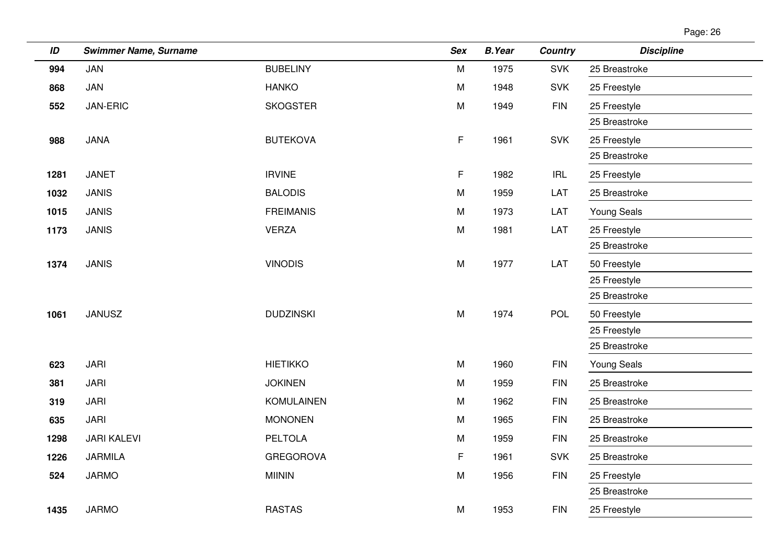| ID   | <b>Swimmer Name, Surname</b> |                   | <b>Sex</b> | <b>B.Year</b> | <b>Country</b>                     | <b>Discipline</b>  |
|------|------------------------------|-------------------|------------|---------------|------------------------------------|--------------------|
| 994  | JAN                          | <b>BUBELINY</b>   | M          | 1975          | <b>SVK</b>                         | 25 Breastroke      |
| 868  | JAN                          | <b>HANKO</b>      | M          | 1948          | <b>SVK</b>                         | 25 Freestyle       |
| 552  | JAN-ERIC                     | <b>SKOGSTER</b>   | M          | 1949          | <b>FIN</b>                         | 25 Freestyle       |
|      |                              |                   |            |               |                                    | 25 Breastroke      |
| 988  | <b>JANA</b>                  | <b>BUTEKOVA</b>   | F.         | 1961          | <b>SVK</b>                         | 25 Freestyle       |
|      |                              |                   |            |               |                                    | 25 Breastroke      |
| 1281 | <b>JANET</b>                 | <b>IRVINE</b>     | F          | 1982          | $\ensuremath{\mathsf{IRL}}\xspace$ | 25 Freestyle       |
| 1032 | <b>JANIS</b>                 | <b>BALODIS</b>    | M          | 1959          | LAT                                | 25 Breastroke      |
| 1015 | <b>JANIS</b>                 | <b>FREIMANIS</b>  | M          | 1973          | LAT                                | <b>Young Seals</b> |
| 1173 | <b>JANIS</b>                 | <b>VERZA</b>      | M          | 1981          | LAT                                | 25 Freestyle       |
|      |                              |                   |            |               |                                    | 25 Breastroke      |
| 1374 | <b>JANIS</b>                 | <b>VINODIS</b>    | M          | 1977          | LAT                                | 50 Freestyle       |
|      |                              |                   |            |               |                                    | 25 Freestyle       |
|      |                              |                   |            |               |                                    | 25 Breastroke      |
| 1061 | <b>JANUSZ</b>                | <b>DUDZINSKI</b>  | M          | 1974          | POL                                | 50 Freestyle       |
|      |                              |                   |            |               |                                    | 25 Freestyle       |
|      |                              |                   |            |               |                                    | 25 Breastroke      |
| 623  | <b>JARI</b>                  | <b>HIETIKKO</b>   | M          | 1960          | <b>FIN</b>                         | <b>Young Seals</b> |
| 381  | <b>JARI</b>                  | <b>JOKINEN</b>    | M          | 1959          | <b>FIN</b>                         | 25 Breastroke      |
| 319  | <b>JARI</b>                  | <b>KOMULAINEN</b> | M          | 1962          | <b>FIN</b>                         | 25 Breastroke      |
| 635  | <b>JARI</b>                  | <b>MONONEN</b>    | M          | 1965          | <b>FIN</b>                         | 25 Breastroke      |
| 1298 | <b>JARI KALEVI</b>           | <b>PELTOLA</b>    | M          | 1959          | <b>FIN</b>                         | 25 Breastroke      |
| 1226 | <b>JARMILA</b>               | <b>GREGOROVA</b>  | F          | 1961          | <b>SVK</b>                         | 25 Breastroke      |
| 524  | <b>JARMO</b>                 | <b>MIININ</b>     | M          | 1956          | <b>FIN</b>                         | 25 Freestyle       |
|      |                              |                   |            |               |                                    | 25 Breastroke      |
| 1435 | <b>JARMO</b>                 | <b>RASTAS</b>     | M          | 1953          | <b>FIN</b>                         | 25 Freestyle       |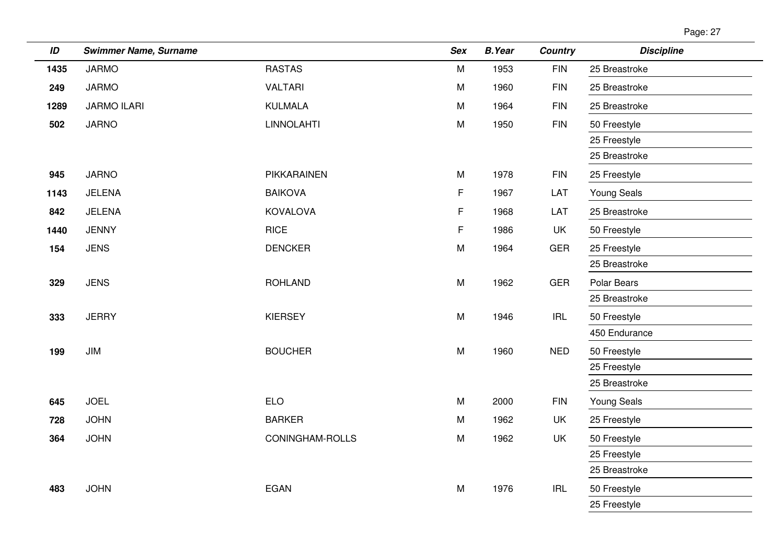| ane: |  |
|------|--|
|      |  |

| ID   | <b>Swimmer Name, Surname</b> |                   | <b>Sex</b> | <b>B.Year</b> | <b>Country</b> | <b>Discipline</b> |
|------|------------------------------|-------------------|------------|---------------|----------------|-------------------|
| 1435 | <b>JARMO</b>                 | <b>RASTAS</b>     | M          | 1953          | <b>FIN</b>     | 25 Breastroke     |
| 249  | <b>JARMO</b>                 | <b>VALTARI</b>    | M          | 1960          | <b>FIN</b>     | 25 Breastroke     |
| 1289 | <b>JARMO ILARI</b>           | <b>KULMALA</b>    | M          | 1964          | <b>FIN</b>     | 25 Breastroke     |
| 502  | <b>JARNO</b>                 | <b>LINNOLAHTI</b> | M          | 1950          | <b>FIN</b>     | 50 Freestyle      |
|      |                              |                   |            |               |                | 25 Freestyle      |
|      |                              |                   |            |               |                | 25 Breastroke     |
| 945  | <b>JARNO</b>                 | PIKKARAINEN       | M          | 1978          | <b>FIN</b>     | 25 Freestyle      |
| 1143 | JELENA                       | <b>BAIKOVA</b>    | F          | 1967          | LAT            | Young Seals       |
| 842  | JELENA                       | <b>KOVALOVA</b>   | F          | 1968          | LAT            | 25 Breastroke     |
| 1440 | <b>JENNY</b>                 | <b>RICE</b>       | F          | 1986          | <b>UK</b>      | 50 Freestyle      |
| 154  | <b>JENS</b>                  | <b>DENCKER</b>    | M          | 1964          | GER            | 25 Freestyle      |
|      |                              |                   |            |               |                | 25 Breastroke     |
| 329  | <b>JENS</b>                  | <b>ROHLAND</b>    | M          | 1962          | <b>GER</b>     | Polar Bears       |
|      |                              |                   |            |               |                | 25 Breastroke     |
| 333  | <b>JERRY</b>                 | <b>KIERSEY</b>    | M          | 1946          | IRL            | 50 Freestyle      |
|      |                              |                   |            |               |                | 450 Endurance     |
| 199  | JIM                          | <b>BOUCHER</b>    | M          | 1960          | <b>NED</b>     | 50 Freestyle      |
|      |                              |                   |            |               |                | 25 Freestyle      |
|      |                              |                   |            |               |                | 25 Breastroke     |
| 645  | <b>JOEL</b>                  | <b>ELO</b>        | M          | 2000          | <b>FIN</b>     | Young Seals       |
| 728  | <b>JOHN</b>                  | <b>BARKER</b>     | M          | 1962          | <b>UK</b>      | 25 Freestyle      |
| 364  | <b>JOHN</b>                  | CONINGHAM-ROLLS   | M          | 1962          | UK             | 50 Freestyle      |
|      |                              |                   |            |               |                | 25 Freestyle      |
|      |                              |                   |            |               |                | 25 Breastroke     |
| 483  | <b>JOHN</b>                  | <b>EGAN</b>       | M          | 1976          | <b>IRL</b>     | 50 Freestyle      |
|      |                              |                   |            |               |                | 25 Freestyle      |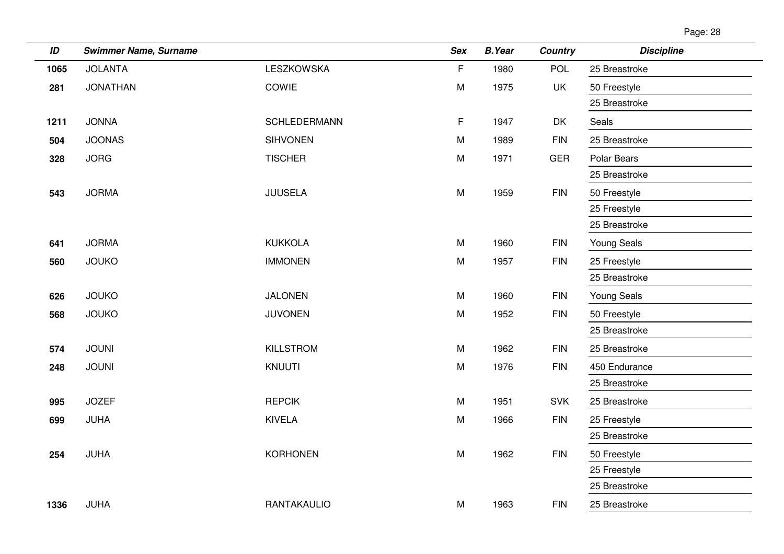| Page: 28 |  |
|----------|--|
|          |  |

| ID   | <b>Swimmer Name, Surname</b> |                     | <b>Sex</b> | <b>B.Year</b> | <b>Country</b> | <b>Discipline</b>  |
|------|------------------------------|---------------------|------------|---------------|----------------|--------------------|
| 1065 | <b>JOLANTA</b>               | <b>LESZKOWSKA</b>   | F          | 1980          | <b>POL</b>     | 25 Breastroke      |
| 281  | <b>JONATHAN</b>              | COWIE               | M          | 1975          | <b>UK</b>      | 50 Freestyle       |
|      |                              |                     |            |               |                | 25 Breastroke      |
| 1211 | <b>JONNA</b>                 | <b>SCHLEDERMANN</b> | F          | 1947          | DK             | Seals              |
| 504  | <b>JOONAS</b>                | <b>SIHVONEN</b>     | M          | 1989          | <b>FIN</b>     | 25 Breastroke      |
| 328  | <b>JORG</b>                  | <b>TISCHER</b>      | M          | 1971          | <b>GER</b>     | Polar Bears        |
|      |                              |                     |            |               |                | 25 Breastroke      |
| 543  | <b>JORMA</b>                 | <b>JUUSELA</b>      | M          | 1959          | <b>FIN</b>     | 50 Freestyle       |
|      |                              |                     |            |               |                | 25 Freestyle       |
|      |                              |                     |            |               |                | 25 Breastroke      |
| 641  | <b>JORMA</b>                 | <b>KUKKOLA</b>      | M          | 1960          | <b>FIN</b>     | <b>Young Seals</b> |
| 560  | <b>JOUKO</b>                 | <b>IMMONEN</b>      | M          | 1957          | <b>FIN</b>     | 25 Freestyle       |
|      |                              |                     |            |               |                | 25 Breastroke      |
| 626  | <b>JOUKO</b>                 | <b>JALONEN</b>      | M          | 1960          | <b>FIN</b>     | Young Seals        |
| 568  | <b>JOUKO</b>                 | <b>JUVONEN</b>      | M          | 1952          | <b>FIN</b>     | 50 Freestyle       |
|      |                              |                     |            |               |                | 25 Breastroke      |
| 574  | <b>JOUNI</b>                 | <b>KILLSTROM</b>    | M          | 1962          | <b>FIN</b>     | 25 Breastroke      |
| 248  | <b>JOUNI</b>                 | <b>KNUUTI</b>       | M          | 1976          | <b>FIN</b>     | 450 Endurance      |
|      |                              |                     |            |               |                | 25 Breastroke      |
| 995  | <b>JOZEF</b>                 | <b>REPCIK</b>       | M          | 1951          | <b>SVK</b>     | 25 Breastroke      |
| 699  | JUHA                         | <b>KIVELA</b>       | M          | 1966          | <b>FIN</b>     | 25 Freestyle       |
|      |                              |                     |            |               |                | 25 Breastroke      |
| 254  | <b>JUHA</b>                  | <b>KORHONEN</b>     | M          | 1962          | <b>FIN</b>     | 50 Freestyle       |
|      |                              |                     |            |               |                | 25 Freestyle       |
|      |                              |                     |            |               |                | 25 Breastroke      |
| 1336 | JUHA                         | RANTAKAULIO         | M          | 1963          | <b>FIN</b>     | 25 Breastroke      |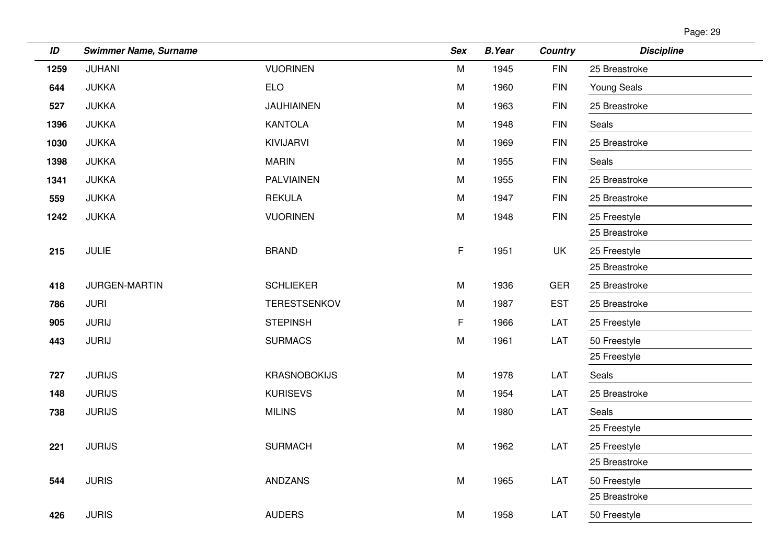| Page: 29 |  |
|----------|--|
|          |  |

| ID   | <b>Swimmer Name, Surname</b> |                     | <b>Sex</b> | <b>B.Year</b> | <b>Country</b> | <b>Discipline</b> |
|------|------------------------------|---------------------|------------|---------------|----------------|-------------------|
| 1259 | <b>JUHANI</b>                | <b>VUORINEN</b>     | M          | 1945          | <b>FIN</b>     | 25 Breastroke     |
| 644  | <b>JUKKA</b>                 | <b>ELO</b>          | M          | 1960          | <b>FIN</b>     | Young Seals       |
| 527  | <b>JUKKA</b>                 | <b>JAUHIAINEN</b>   | ${\sf M}$  | 1963          | <b>FIN</b>     | 25 Breastroke     |
| 1396 | <b>JUKKA</b>                 | <b>KANTOLA</b>      | M          | 1948          | <b>FIN</b>     | Seals             |
| 1030 | <b>JUKKA</b>                 | KIVIJARVI           | M          | 1969          | <b>FIN</b>     | 25 Breastroke     |
| 1398 | <b>JUKKA</b>                 | <b>MARIN</b>        | M          | 1955          | <b>FIN</b>     | Seals             |
| 1341 | <b>JUKKA</b>                 | <b>PALVIAINEN</b>   | M          | 1955          | <b>FIN</b>     | 25 Breastroke     |
| 559  | <b>JUKKA</b>                 | <b>REKULA</b>       | M          | 1947          | <b>FIN</b>     | 25 Breastroke     |
| 1242 | <b>JUKKA</b>                 | <b>VUORINEN</b>     | ${\sf M}$  | 1948          | <b>FIN</b>     | 25 Freestyle      |
|      |                              |                     |            |               |                | 25 Breastroke     |
| 215  | <b>JULIE</b>                 | <b>BRAND</b>        | F.         | 1951          | UK             | 25 Freestyle      |
|      |                              |                     |            |               |                | 25 Breastroke     |
| 418  | JURGEN-MARTIN                | <b>SCHLIEKER</b>    | M          | 1936          | <b>GER</b>     | 25 Breastroke     |
| 786  | <b>JURI</b>                  | <b>TERESTSENKOV</b> | M          | 1987          | <b>EST</b>     | 25 Breastroke     |
| 905  | <b>JURIJ</b>                 | <b>STEPINSH</b>     | F.         | 1966          | LAT            | 25 Freestyle      |
| 443  | <b>JURIJ</b>                 | <b>SURMACS</b>      | ${\sf M}$  | 1961          | LAT            | 50 Freestyle      |
|      |                              |                     |            |               |                | 25 Freestyle      |
| 727  | <b>JURIJS</b>                | <b>KRASNOBOKIJS</b> | M          | 1978          | LAT            | Seals             |
| 148  | <b>JURIJS</b>                | <b>KURISEVS</b>     | M          | 1954          | LAT            | 25 Breastroke     |
| 738  | <b>JURIJS</b>                | <b>MILINS</b>       | M          | 1980          | LAT            | Seals             |
|      |                              |                     |            |               |                | 25 Freestyle      |
| 221  | <b>JURIJS</b>                | <b>SURMACH</b>      | M          | 1962          | LAT            | 25 Freestyle      |
|      |                              |                     |            |               |                | 25 Breastroke     |
| 544  | <b>JURIS</b>                 | <b>ANDZANS</b>      | ${\sf M}$  | 1965          | LAT            | 50 Freestyle      |
|      |                              |                     |            |               |                | 25 Breastroke     |
| 426  | <b>JURIS</b>                 | <b>AUDERS</b>       | ${\sf M}$  | 1958          | LAT            | 50 Freestyle      |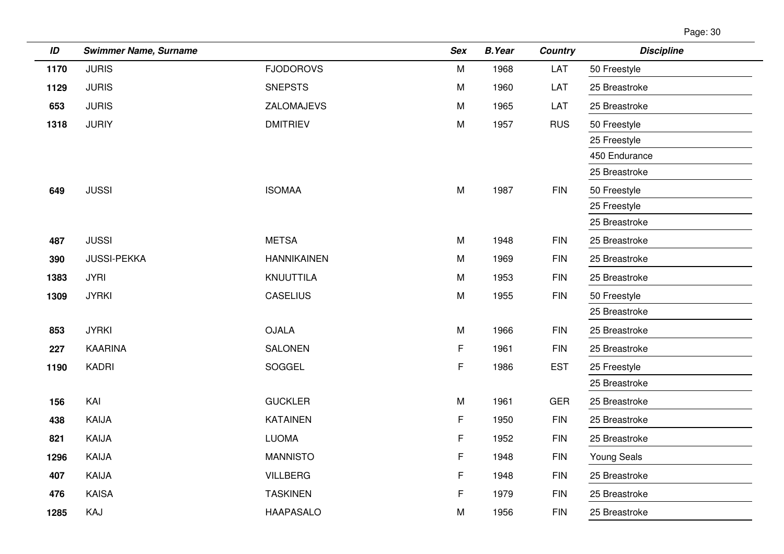| Page: 30 |  |
|----------|--|
|          |  |

| ID   | <b>Swimmer Name, Surname</b> |                    | <b>Sex</b>  | <b>B.Year</b> | <b>Country</b> | <b>Discipline</b>  |
|------|------------------------------|--------------------|-------------|---------------|----------------|--------------------|
| 1170 | <b>JURIS</b>                 | <b>FJODOROVS</b>   | M           | 1968          | LAT            | 50 Freestyle       |
| 1129 | <b>JURIS</b>                 | <b>SNEPSTS</b>     | M           | 1960          | LAT            | 25 Breastroke      |
| 653  | <b>JURIS</b>                 | ZALOMAJEVS         | M           | 1965          | LAT            | 25 Breastroke      |
| 1318 | <b>JURIY</b>                 | <b>DMITRIEV</b>    | M           | 1957          | <b>RUS</b>     | 50 Freestyle       |
|      |                              |                    |             |               |                | 25 Freestyle       |
|      |                              |                    |             |               |                | 450 Endurance      |
|      |                              |                    |             |               |                | 25 Breastroke      |
| 649  | <b>JUSSI</b>                 | <b>ISOMAA</b>      | M           | 1987          | <b>FIN</b>     | 50 Freestyle       |
|      |                              |                    |             |               |                | 25 Freestyle       |
|      |                              |                    |             |               |                | 25 Breastroke      |
| 487  | <b>JUSSI</b>                 | <b>METSA</b>       | M           | 1948          | <b>FIN</b>     | 25 Breastroke      |
| 390  | <b>JUSSI-PEKKA</b>           | <b>HANNIKAINEN</b> | M           | 1969          | <b>FIN</b>     | 25 Breastroke      |
| 1383 | <b>JYRI</b>                  | KNUUTTILA          | M           | 1953          | <b>FIN</b>     | 25 Breastroke      |
| 1309 | <b>JYRKI</b>                 | <b>CASELIUS</b>    | M           | 1955          | <b>FIN</b>     | 50 Freestyle       |
|      |                              |                    |             |               |                | 25 Breastroke      |
| 853  | <b>JYRKI</b>                 | <b>OJALA</b>       | M           | 1966          | <b>FIN</b>     | 25 Breastroke      |
| 227  | <b>KAARINA</b>               | <b>SALONEN</b>     | F           | 1961          | <b>FIN</b>     | 25 Breastroke      |
| 1190 | <b>KADRI</b>                 | SOGGEL             | F           | 1986          | <b>EST</b>     | 25 Freestyle       |
|      |                              |                    |             |               |                | 25 Breastroke      |
| 156  | KAI                          | <b>GUCKLER</b>     | M           | 1961          | <b>GER</b>     | 25 Breastroke      |
| 438  | KAIJA                        | <b>KATAINEN</b>    | F.          | 1950          | <b>FIN</b>     | 25 Breastroke      |
| 821  | KAIJA                        | <b>LUOMA</b>       | F           | 1952          | <b>FIN</b>     | 25 Breastroke      |
| 1296 | KAIJA                        | <b>MANNISTO</b>    | F           | 1948          | <b>FIN</b>     | <b>Young Seals</b> |
| 407  | KAIJA                        | <b>VILLBERG</b>    | $\mathsf F$ | 1948          | <b>FIN</b>     | 25 Breastroke      |
| 476  | <b>KAISA</b>                 | <b>TASKINEN</b>    | F           | 1979          | <b>FIN</b>     | 25 Breastroke      |
| 1285 | KAJ                          | <b>HAAPASALO</b>   | M           | 1956          | <b>FIN</b>     | 25 Breastroke      |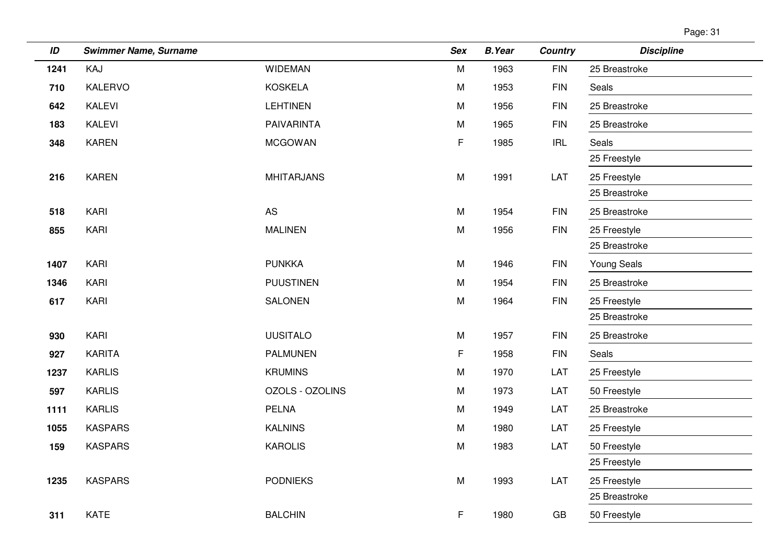| Page: 31 |  |
|----------|--|
|          |  |

| ID   | <b>Swimmer Name, Surname</b> |                   | <b>Sex</b> | <b>B.Year</b> | <b>Country</b>                     | <b>Discipline</b> |
|------|------------------------------|-------------------|------------|---------------|------------------------------------|-------------------|
| 1241 | KAJ                          | <b>WIDEMAN</b>    | M          | 1963          | <b>FIN</b>                         | 25 Breastroke     |
| 710  | KALERVO                      | <b>KOSKELA</b>    | M          | 1953          | <b>FIN</b>                         | Seals             |
| 642  | <b>KALEVI</b>                | <b>LEHTINEN</b>   | M          | 1956          | <b>FIN</b>                         | 25 Breastroke     |
| 183  | <b>KALEVI</b>                | PAIVARINTA        | M          | 1965          | <b>FIN</b>                         | 25 Breastroke     |
| 348  | <b>KAREN</b>                 | <b>MCGOWAN</b>    | F          | 1985          | $\ensuremath{\mathsf{IRL}}\xspace$ | Seals             |
|      |                              |                   |            |               |                                    | 25 Freestyle      |
| 216  | <b>KAREN</b>                 | <b>MHITARJANS</b> | M          | 1991          | LAT                                | 25 Freestyle      |
|      |                              |                   |            |               |                                    | 25 Breastroke     |
| 518  | KARI                         | <b>AS</b>         | M          | 1954          | <b>FIN</b>                         | 25 Breastroke     |
| 855  | KARI                         | <b>MALINEN</b>    | M          | 1956          | <b>FIN</b>                         | 25 Freestyle      |
|      |                              |                   |            |               |                                    | 25 Breastroke     |
| 1407 | KARI                         | <b>PUNKKA</b>     | M          | 1946          | <b>FIN</b>                         | Young Seals       |
| 1346 | KARI                         | <b>PUUSTINEN</b>  | M          | 1954          | <b>FIN</b>                         | 25 Breastroke     |
| 617  | KARI                         | SALONEN           | M          | 1964          | <b>FIN</b>                         | 25 Freestyle      |
|      |                              |                   |            |               |                                    | 25 Breastroke     |
| 930  | KARI                         | <b>UUSITALO</b>   | M          | 1957          | <b>FIN</b>                         | 25 Breastroke     |
| 927  | <b>KARITA</b>                | <b>PALMUNEN</b>   | F          | 1958          | <b>FIN</b>                         | Seals             |
| 1237 | <b>KARLIS</b>                | <b>KRUMINS</b>    | M          | 1970          | LAT                                | 25 Freestyle      |
| 597  | <b>KARLIS</b>                | OZOLS - OZOLINS   | M          | 1973          | LAT                                | 50 Freestyle      |
| 1111 | <b>KARLIS</b>                | <b>PELNA</b>      | M          | 1949          | LAT                                | 25 Breastroke     |
| 1055 | <b>KASPARS</b>               | <b>KALNINS</b>    | M          | 1980          | LAT                                | 25 Freestyle      |
| 159  | <b>KASPARS</b>               | <b>KAROLIS</b>    | M          | 1983          | LAT                                | 50 Freestyle      |
|      |                              |                   |            |               |                                    | 25 Freestyle      |
| 1235 | <b>KASPARS</b>               | <b>PODNIEKS</b>   | M          | 1993          | LAT                                | 25 Freestyle      |
|      |                              |                   |            |               |                                    | 25 Breastroke     |
| 311  | <b>KATE</b>                  | <b>BALCHIN</b>    | F          | 1980          | GB                                 | 50 Freestyle      |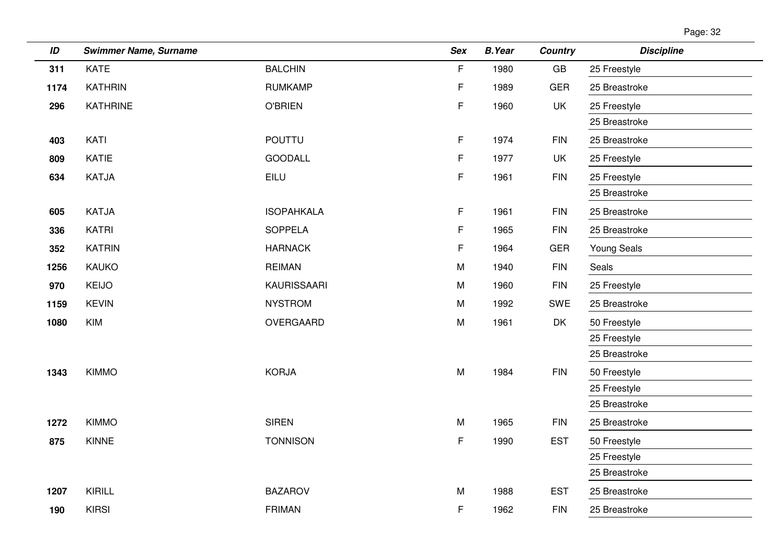| Page: 32 |  |
|----------|--|
|          |  |

| ID   | <b>Swimmer Name, Surname</b> |                   | <b>Sex</b> | <b>B.Year</b> | <b>Country</b>         | <b>Discipline</b>  |
|------|------------------------------|-------------------|------------|---------------|------------------------|--------------------|
| 311  | <b>KATE</b>                  | <b>BALCHIN</b>    | F          | 1980          | $\mathsf{G}\mathsf{B}$ | 25 Freestyle       |
| 1174 | <b>KATHRIN</b>               | <b>RUMKAMP</b>    | F.         | 1989          | <b>GER</b>             | 25 Breastroke      |
| 296  | <b>KATHRINE</b>              | <b>O'BRIEN</b>    | F.         | 1960          | <b>UK</b>              | 25 Freestyle       |
|      |                              |                   |            |               |                        | 25 Breastroke      |
| 403  | KATI                         | <b>POUTTU</b>     | F.         | 1974          | <b>FIN</b>             | 25 Breastroke      |
| 809  | <b>KATIE</b>                 | <b>GOODALL</b>    | F.         | 1977          | UK                     | 25 Freestyle       |
| 634  | KATJA                        | EILU              | F.         | 1961          | <b>FIN</b>             | 25 Freestyle       |
|      |                              |                   |            |               |                        | 25 Breastroke      |
| 605  | <b>KATJA</b>                 | <b>ISOPAHKALA</b> | F          | 1961          | <b>FIN</b>             | 25 Breastroke      |
| 336  | <b>KATRI</b>                 | <b>SOPPELA</b>    | F.         | 1965          | <b>FIN</b>             | 25 Breastroke      |
| 352  | <b>KATRIN</b>                | <b>HARNACK</b>    | F.         | 1964          | <b>GER</b>             | <b>Young Seals</b> |
| 1256 | <b>KAUKO</b>                 | <b>REIMAN</b>     | M          | 1940          | <b>FIN</b>             | Seals              |
| 970  | <b>KEIJO</b>                 | KAURISSAARI       | M          | 1960          | <b>FIN</b>             | 25 Freestyle       |
| 1159 | <b>KEVIN</b>                 | <b>NYSTROM</b>    | M          | 1992          | SWE                    | 25 Breastroke      |
| 1080 | <b>KIM</b>                   | OVERGAARD         | M          | 1961          | DK                     | 50 Freestyle       |
|      |                              |                   |            |               |                        | 25 Freestyle       |
|      |                              |                   |            |               |                        | 25 Breastroke      |
| 1343 | <b>KIMMO</b>                 | <b>KORJA</b>      | ${\sf M}$  | 1984          | <b>FIN</b>             | 50 Freestyle       |
|      |                              |                   |            |               |                        | 25 Freestyle       |
|      |                              |                   |            |               |                        | 25 Breastroke      |
| 1272 | <b>KIMMO</b>                 | <b>SIREN</b>      | M          | 1965          | <b>FIN</b>             | 25 Breastroke      |
| 875  | <b>KINNE</b>                 | <b>TONNISON</b>   | F.         | 1990          | <b>EST</b>             | 50 Freestyle       |
|      |                              |                   |            |               |                        | 25 Freestyle       |
|      |                              |                   |            |               |                        | 25 Breastroke      |
| 1207 | KIRILL                       | <b>BAZAROV</b>    | M          | 1988          | <b>EST</b>             | 25 Breastroke      |
| 190  | <b>KIRSI</b>                 | <b>FRIMAN</b>     | F.         | 1962          | <b>FIN</b>             | 25 Breastroke      |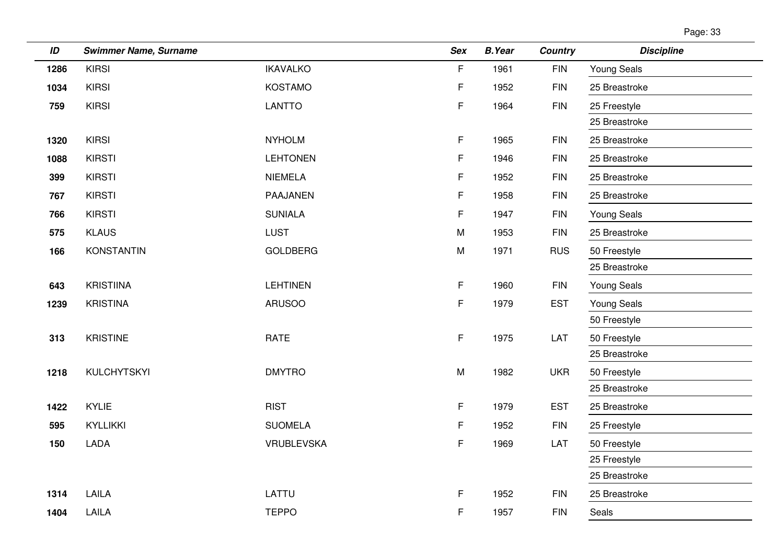| Page: 33 |  |
|----------|--|
|          |  |

| ID   | <b>Swimmer Name, Surname</b> |                   | <b>Sex</b> | <b>B.Year</b> | <b>Country</b> | <b>Discipline</b>  |
|------|------------------------------|-------------------|------------|---------------|----------------|--------------------|
| 1286 | <b>KIRSI</b>                 | <b>IKAVALKO</b>   | F          | 1961          | <b>FIN</b>     | <b>Young Seals</b> |
| 1034 | <b>KIRSI</b>                 | <b>KOSTAMO</b>    | F.         | 1952          | <b>FIN</b>     | 25 Breastroke      |
| 759  | <b>KIRSI</b>                 | <b>LANTTO</b>     | F          | 1964          | <b>FIN</b>     | 25 Freestyle       |
|      |                              |                   |            |               |                | 25 Breastroke      |
| 1320 | <b>KIRSI</b>                 | <b>NYHOLM</b>     | F.         | 1965          | <b>FIN</b>     | 25 Breastroke      |
| 1088 | <b>KIRSTI</b>                | <b>LEHTONEN</b>   | F.         | 1946          | <b>FIN</b>     | 25 Breastroke      |
| 399  | <b>KIRSTI</b>                | <b>NIEMELA</b>    | F.         | 1952          | <b>FIN</b>     | 25 Breastroke      |
| 767  | <b>KIRSTI</b>                | PAAJANEN          | F          | 1958          | <b>FIN</b>     | 25 Breastroke      |
| 766  | <b>KIRSTI</b>                | <b>SUNIALA</b>    | F.         | 1947          | <b>FIN</b>     | <b>Young Seals</b> |
| 575  | <b>KLAUS</b>                 | <b>LUST</b>       | M          | 1953          | <b>FIN</b>     | 25 Breastroke      |
| 166  | <b>KONSTANTIN</b>            | <b>GOLDBERG</b>   | ${\sf M}$  | 1971          | <b>RUS</b>     | 50 Freestyle       |
|      |                              |                   |            |               |                | 25 Breastroke      |
| 643  | <b>KRISTIINA</b>             | <b>LEHTINEN</b>   | F          | 1960          | <b>FIN</b>     | <b>Young Seals</b> |
| 1239 | <b>KRISTINA</b>              | <b>ARUSOO</b>     | F.         | 1979          | <b>EST</b>     | <b>Young Seals</b> |
|      |                              |                   |            |               |                | 50 Freestyle       |
| 313  | <b>KRISTINE</b>              | <b>RATE</b>       | F          | 1975          | LAT            | 50 Freestyle       |
|      |                              |                   |            |               |                | 25 Breastroke      |
| 1218 | <b>KULCHYTSKYI</b>           | <b>DMYTRO</b>     | M          | 1982          | <b>UKR</b>     | 50 Freestyle       |
|      |                              |                   |            |               |                | 25 Breastroke      |
| 1422 | <b>KYLIE</b>                 | <b>RIST</b>       | F          | 1979          | <b>EST</b>     | 25 Breastroke      |
| 595  | KYLLIKKI                     | <b>SUOMELA</b>    | F.         | 1952          | <b>FIN</b>     | 25 Freestyle       |
| 150  | <b>LADA</b>                  | <b>VRUBLEVSKA</b> | F          | 1969          | LAT            | 50 Freestyle       |
|      |                              |                   |            |               |                | 25 Freestyle       |
|      |                              |                   |            |               |                | 25 Breastroke      |
| 1314 | LAILA                        | LATTU             | F.         | 1952          | <b>FIN</b>     | 25 Breastroke      |
| 1404 | LAILA                        | <b>TEPPO</b>      | F.         | 1957          | <b>FIN</b>     | Seals              |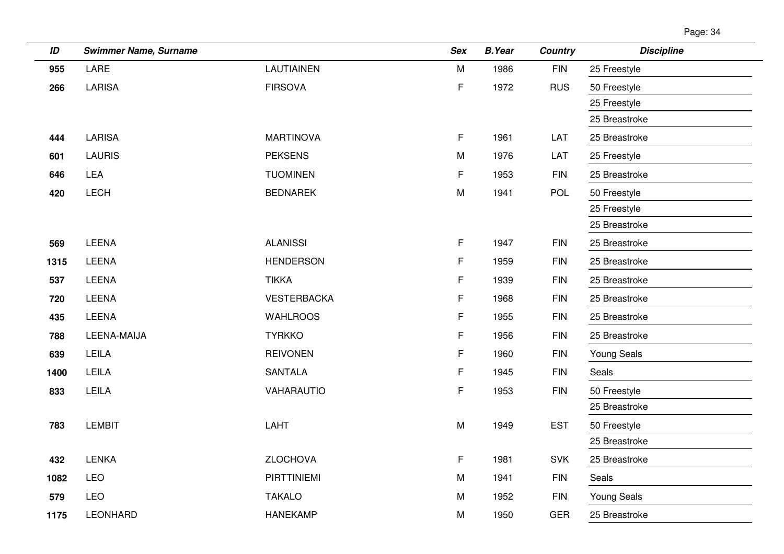| ID   | <b>Swimmer Name, Surname</b> |                    | <b>Sex</b> | <b>B.Year</b> | <b>Country</b> | <b>Discipline</b>  |
|------|------------------------------|--------------------|------------|---------------|----------------|--------------------|
| 955  | LARE                         | <b>LAUTIAINEN</b>  | M          | 1986          | <b>FIN</b>     | 25 Freestyle       |
| 266  | <b>LARISA</b>                | <b>FIRSOVA</b>     | F          | 1972          | <b>RUS</b>     | 50 Freestyle       |
|      |                              |                    |            |               |                | 25 Freestyle       |
|      |                              |                    |            |               |                | 25 Breastroke      |
| 444  | <b>LARISA</b>                | <b>MARTINOVA</b>   | F.         | 1961          | LAT            | 25 Breastroke      |
| 601  | <b>LAURIS</b>                | <b>PEKSENS</b>     | M          | 1976          | LAT            | 25 Freestyle       |
| 646  | LEA                          | <b>TUOMINEN</b>    | F          | 1953          | <b>FIN</b>     | 25 Breastroke      |
| 420  | LECH                         | <b>BEDNAREK</b>    | M          | 1941          | POL            | 50 Freestyle       |
|      |                              |                    |            |               |                | 25 Freestyle       |
|      |                              |                    |            |               |                | 25 Breastroke      |
| 569  | LEENA                        | <b>ALANISSI</b>    | F          | 1947          | <b>FIN</b>     | 25 Breastroke      |
| 1315 | <b>LEENA</b>                 | <b>HENDERSON</b>   | F          | 1959          | $\mathsf{FIN}$ | 25 Breastroke      |
| 537  | <b>LEENA</b>                 | <b>TIKKA</b>       | F          | 1939          | <b>FIN</b>     | 25 Breastroke      |
| 720  | <b>LEENA</b>                 | <b>VESTERBACKA</b> | F          | 1968          | <b>FIN</b>     | 25 Breastroke      |
| 435  | LEENA                        | <b>WAHLROOS</b>    | F          | 1955          | <b>FIN</b>     | 25 Breastroke      |
| 788  | LEENA-MAIJA                  | <b>TYRKKO</b>      | F          | 1956          | <b>FIN</b>     | 25 Breastroke      |
| 639  | LEILA                        | <b>REIVONEN</b>    | F          | 1960          | <b>FIN</b>     | <b>Young Seals</b> |
| 1400 | LEILA                        | <b>SANTALA</b>     | F          | 1945          | <b>FIN</b>     | Seals              |
| 833  | LEILA                        | VAHARAUTIO         | F          | 1953          | <b>FIN</b>     | 50 Freestyle       |
|      |                              |                    |            |               |                | 25 Breastroke      |
| 783  | <b>LEMBIT</b>                | LAHT               | M          | 1949          | <b>EST</b>     | 50 Freestyle       |
|      |                              |                    |            |               |                | 25 Breastroke      |
| 432  | <b>LENKA</b>                 | <b>ZLOCHOVA</b>    | F.         | 1981          | <b>SVK</b>     | 25 Breastroke      |
| 1082 | <b>LEO</b>                   | <b>PIRTTINIEMI</b> | M          | 1941          | <b>FIN</b>     | Seals              |
| 579  | <b>LEO</b>                   | <b>TAKALO</b>      | M          | 1952          | <b>FIN</b>     | <b>Young Seals</b> |
| 1175 | <b>LEONHARD</b>              | <b>HANEKAMP</b>    | M          | 1950          | <b>GER</b>     | 25 Breastroke      |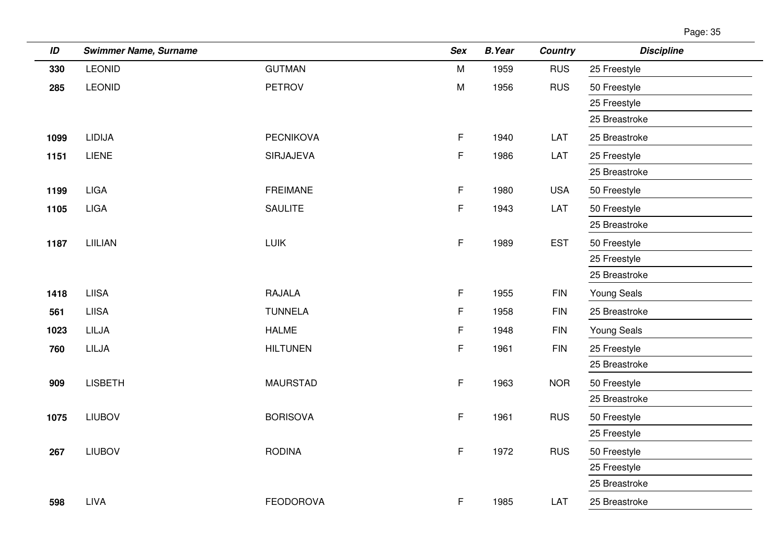| ID   | <b>Swimmer Name, Surname</b> |                  | <b>Sex</b> | <b>B.Year</b> | <b>Country</b> | <b>Discipline</b> |
|------|------------------------------|------------------|------------|---------------|----------------|-------------------|
| 330  | <b>LEONID</b>                | <b>GUTMAN</b>    | M          | 1959          | <b>RUS</b>     | 25 Freestyle      |
| 285  | <b>LEONID</b>                | <b>PETROV</b>    | M          | 1956          | <b>RUS</b>     | 50 Freestyle      |
|      |                              |                  |            |               |                | 25 Freestyle      |
|      |                              |                  |            |               |                | 25 Breastroke     |
| 1099 | <b>LIDIJA</b>                | <b>PECNIKOVA</b> | F          | 1940          | LAT            | 25 Breastroke     |
| 1151 | <b>LIENE</b>                 | SIRJAJEVA        | F          | 1986          | LAT            | 25 Freestyle      |
|      |                              |                  |            |               |                | 25 Breastroke     |
| 1199 | <b>LIGA</b>                  | <b>FREIMANE</b>  | F          | 1980          | <b>USA</b>     | 50 Freestyle      |
| 1105 | <b>LIGA</b>                  | <b>SAULITE</b>   | F          | 1943          | LAT            | 50 Freestyle      |
|      |                              |                  |            |               |                | 25 Breastroke     |
| 1187 | LIILIAN                      | <b>LUIK</b>      | F          | 1989          | <b>EST</b>     | 50 Freestyle      |
|      |                              |                  |            |               |                | 25 Freestyle      |
|      |                              |                  |            |               |                | 25 Breastroke     |
| 1418 | <b>LIISA</b>                 | <b>RAJALA</b>    | F          | 1955          | <b>FIN</b>     | Young Seals       |
| 561  | <b>LIISA</b>                 | <b>TUNNELA</b>   | F          | 1958          | <b>FIN</b>     | 25 Breastroke     |
| 1023 | LILJA                        | <b>HALME</b>     | F          | 1948          | <b>FIN</b>     | Young Seals       |
| 760  | LILJA                        | <b>HILTUNEN</b>  | F          | 1961          | <b>FIN</b>     | 25 Freestyle      |
|      |                              |                  |            |               |                | 25 Breastroke     |
| 909  | <b>LISBETH</b>               | <b>MAURSTAD</b>  | F          | 1963          | <b>NOR</b>     | 50 Freestyle      |
|      |                              |                  |            |               |                | 25 Breastroke     |
| 1075 | <b>LIUBOV</b>                | <b>BORISOVA</b>  | F          | 1961          | <b>RUS</b>     | 50 Freestyle      |
|      |                              |                  |            |               |                | 25 Freestyle      |
| 267  | <b>LIUBOV</b>                | <b>RODINA</b>    | F          | 1972          | <b>RUS</b>     | 50 Freestyle      |
|      |                              |                  |            |               |                | 25 Freestyle      |
|      |                              |                  |            |               |                | 25 Breastroke     |
| 598  | <b>LIVA</b>                  | <b>FEODOROVA</b> | F          | 1985          | LAT            | 25 Breastroke     |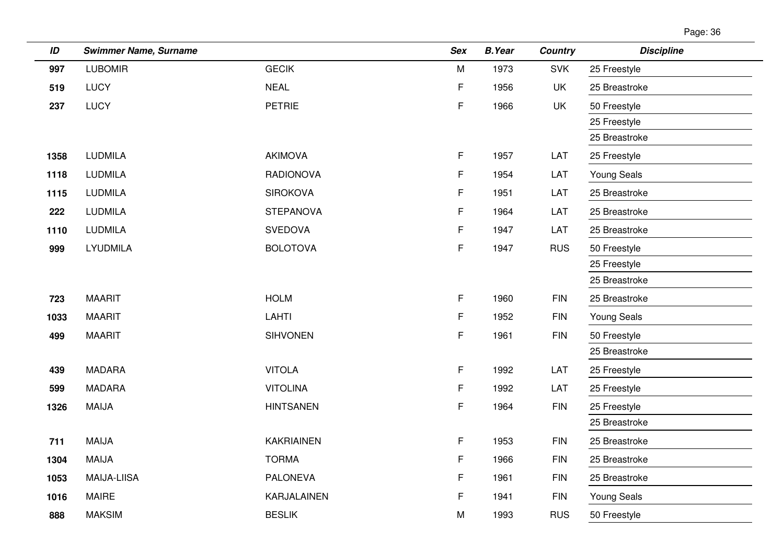| ID   | <b>Swimmer Name, Surname</b> |                   | <b>Sex</b> | <b>B.Year</b> | <b>Country</b> | <b>Discipline</b>  |
|------|------------------------------|-------------------|------------|---------------|----------------|--------------------|
| 997  | <b>LUBOMIR</b>               | <b>GECIK</b>      | M          | 1973          | <b>SVK</b>     | 25 Freestyle       |
| 519  | <b>LUCY</b>                  | <b>NEAL</b>       | F.         | 1956          | UK             | 25 Breastroke      |
| 237  | <b>LUCY</b>                  | <b>PETRIE</b>     | F          | 1966          | UK             | 50 Freestyle       |
|      |                              |                   |            |               |                | 25 Freestyle       |
|      |                              |                   |            |               |                | 25 Breastroke      |
| 1358 | <b>LUDMILA</b>               | <b>AKIMOVA</b>    | F.         | 1957          | LAT            | 25 Freestyle       |
| 1118 | <b>LUDMILA</b>               | <b>RADIONOVA</b>  | F.         | 1954          | LAT            | <b>Young Seals</b> |
| 1115 | <b>LUDMILA</b>               | <b>SIROKOVA</b>   | F.         | 1951          | LAT            | 25 Breastroke      |
| 222  | <b>LUDMILA</b>               | <b>STEPANOVA</b>  | F.         | 1964          | LAT            | 25 Breastroke      |
| 1110 | <b>LUDMILA</b>               | <b>SVEDOVA</b>    | F.         | 1947          | LAT            | 25 Breastroke      |
| 999  | <b>LYUDMILA</b>              | <b>BOLOTOVA</b>   | F          | 1947          | <b>RUS</b>     | 50 Freestyle       |
|      |                              |                   |            |               |                | 25 Freestyle       |
|      |                              |                   |            |               |                | 25 Breastroke      |
| 723  | <b>MAARIT</b>                | <b>HOLM</b>       | F.         | 1960          | <b>FIN</b>     | 25 Breastroke      |
| 1033 | <b>MAARIT</b>                | <b>LAHTI</b>      | F          | 1952          | FIN            | <b>Young Seals</b> |
| 499  | <b>MAARIT</b>                | <b>SIHVONEN</b>   | F.         | 1961          | FIN            | 50 Freestyle       |
|      |                              |                   |            |               |                | 25 Breastroke      |
| 439  | <b>MADARA</b>                | <b>VITOLA</b>     | F.         | 1992          | LAT            | 25 Freestyle       |
| 599  | <b>MADARA</b>                | <b>VITOLINA</b>   | F          | 1992          | LAT            | 25 Freestyle       |
| 1326 | <b>MAIJA</b>                 | <b>HINTSANEN</b>  | F.         | 1964          | <b>FIN</b>     | 25 Freestyle       |
|      |                              |                   |            |               |                | 25 Breastroke      |
| 711  | <b>MAIJA</b>                 | <b>KAKRIAINEN</b> | F          | 1953          | <b>FIN</b>     | 25 Breastroke      |
| 1304 | <b>MAIJA</b>                 | <b>TORMA</b>      | F.         | 1966          | <b>FIN</b>     | 25 Breastroke      |
| 1053 | <b>MAIJA-LIISA</b>           | <b>PALONEVA</b>   | F.         | 1961          | FIN            | 25 Breastroke      |
| 1016 | <b>MAIRE</b>                 | KARJALAINEN       | F          | 1941          | <b>FIN</b>     | <b>Young Seals</b> |
| 888  | <b>MAKSIM</b>                | <b>BESLIK</b>     | M          | 1993          | <b>RUS</b>     | 50 Freestyle       |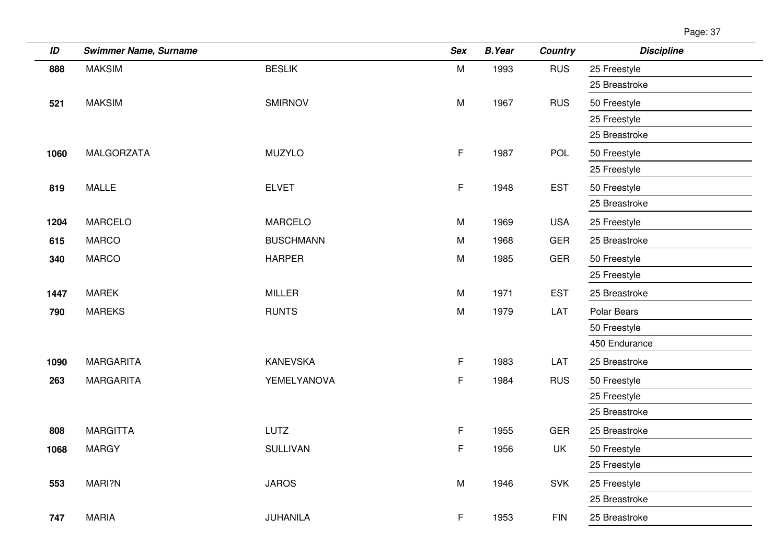| ID   | <b>Swimmer Name, Surname</b> |                  | <b>Sex</b>  | <b>B.Year</b> | <b>Country</b> | <b>Discipline</b> |
|------|------------------------------|------------------|-------------|---------------|----------------|-------------------|
| 888  | <b>MAKSIM</b>                | <b>BESLIK</b>    | M           | 1993          | <b>RUS</b>     | 25 Freestyle      |
|      |                              |                  |             |               |                | 25 Breastroke     |
| 521  | <b>MAKSIM</b>                | <b>SMIRNOV</b>   | M           | 1967          | <b>RUS</b>     | 50 Freestyle      |
|      |                              |                  |             |               |                | 25 Freestyle      |
|      |                              |                  |             |               |                | 25 Breastroke     |
| 1060 | MALGORZATA                   | <b>MUZYLO</b>    | F           | 1987          | <b>POL</b>     | 50 Freestyle      |
|      |                              |                  |             |               |                | 25 Freestyle      |
| 819  | <b>MALLE</b>                 | <b>ELVET</b>     | F.          | 1948          | <b>EST</b>     | 50 Freestyle      |
|      |                              |                  |             |               |                | 25 Breastroke     |
| 1204 | <b>MARCELO</b>               | <b>MARCELO</b>   | M           | 1969          | <b>USA</b>     | 25 Freestyle      |
| 615  | <b>MARCO</b>                 | <b>BUSCHMANN</b> | M           | 1968          | <b>GER</b>     | 25 Breastroke     |
| 340  | <b>MARCO</b>                 | <b>HARPER</b>    | M           | 1985          | GER            | 50 Freestyle      |
|      |                              |                  |             |               |                | 25 Freestyle      |
| 1447 | <b>MAREK</b>                 | <b>MILLER</b>    | M           | 1971          | <b>EST</b>     | 25 Breastroke     |
| 790  | <b>MAREKS</b>                | <b>RUNTS</b>     | M           | 1979          | LAT            | Polar Bears       |
|      |                              |                  |             |               |                | 50 Freestyle      |
|      |                              |                  |             |               |                | 450 Endurance     |
| 1090 | <b>MARGARITA</b>             | <b>KANEVSKA</b>  | $\mathsf F$ | 1983          | LAT            | 25 Breastroke     |
| 263  | <b>MARGARITA</b>             | YEMELYANOVA      | $\mathsf F$ | 1984          | <b>RUS</b>     | 50 Freestyle      |
|      |                              |                  |             |               |                | 25 Freestyle      |
|      |                              |                  |             |               |                | 25 Breastroke     |
| 808  | <b>MARGITTA</b>              | LUTZ             | F           | 1955          | <b>GER</b>     | 25 Breastroke     |
| 1068 | <b>MARGY</b>                 | <b>SULLIVAN</b>  | F.          | 1956          | UK             | 50 Freestyle      |
|      |                              |                  |             |               |                | 25 Freestyle      |
| 553  | MARI?N                       | <b>JAROS</b>     | M           | 1946          | SVK            | 25 Freestyle      |
|      |                              |                  |             |               |                | 25 Breastroke     |
| 747  | <b>MARIA</b>                 | JUHANILA         | F.          | 1953          | <b>FIN</b>     | 25 Breastroke     |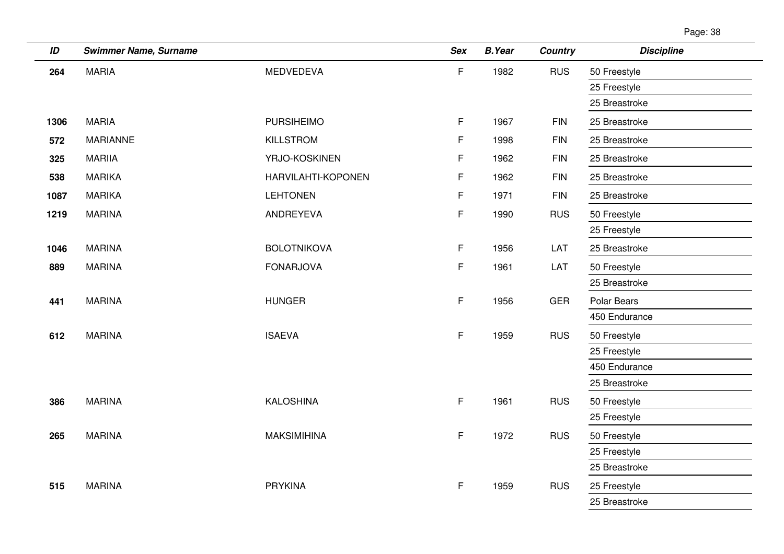| ID   | <b>Swimmer Name, Surname</b> |                    | <b>Sex</b>  | <b>B.Year</b> | <b>Country</b> | <b>Discipline</b> |
|------|------------------------------|--------------------|-------------|---------------|----------------|-------------------|
| 264  | <b>MARIA</b>                 | <b>MEDVEDEVA</b>   | F           | 1982          | <b>RUS</b>     | 50 Freestyle      |
|      |                              |                    |             |               |                | 25 Freestyle      |
|      |                              |                    |             |               |                | 25 Breastroke     |
| 1306 | <b>MARIA</b>                 | <b>PURSIHEIMO</b>  | $\mathsf F$ | 1967          | <b>FIN</b>     | 25 Breastroke     |
| 572  | <b>MARIANNE</b>              | KILLSTROM          | F           | 1998          | <b>FIN</b>     | 25 Breastroke     |
| 325  | <b>MARIIA</b>                | YRJO-KOSKINEN      | F           | 1962          | <b>FIN</b>     | 25 Breastroke     |
| 538  | <b>MARIKA</b>                | HARVILAHTI-KOPONEN | F           | 1962          | <b>FIN</b>     | 25 Breastroke     |
| 1087 | <b>MARIKA</b>                | <b>LEHTONEN</b>    | F           | 1971          | <b>FIN</b>     | 25 Breastroke     |
| 1219 | <b>MARINA</b>                | ANDREYEVA          | F           | 1990          | <b>RUS</b>     | 50 Freestyle      |
|      |                              |                    |             |               |                | 25 Freestyle      |
| 1046 | <b>MARINA</b>                | <b>BOLOTNIKOVA</b> | $\mathsf F$ | 1956          | LAT            | 25 Breastroke     |
| 889  | <b>MARINA</b>                | <b>FONARJOVA</b>   | F           | 1961          | LAT            | 50 Freestyle      |
|      |                              |                    |             |               |                | 25 Breastroke     |
| 441  | <b>MARINA</b>                | <b>HUNGER</b>      | F           | 1956          | <b>GER</b>     | Polar Bears       |
|      |                              |                    |             |               |                | 450 Endurance     |
| 612  | <b>MARINA</b>                | <b>ISAEVA</b>      | F.          | 1959          | <b>RUS</b>     | 50 Freestyle      |
|      |                              |                    |             |               |                | 25 Freestyle      |
|      |                              |                    |             |               |                | 450 Endurance     |
|      |                              |                    |             |               |                | 25 Breastroke     |
| 386  | <b>MARINA</b>                | <b>KALOSHINA</b>   | F.          | 1961          | <b>RUS</b>     | 50 Freestyle      |
|      |                              |                    |             |               |                | 25 Freestyle      |
| 265  | <b>MARINA</b>                | <b>MAKSIMIHINA</b> | F.          | 1972          | <b>RUS</b>     | 50 Freestyle      |
|      |                              |                    |             |               |                | 25 Freestyle      |
|      |                              |                    |             |               |                | 25 Breastroke     |
| 515  | <b>MARINA</b>                | <b>PRYKINA</b>     | F           | 1959          | <b>RUS</b>     | 25 Freestyle      |
|      |                              |                    |             |               |                | 25 Breastroke     |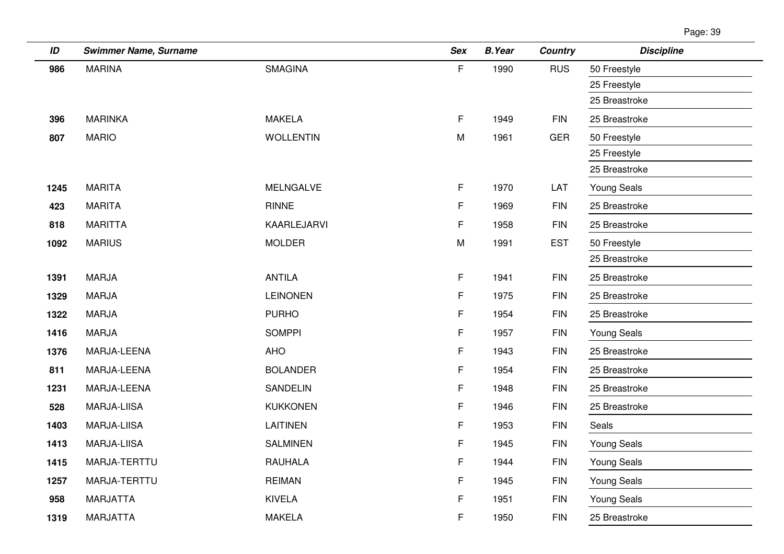| ID   | <b>Swimmer Name, Surname</b> |                  | <b>Sex</b> | <b>B.Year</b> | <b>Country</b> | <b>Discipline</b>  |
|------|------------------------------|------------------|------------|---------------|----------------|--------------------|
| 986  | <b>MARINA</b>                | <b>SMAGINA</b>   | F.         | 1990          | <b>RUS</b>     | 50 Freestyle       |
|      |                              |                  |            |               |                | 25 Freestyle       |
|      |                              |                  |            |               |                | 25 Breastroke      |
| 396  | <b>MARINKA</b>               | <b>MAKELA</b>    | F          | 1949          | <b>FIN</b>     | 25 Breastroke      |
| 807  | <b>MARIO</b>                 | <b>WOLLENTIN</b> | M          | 1961          | <b>GER</b>     | 50 Freestyle       |
|      |                              |                  |            |               |                | 25 Freestyle       |
|      |                              |                  |            |               |                | 25 Breastroke      |
| 1245 | <b>MARITA</b>                | <b>MELNGALVE</b> | F.         | 1970          | LAT            | <b>Young Seals</b> |
| 423  | <b>MARITA</b>                | <b>RINNE</b>     | F          | 1969          | <b>FIN</b>     | 25 Breastroke      |
| 818  | <b>MARITTA</b>               | KAARLEJARVI      | F          | 1958          | <b>FIN</b>     | 25 Breastroke      |
| 1092 | <b>MARIUS</b>                | <b>MOLDER</b>    | M          | 1991          | <b>EST</b>     | 50 Freestyle       |
|      |                              |                  |            |               |                | 25 Breastroke      |
| 1391 | <b>MARJA</b>                 | <b>ANTILA</b>    | F          | 1941          | <b>FIN</b>     | 25 Breastroke      |
| 1329 | <b>MARJA</b>                 | <b>LEINONEN</b>  | F          | 1975          | <b>FIN</b>     | 25 Breastroke      |
| 1322 | <b>MARJA</b>                 | <b>PURHO</b>     | F          | 1954          | <b>FIN</b>     | 25 Breastroke      |
| 1416 | <b>MARJA</b>                 | <b>SOMPPI</b>    | F          | 1957          | <b>FIN</b>     | <b>Young Seals</b> |
| 1376 | MARJA-LEENA                  | <b>AHO</b>       | F          | 1943          | <b>FIN</b>     | 25 Breastroke      |
| 811  | MARJA-LEENA                  | <b>BOLANDER</b>  | F          | 1954          | <b>FIN</b>     | 25 Breastroke      |
| 1231 | MARJA-LEENA                  | <b>SANDELIN</b>  | F          | 1948          | <b>FIN</b>     | 25 Breastroke      |
| 528  | MARJA-LIISA                  | <b>KUKKONEN</b>  | F          | 1946          | <b>FIN</b>     | 25 Breastroke      |
| 1403 | MARJA-LIISA                  | <b>LAITINEN</b>  | F          | 1953          | <b>FIN</b>     | Seals              |
| 1413 | <b>MARJA-LIISA</b>           | <b>SALMINEN</b>  | F          | 1945          | <b>FIN</b>     | <b>Young Seals</b> |
| 1415 | MARJA-TERTTU                 | <b>RAUHALA</b>   | F          | 1944          | <b>FIN</b>     | <b>Young Seals</b> |
| 1257 | MARJA-TERTTU                 | <b>REIMAN</b>    | F          | 1945          | <b>FIN</b>     | <b>Young Seals</b> |
| 958  | <b>MARJATTA</b>              | <b>KIVELA</b>    | F          | 1951          | <b>FIN</b>     | <b>Young Seals</b> |
| 1319 | <b>MARJATTA</b>              | <b>MAKELA</b>    | F          | 1950          | <b>FIN</b>     | 25 Breastroke      |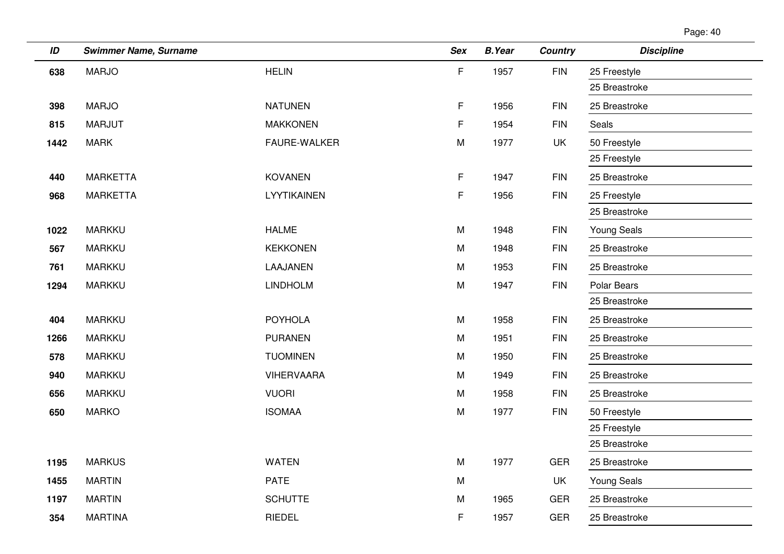| ID   | <b>Swimmer Name, Surname</b> |                     | <b>Sex</b> | <b>B.Year</b> | <b>Country</b> | <b>Discipline</b>  |
|------|------------------------------|---------------------|------------|---------------|----------------|--------------------|
| 638  | <b>MARJO</b>                 | <b>HELIN</b>        | F          | 1957          | <b>FIN</b>     | 25 Freestyle       |
|      |                              |                     |            |               |                | 25 Breastroke      |
| 398  | <b>MARJO</b>                 | <b>NATUNEN</b>      | F.         | 1956          | <b>FIN</b>     | 25 Breastroke      |
| 815  | <b>MARJUT</b>                | <b>MAKKONEN</b>     | F.         | 1954          | <b>FIN</b>     | Seals              |
| 1442 | <b>MARK</b>                  | <b>FAURE-WALKER</b> | M          | 1977          | <b>UK</b>      | 50 Freestyle       |
|      |                              |                     |            |               |                | 25 Freestyle       |
| 440  | <b>MARKETTA</b>              | <b>KOVANEN</b>      | F.         | 1947          | <b>FIN</b>     | 25 Breastroke      |
| 968  | <b>MARKETTA</b>              | LYYTIKAINEN         | F.         | 1956          | <b>FIN</b>     | 25 Freestyle       |
|      |                              |                     |            |               |                | 25 Breastroke      |
| 1022 | <b>MARKKU</b>                | <b>HALME</b>        | M          | 1948          | <b>FIN</b>     | <b>Young Seals</b> |
| 567  | <b>MARKKU</b>                | <b>KEKKONEN</b>     | M          | 1948          | <b>FIN</b>     | 25 Breastroke      |
| 761  | <b>MARKKU</b>                | LAAJANEN            | M          | 1953          | <b>FIN</b>     | 25 Breastroke      |
| 1294 | <b>MARKKU</b>                | <b>LINDHOLM</b>     | M          | 1947          | <b>FIN</b>     | Polar Bears        |
|      |                              |                     |            |               |                | 25 Breastroke      |
| 404  | <b>MARKKU</b>                | <b>POYHOLA</b>      | M          | 1958          | <b>FIN</b>     | 25 Breastroke      |
| 1266 | <b>MARKKU</b>                | <b>PURANEN</b>      | M          | 1951          | <b>FIN</b>     | 25 Breastroke      |
| 578  | <b>MARKKU</b>                | <b>TUOMINEN</b>     | M          | 1950          | <b>FIN</b>     | 25 Breastroke      |
| 940  | <b>MARKKU</b>                | <b>VIHERVAARA</b>   | M          | 1949          | <b>FIN</b>     | 25 Breastroke      |
| 656  | <b>MARKKU</b>                | <b>VUORI</b>        | M          | 1958          | <b>FIN</b>     | 25 Breastroke      |
| 650  | <b>MARKO</b>                 | <b>ISOMAA</b>       | M          | 1977          | <b>FIN</b>     | 50 Freestyle       |
|      |                              |                     |            |               |                | 25 Freestyle       |
|      |                              |                     |            |               |                | 25 Breastroke      |
| 1195 | <b>MARKUS</b>                | <b>WATEN</b>        | ${\sf M}$  | 1977          | <b>GER</b>     | 25 Breastroke      |
| 1455 | <b>MARTIN</b>                | <b>PATE</b>         | M          |               | UK             | <b>Young Seals</b> |
| 1197 | <b>MARTIN</b>                | <b>SCHUTTE</b>      | M          | 1965          | <b>GER</b>     | 25 Breastroke      |
| 354  | <b>MARTINA</b>               | RIEDEL              | F.         | 1957          | <b>GER</b>     | 25 Breastroke      |
|      |                              |                     |            |               |                |                    |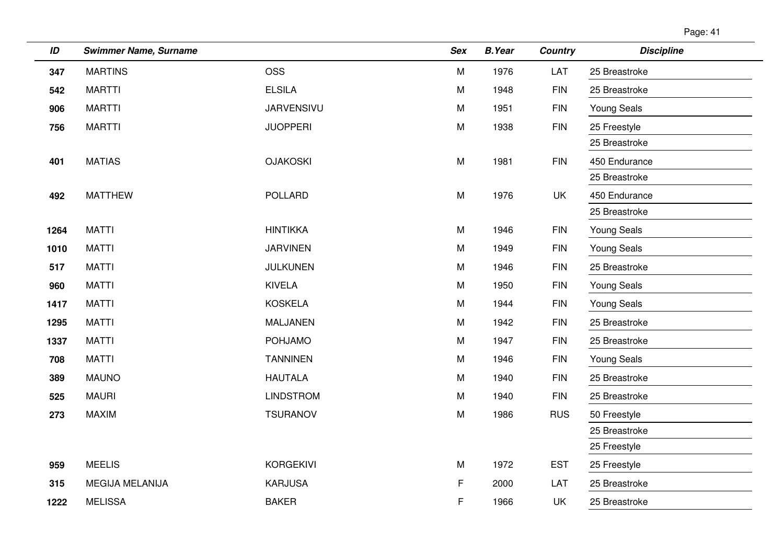| Page: 41 |
|----------|
|----------|

| ID   | <b>Swimmer Name, Surname</b> |                   | <b>Sex</b> | <b>B.Year</b> | <b>Country</b> | <b>Discipline</b>  |
|------|------------------------------|-------------------|------------|---------------|----------------|--------------------|
| 347  | <b>MARTINS</b>               | <b>OSS</b>        | M          | 1976          | LAT            | 25 Breastroke      |
| 542  | <b>MARTTI</b>                | <b>ELSILA</b>     | M          | 1948          | <b>FIN</b>     | 25 Breastroke      |
| 906  | <b>MARTTI</b>                | <b>JARVENSIVU</b> | M          | 1951          | <b>FIN</b>     | <b>Young Seals</b> |
| 756  | <b>MARTTI</b>                | <b>JUOPPERI</b>   | M          | 1938          | ${\sf FIN}$    | 25 Freestyle       |
|      |                              |                   |            |               |                | 25 Breastroke      |
| 401  | <b>MATIAS</b>                | <b>OJAKOSKI</b>   | M          | 1981          | <b>FIN</b>     | 450 Endurance      |
|      |                              |                   |            |               |                | 25 Breastroke      |
| 492  | <b>MATTHEW</b>               | <b>POLLARD</b>    | M          | 1976          | UK             | 450 Endurance      |
|      |                              |                   |            |               |                | 25 Breastroke      |
| 1264 | <b>MATTI</b>                 | <b>HINTIKKA</b>   | M          | 1946          | <b>FIN</b>     | Young Seals        |
| 1010 | <b>MATTI</b>                 | <b>JARVINEN</b>   | M          | 1949          | <b>FIN</b>     | <b>Young Seals</b> |
| 517  | <b>MATTI</b>                 | <b>JULKUNEN</b>   | M          | 1946          | <b>FIN</b>     | 25 Breastroke      |
| 960  | <b>MATTI</b>                 | <b>KIVELA</b>     | M          | 1950          | <b>FIN</b>     | <b>Young Seals</b> |
| 1417 | <b>MATTI</b>                 | <b>KOSKELA</b>    | M          | 1944          | <b>FIN</b>     | <b>Young Seals</b> |
| 1295 | <b>MATTI</b>                 | MALJANEN          | M          | 1942          | <b>FIN</b>     | 25 Breastroke      |
| 1337 | <b>MATTI</b>                 | <b>POHJAMO</b>    | M          | 1947          | <b>FIN</b>     | 25 Breastroke      |
| 708  | <b>MATTI</b>                 | <b>TANNINEN</b>   | M          | 1946          | <b>FIN</b>     | <b>Young Seals</b> |
| 389  | <b>MAUNO</b>                 | <b>HAUTALA</b>    | M          | 1940          | <b>FIN</b>     | 25 Breastroke      |
| 525  | <b>MAURI</b>                 | <b>LINDSTROM</b>  | M          | 1940          | <b>FIN</b>     | 25 Breastroke      |
| 273  | <b>MAXIM</b>                 | <b>TSURANOV</b>   | M          | 1986          | <b>RUS</b>     | 50 Freestyle       |
|      |                              |                   |            |               |                | 25 Breastroke      |
|      |                              |                   |            |               |                | 25 Freestyle       |
| 959  | <b>MEELIS</b>                | <b>KORGEKIVI</b>  | M          | 1972          | <b>EST</b>     | 25 Freestyle       |
| 315  | MEGIJA MELANIJA              | <b>KARJUSA</b>    | F          | 2000          | LAT            | 25 Breastroke      |
| 1222 | <b>MELISSA</b>               | <b>BAKER</b>      | F          | 1966          | UK             | 25 Breastroke      |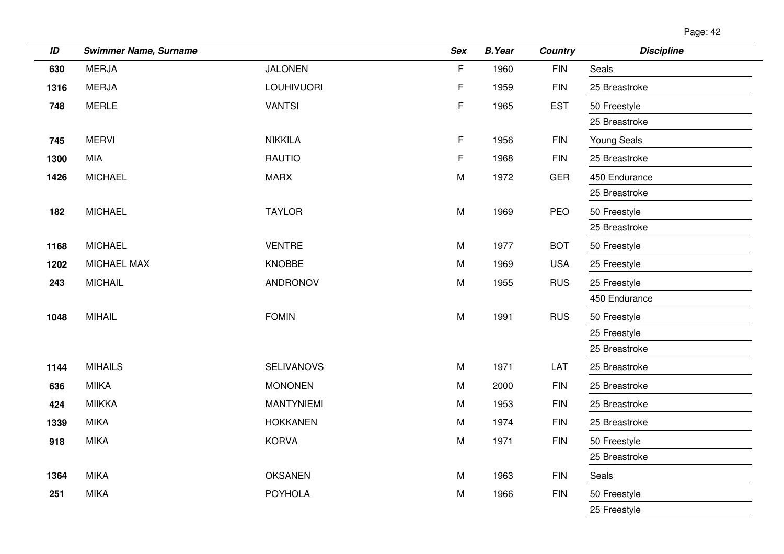| Page: 42 |  |
|----------|--|
|----------|--|

| ID   | <b>Swimmer Name, Surname</b> |                   | <b>Sex</b> | <b>B.Year</b> | <b>Country</b> | <b>Discipline</b>  |
|------|------------------------------|-------------------|------------|---------------|----------------|--------------------|
| 630  | <b>MERJA</b>                 | <b>JALONEN</b>    | F          | 1960          | <b>FIN</b>     | Seals              |
| 1316 | <b>MERJA</b>                 | <b>LOUHIVUORI</b> | F          | 1959          | <b>FIN</b>     | 25 Breastroke      |
| 748  | <b>MERLE</b>                 | <b>VANTSI</b>     | F          | 1965          | <b>EST</b>     | 50 Freestyle       |
|      |                              |                   |            |               |                | 25 Breastroke      |
| 745  | <b>MERVI</b>                 | <b>NIKKILA</b>    | F.         | 1956          | <b>FIN</b>     | <b>Young Seals</b> |
| 1300 | <b>MIA</b>                   | <b>RAUTIO</b>     | F          | 1968          | <b>FIN</b>     | 25 Breastroke      |
| 1426 | <b>MICHAEL</b>               | <b>MARX</b>       | M          | 1972          | <b>GER</b>     | 450 Endurance      |
|      |                              |                   |            |               |                | 25 Breastroke      |
| 182  | <b>MICHAEL</b>               | <b>TAYLOR</b>     | M          | 1969          | PEO            | 50 Freestyle       |
|      |                              |                   |            |               |                | 25 Breastroke      |
| 1168 | <b>MICHAEL</b>               | <b>VENTRE</b>     | M          | 1977          | <b>BOT</b>     | 50 Freestyle       |
| 1202 | MICHAEL MAX                  | <b>KNOBBE</b>     | M          | 1969          | <b>USA</b>     | 25 Freestyle       |
| 243  | <b>MICHAIL</b>               | ANDRONOV          | M          | 1955          | <b>RUS</b>     | 25 Freestyle       |
|      |                              |                   |            |               |                | 450 Endurance      |
| 1048 | <b>MIHAIL</b>                | <b>FOMIN</b>      | M          | 1991          | <b>RUS</b>     | 50 Freestyle       |
|      |                              |                   |            |               |                | 25 Freestyle       |
|      |                              |                   |            |               |                | 25 Breastroke      |
| 1144 | <b>MIHAILS</b>               | <b>SELIVANOVS</b> | M          | 1971          | LAT            | 25 Breastroke      |
| 636  | <b>MIIKA</b>                 | <b>MONONEN</b>    | M          | 2000          | <b>FIN</b>     | 25 Breastroke      |
| 424  | <b>MIIKKA</b>                | <b>MANTYNIEMI</b> | M          | 1953          | <b>FIN</b>     | 25 Breastroke      |
| 1339 | <b>MIKA</b>                  | <b>HOKKANEN</b>   | M          | 1974          | <b>FIN</b>     | 25 Breastroke      |
| 918  | <b>MIKA</b>                  | <b>KORVA</b>      | M          | 1971          | <b>FIN</b>     | 50 Freestyle       |
|      |                              |                   |            |               |                | 25 Breastroke      |
| 1364 | <b>MIKA</b>                  | <b>OKSANEN</b>    | M          | 1963          | <b>FIN</b>     | Seals              |
| 251  | <b>MIKA</b>                  | <b>POYHOLA</b>    | М          | 1966          | <b>FIN</b>     | 50 Freestyle       |
|      |                              |                   |            |               |                | 25 Freestyle       |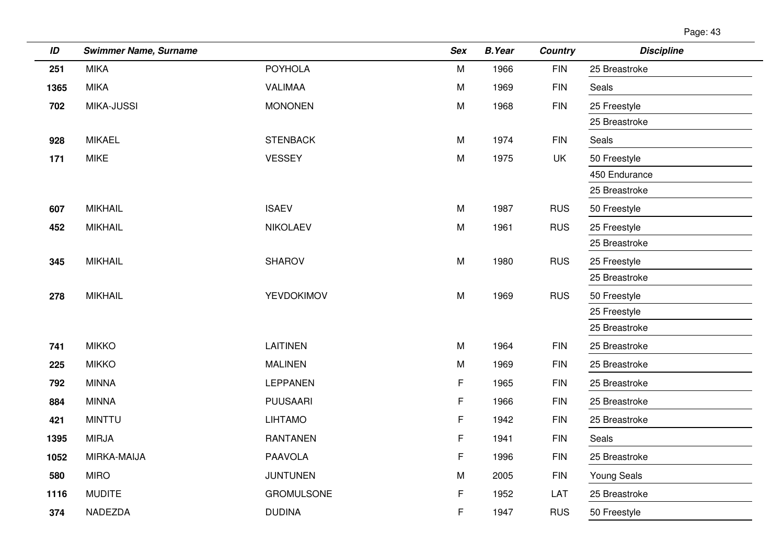| ID   | <b>Swimmer Name, Surname</b> |                   | <b>Sex</b> | <b>B.Year</b> | <b>Country</b> | <b>Discipline</b>  |
|------|------------------------------|-------------------|------------|---------------|----------------|--------------------|
| 251  | <b>MIKA</b>                  | <b>POYHOLA</b>    | M          | 1966          | <b>FIN</b>     | 25 Breastroke      |
| 1365 | <b>MIKA</b>                  | <b>VALIMAA</b>    | M          | 1969          | <b>FIN</b>     | Seals              |
| 702  | <b>MIKA-JUSSI</b>            | <b>MONONEN</b>    | M          | 1968          | <b>FIN</b>     | 25 Freestyle       |
|      |                              |                   |            |               |                | 25 Breastroke      |
| 928  | <b>MIKAEL</b>                | <b>STENBACK</b>   | M          | 1974          | <b>FIN</b>     | Seals              |
| 171  | <b>MIKE</b>                  | <b>VESSEY</b>     | ${\sf M}$  | 1975          | <b>UK</b>      | 50 Freestyle       |
|      |                              |                   |            |               |                | 450 Endurance      |
|      |                              |                   |            |               |                | 25 Breastroke      |
| 607  | <b>MIKHAIL</b>               | <b>ISAEV</b>      | M          | 1987          | <b>RUS</b>     | 50 Freestyle       |
| 452  | <b>MIKHAIL</b>               | <b>NIKOLAEV</b>   | M          | 1961          | <b>RUS</b>     | 25 Freestyle       |
|      |                              |                   |            |               |                | 25 Breastroke      |
| 345  | <b>MIKHAIL</b>               | <b>SHAROV</b>     | M          | 1980          | <b>RUS</b>     | 25 Freestyle       |
|      |                              |                   |            |               |                | 25 Breastroke      |
| 278  | <b>MIKHAIL</b>               | YEVDOKIMOV        | M          | 1969          | <b>RUS</b>     | 50 Freestyle       |
|      |                              |                   |            |               |                | 25 Freestyle       |
|      |                              |                   |            |               |                | 25 Breastroke      |
| 741  | <b>MIKKO</b>                 | LAITINEN          | M          | 1964          | <b>FIN</b>     | 25 Breastroke      |
| 225  | <b>MIKKO</b>                 | <b>MALINEN</b>    | M          | 1969          | <b>FIN</b>     | 25 Breastroke      |
| 792  | <b>MINNA</b>                 | <b>LEPPANEN</b>   | F          | 1965          | <b>FIN</b>     | 25 Breastroke      |
| 884  | <b>MINNA</b>                 | <b>PUUSAARI</b>   | F          | 1966          | <b>FIN</b>     | 25 Breastroke      |
| 421  | <b>MINTTU</b>                | <b>LIHTAMO</b>    | F          | 1942          | <b>FIN</b>     | 25 Breastroke      |
| 1395 | <b>MIRJA</b>                 | <b>RANTANEN</b>   | F          | 1941          | <b>FIN</b>     | Seals              |
| 1052 | MIRKA-MAIJA                  | <b>PAAVOLA</b>    | F          | 1996          | <b>FIN</b>     | 25 Breastroke      |
| 580  | <b>MIRO</b>                  | <b>JUNTUNEN</b>   | M          | 2005          | <b>FIN</b>     | <b>Young Seals</b> |
| 1116 | <b>MUDITE</b>                | <b>GROMULSONE</b> | F          | 1952          | LAT            | 25 Breastroke      |
| 374  | NADEZDA                      | <b>DUDINA</b>     | F          | 1947          | <b>RUS</b>     | 50 Freestyle       |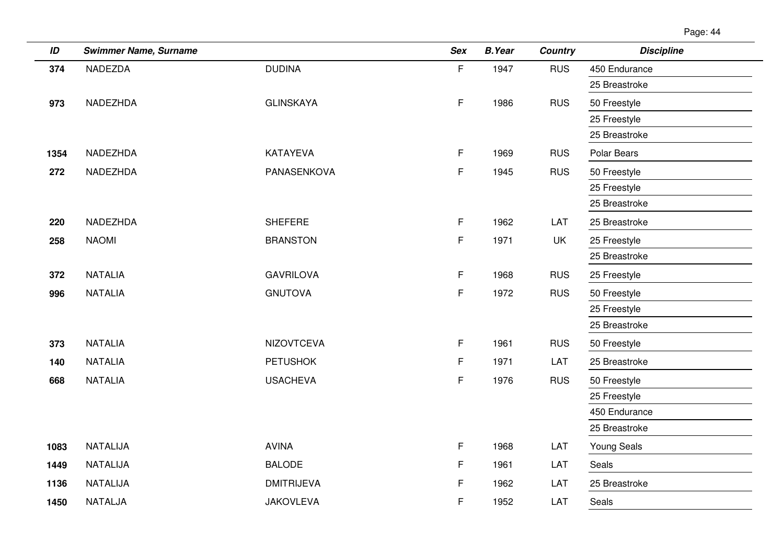| ID   | <b>Swimmer Name, Surname</b> |                   | <b>Sex</b> | <b>B.Year</b> | <b>Country</b> | <b>Discipline</b>  |
|------|------------------------------|-------------------|------------|---------------|----------------|--------------------|
| 374  | <b>NADEZDA</b>               | <b>DUDINA</b>     | F          | 1947          | <b>RUS</b>     | 450 Endurance      |
|      |                              |                   |            |               |                | 25 Breastroke      |
| 973  | NADEZHDA                     | <b>GLINSKAYA</b>  | F.         | 1986          | <b>RUS</b>     | 50 Freestyle       |
|      |                              |                   |            |               |                | 25 Freestyle       |
|      |                              |                   |            |               |                | 25 Breastroke      |
| 1354 | NADEZHDA                     | KATAYEVA          | F.         | 1969          | <b>RUS</b>     | Polar Bears        |
| 272  | NADEZHDA                     | PANASENKOVA       | F          | 1945          | <b>RUS</b>     | 50 Freestyle       |
|      |                              |                   |            |               |                | 25 Freestyle       |
|      |                              |                   |            |               |                | 25 Breastroke      |
| 220  | NADEZHDA                     | <b>SHEFERE</b>    | F.         | 1962          | LAT            | 25 Breastroke      |
| 258  | <b>NAOMI</b>                 | <b>BRANSTON</b>   | F          | 1971          | UK             | 25 Freestyle       |
|      |                              |                   |            |               |                | 25 Breastroke      |
| 372  | <b>NATALIA</b>               | <b>GAVRILOVA</b>  | F.         | 1968          | <b>RUS</b>     | 25 Freestyle       |
| 996  | <b>NATALIA</b>               | <b>GNUTOVA</b>    | F          | 1972          | <b>RUS</b>     | 50 Freestyle       |
|      |                              |                   |            |               |                | 25 Freestyle       |
|      |                              |                   |            |               |                | 25 Breastroke      |
| 373  | <b>NATALIA</b>               | <b>NIZOVTCEVA</b> | F          | 1961          | <b>RUS</b>     | 50 Freestyle       |
| 140  | <b>NATALIA</b>               | <b>PETUSHOK</b>   | F          | 1971          | LAT            | 25 Breastroke      |
| 668  | <b>NATALIA</b>               | <b>USACHEVA</b>   | F          | 1976          | <b>RUS</b>     | 50 Freestyle       |
|      |                              |                   |            |               |                | 25 Freestyle       |
|      |                              |                   |            |               |                | 450 Endurance      |
|      |                              |                   |            |               |                | 25 Breastroke      |
| 1083 | <b>NATALIJA</b>              | <b>AVINA</b>      | F.         | 1968          | LAT            | <b>Young Seals</b> |
| 1449 | NATALIJA                     | <b>BALODE</b>     | F          | 1961          | LAT            | Seals              |
| 1136 | NATALIJA                     | <b>DMITRIJEVA</b> | F          | 1962          | LAT            | 25 Breastroke      |
| 1450 | NATALJA                      | <b>JAKOVLEVA</b>  | F          | 1952          | LAT            | Seals              |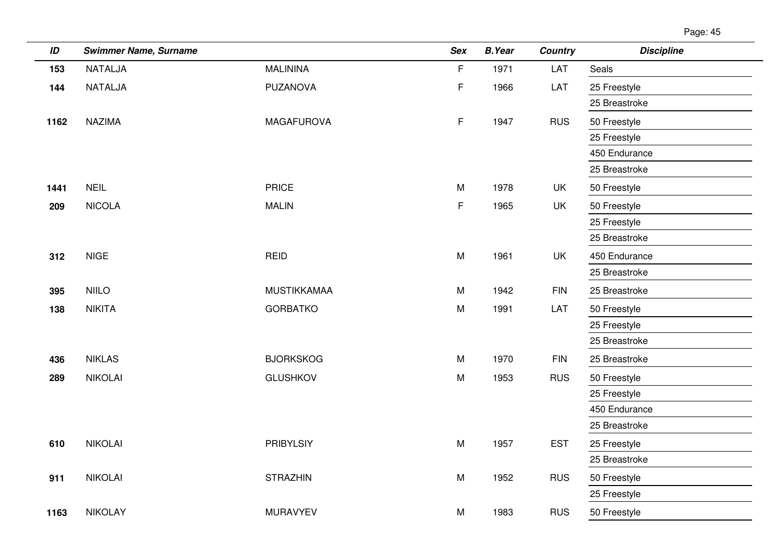| Page: 45 |  |
|----------|--|
|          |  |

| ID   | <b>Swimmer Name, Surname</b> |                    | <b>Sex</b>  | <b>B.Year</b> | <b>Country</b> | <b>Discipline</b> |
|------|------------------------------|--------------------|-------------|---------------|----------------|-------------------|
| 153  | <b>NATALJA</b>               | <b>MALININA</b>    | F           | 1971          | LAT            | Seals             |
| 144  | NATALJA                      | PUZANOVA           | F           | 1966          | LAT            | 25 Freestyle      |
|      |                              |                    |             |               |                | 25 Breastroke     |
| 1162 | <b>NAZIMA</b>                | <b>MAGAFUROVA</b>  | $\mathsf F$ | 1947          | <b>RUS</b>     | 50 Freestyle      |
|      |                              |                    |             |               |                | 25 Freestyle      |
|      |                              |                    |             |               |                | 450 Endurance     |
|      |                              |                    |             |               |                | 25 Breastroke     |
| 1441 | <b>NEIL</b>                  | <b>PRICE</b>       | M           | 1978          | UK             | 50 Freestyle      |
| 209  | <b>NICOLA</b>                | <b>MALIN</b>       | F           | 1965          | UK             | 50 Freestyle      |
|      |                              |                    |             |               |                | 25 Freestyle      |
|      |                              |                    |             |               |                | 25 Breastroke     |
| 312  | <b>NIGE</b>                  | <b>REID</b>        | M           | 1961          | UK             | 450 Endurance     |
|      |                              |                    |             |               |                | 25 Breastroke     |
| 395  | <b>NIILO</b>                 | <b>MUSTIKKAMAA</b> | M           | 1942          | <b>FIN</b>     | 25 Breastroke     |
| 138  | <b>NIKITA</b>                | <b>GORBATKO</b>    | M           | 1991          | LAT            | 50 Freestyle      |
|      |                              |                    |             |               |                | 25 Freestyle      |
|      |                              |                    |             |               |                | 25 Breastroke     |
| 436  | <b>NIKLAS</b>                | <b>BJORKSKOG</b>   | M           | 1970          | <b>FIN</b>     | 25 Breastroke     |
| 289  | <b>NIKOLAI</b>               | <b>GLUSHKOV</b>    | M           | 1953          | <b>RUS</b>     | 50 Freestyle      |
|      |                              |                    |             |               |                | 25 Freestyle      |
|      |                              |                    |             |               |                | 450 Endurance     |
|      |                              |                    |             |               |                | 25 Breastroke     |
| 610  | <b>NIKOLAI</b>               | <b>PRIBYLSIY</b>   | M           | 1957          | <b>EST</b>     | 25 Freestyle      |
|      |                              |                    |             |               |                | 25 Breastroke     |
| 911  | <b>NIKOLAI</b>               | <b>STRAZHIN</b>    | M           | 1952          | <b>RUS</b>     | 50 Freestyle      |
|      |                              |                    |             |               |                | 25 Freestyle      |
| 1163 | <b>NIKOLAY</b>               | <b>MURAVYEV</b>    | M           | 1983          | <b>RUS</b>     | 50 Freestyle      |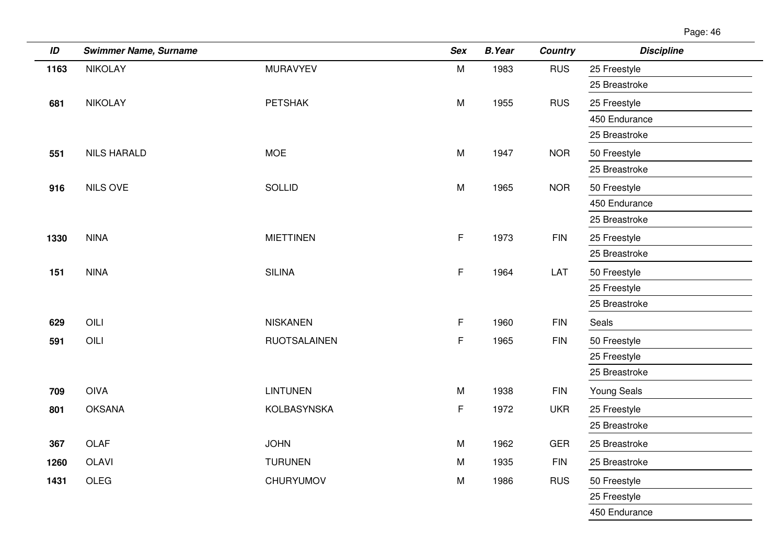| ID   | <b>Swimmer Name, Surname</b> |                     | <b>Sex</b> | <b>B.Year</b> | <b>Country</b> | <b>Discipline</b>  |
|------|------------------------------|---------------------|------------|---------------|----------------|--------------------|
| 1163 | <b>NIKOLAY</b>               | <b>MURAVYEV</b>     | M          | 1983          | <b>RUS</b>     | 25 Freestyle       |
|      |                              |                     |            |               |                | 25 Breastroke      |
| 681  | <b>NIKOLAY</b>               | <b>PETSHAK</b>      | ${\sf M}$  | 1955          | <b>RUS</b>     | 25 Freestyle       |
|      |                              |                     |            |               |                | 450 Endurance      |
|      |                              |                     |            |               |                | 25 Breastroke      |
| 551  | <b>NILS HARALD</b>           | <b>MOE</b>          | M          | 1947          | <b>NOR</b>     | 50 Freestyle       |
|      |                              |                     |            |               |                | 25 Breastroke      |
| 916  | NILS OVE                     | <b>SOLLID</b>       | ${\sf M}$  | 1965          | <b>NOR</b>     | 50 Freestyle       |
|      |                              |                     |            |               |                | 450 Endurance      |
|      |                              |                     |            |               |                | 25 Breastroke      |
| 1330 | <b>NINA</b>                  | <b>MIETTINEN</b>    | F          | 1973          | <b>FIN</b>     | 25 Freestyle       |
|      |                              |                     |            |               |                | 25 Breastroke      |
| 151  | <b>NINA</b>                  | <b>SILINA</b>       | F          | 1964          | LAT            | 50 Freestyle       |
|      |                              |                     |            |               |                | 25 Freestyle       |
|      |                              |                     |            |               |                | 25 Breastroke      |
| 629  | OILI                         | <b>NISKANEN</b>     | F          | 1960          | <b>FIN</b>     | Seals              |
| 591  | OILI                         | <b>RUOTSALAINEN</b> | F          | 1965          | <b>FIN</b>     | 50 Freestyle       |
|      |                              |                     |            |               |                | 25 Freestyle       |
|      |                              |                     |            |               |                | 25 Breastroke      |
| 709  | <b>OIVA</b>                  | <b>LINTUNEN</b>     | M          | 1938          | <b>FIN</b>     | <b>Young Seals</b> |
| 801  | <b>OKSANA</b>                | KOLBASYNSKA         | F          | 1972          | <b>UKR</b>     | 25 Freestyle       |
|      |                              |                     |            |               |                | 25 Breastroke      |
| 367  | OLAF                         | <b>JOHN</b>         | M          | 1962          | <b>GER</b>     | 25 Breastroke      |
| 1260 | <b>OLAVI</b>                 | <b>TURUNEN</b>      | M          | 1935          | <b>FIN</b>     | 25 Breastroke      |
| 1431 | OLEG                         | CHURYUMOV           | ${\sf M}$  | 1986          | <b>RUS</b>     | 50 Freestyle       |
|      |                              |                     |            |               |                | 25 Freestyle       |
|      |                              |                     |            |               |                | 450 Endurance      |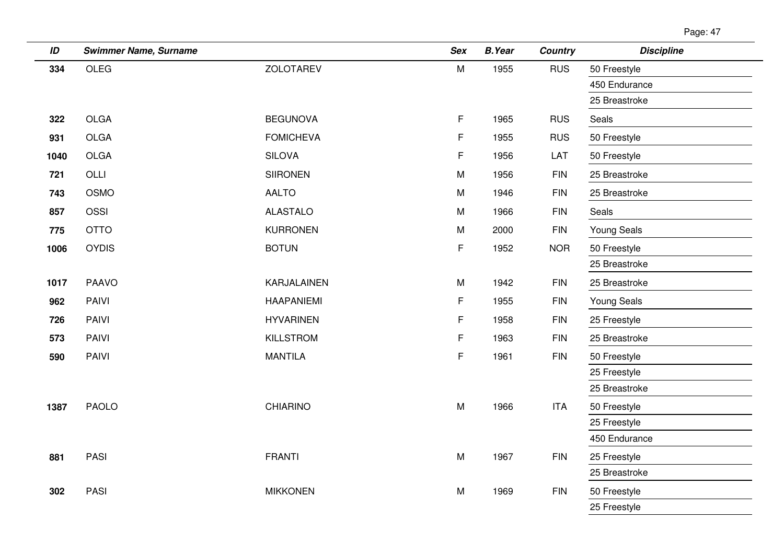| ID   | <b>Swimmer Name, Surname</b> |                   | <b>Sex</b> | <b>B.Year</b> | <b>Country</b> | <b>Discipline</b>  |
|------|------------------------------|-------------------|------------|---------------|----------------|--------------------|
| 334  | <b>OLEG</b>                  | <b>ZOLOTAREV</b>  | M          | 1955          | <b>RUS</b>     | 50 Freestyle       |
|      |                              |                   |            |               |                | 450 Endurance      |
|      |                              |                   |            |               |                | 25 Breastroke      |
| 322  | <b>OLGA</b>                  | <b>BEGUNOVA</b>   | F          | 1965          | <b>RUS</b>     | Seals              |
| 931  | <b>OLGA</b>                  | <b>FOMICHEVA</b>  | F          | 1955          | <b>RUS</b>     | 50 Freestyle       |
| 1040 | OLGA                         | <b>SILOVA</b>     | F          | 1956          | LAT            | 50 Freestyle       |
| 721  | OLLI                         | <b>SIIRONEN</b>   | M          | 1956          | <b>FIN</b>     | 25 Breastroke      |
| 743  | OSMO                         | <b>AALTO</b>      | M          | 1946          | <b>FIN</b>     | 25 Breastroke      |
| 857  | OSSI                         | <b>ALASTALO</b>   | M          | 1966          | <b>FIN</b>     | Seals              |
| 775  | <b>OTTO</b>                  | <b>KURRONEN</b>   | M          | 2000          | <b>FIN</b>     | <b>Young Seals</b> |
| 1006 | <b>OYDIS</b>                 | <b>BOTUN</b>      | F          | 1952          | <b>NOR</b>     | 50 Freestyle       |
|      |                              |                   |            |               |                | 25 Breastroke      |
| 1017 | <b>PAAVO</b>                 | KARJALAINEN       | ${\sf M}$  | 1942          | <b>FIN</b>     | 25 Breastroke      |
| 962  | PAIVI                        | <b>HAAPANIEMI</b> | F          | 1955          | <b>FIN</b>     | <b>Young Seals</b> |
| 726  | PAIVI                        | <b>HYVARINEN</b>  | F          | 1958          | <b>FIN</b>     | 25 Freestyle       |
| 573  | PAIVI                        | KILLSTROM         | F          | 1963          | <b>FIN</b>     | 25 Breastroke      |
| 590  | PAIVI                        | <b>MANTILA</b>    | F          | 1961          | <b>FIN</b>     | 50 Freestyle       |
|      |                              |                   |            |               |                | 25 Freestyle       |
|      |                              |                   |            |               |                | 25 Breastroke      |
| 1387 | <b>PAOLO</b>                 | CHIARINO          | M          | 1966          | <b>ITA</b>     | 50 Freestyle       |
|      |                              |                   |            |               |                | 25 Freestyle       |
|      |                              |                   |            |               |                | 450 Endurance      |
| 881  | PASI                         | <b>FRANTI</b>     | M          | 1967          | <b>FIN</b>     | 25 Freestyle       |
|      |                              |                   |            |               |                | 25 Breastroke      |
| 302  | PASI                         | <b>MIKKONEN</b>   | M          | 1969          | <b>FIN</b>     | 50 Freestyle       |
|      |                              |                   |            |               |                | 25 Freestyle       |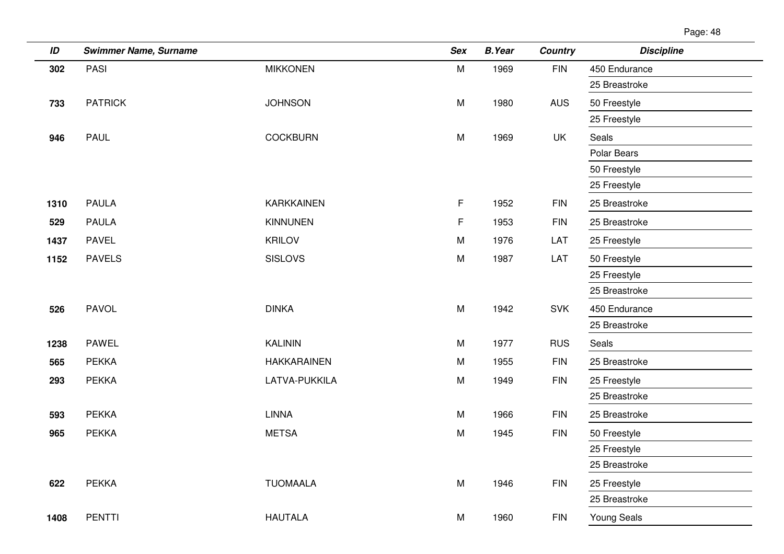| ID   | <b>Swimmer Name, Surname</b> |                    | <b>Sex</b> | <b>B.Year</b> | <b>Country</b> | <b>Discipline</b> |
|------|------------------------------|--------------------|------------|---------------|----------------|-------------------|
| 302  | PASI                         | <b>MIKKONEN</b>    | ${\sf M}$  | 1969          | <b>FIN</b>     | 450 Endurance     |
|      |                              |                    |            |               |                | 25 Breastroke     |
| 733  | <b>PATRICK</b>               | <b>JOHNSON</b>     | M          | 1980          | <b>AUS</b>     | 50 Freestyle      |
|      |                              |                    |            |               |                | 25 Freestyle      |
| 946  | <b>PAUL</b>                  | <b>COCKBURN</b>    | M          | 1969          | UK             | Seals             |
|      |                              |                    |            |               |                | Polar Bears       |
|      |                              |                    |            |               |                | 50 Freestyle      |
|      |                              |                    |            |               |                | 25 Freestyle      |
| 1310 | <b>PAULA</b>                 | <b>KARKKAINEN</b>  | F.         | 1952          | <b>FIN</b>     | 25 Breastroke     |
| 529  | <b>PAULA</b>                 | <b>KINNUNEN</b>    | F          | 1953          | <b>FIN</b>     | 25 Breastroke     |
| 1437 | <b>PAVEL</b>                 | <b>KRILOV</b>      | M          | 1976          | LAT            | 25 Freestyle      |
| 1152 | <b>PAVELS</b>                | <b>SISLOVS</b>     | M          | 1987          | LAT            | 50 Freestyle      |
|      |                              |                    |            |               |                | 25 Freestyle      |
|      |                              |                    |            |               |                | 25 Breastroke     |
| 526  | <b>PAVOL</b>                 | <b>DINKA</b>       | M          | 1942          | <b>SVK</b>     | 450 Endurance     |
|      |                              |                    |            |               |                | 25 Breastroke     |
| 1238 | PAWEL                        | <b>KALININ</b>     | M          | 1977          | <b>RUS</b>     | Seals             |
| 565  | <b>PEKKA</b>                 | <b>HAKKARAINEN</b> | M          | 1955          | <b>FIN</b>     | 25 Breastroke     |
| 293  | <b>PEKKA</b>                 | LATVA-PUKKILA      | M          | 1949          | <b>FIN</b>     | 25 Freestyle      |
|      |                              |                    |            |               |                | 25 Breastroke     |
| 593  | <b>PEKKA</b>                 | <b>LINNA</b>       | M          | 1966          | <b>FIN</b>     | 25 Breastroke     |
| 965  | <b>PEKKA</b>                 | <b>METSA</b>       | M          | 1945          | <b>FIN</b>     | 50 Freestyle      |
|      |                              |                    |            |               |                | 25 Freestyle      |
|      |                              |                    |            |               |                | 25 Breastroke     |
| 622  | <b>PEKKA</b>                 | <b>TUOMAALA</b>    | ${\sf M}$  | 1946          | <b>FIN</b>     | 25 Freestyle      |
|      |                              |                    |            |               |                | 25 Breastroke     |
| 1408 | <b>PENTTI</b>                | <b>HAUTALA</b>     | M          | 1960          | <b>FIN</b>     | Young Seals       |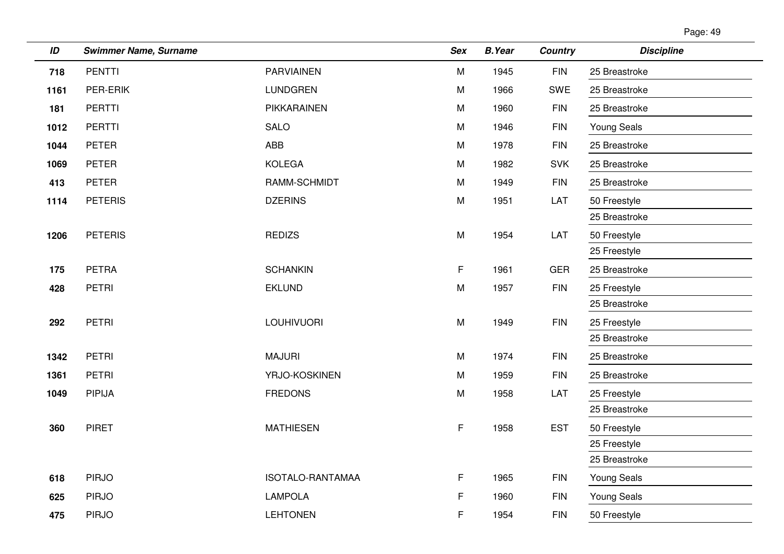| Page: 49 |  |
|----------|--|
|----------|--|

| ID   | <b>Swimmer Name, Surname</b> |                   | <b>Sex</b> | <b>B.Year</b> | Country    | <b>Discipline</b>  |
|------|------------------------------|-------------------|------------|---------------|------------|--------------------|
| 718  | <b>PENTTI</b>                | <b>PARVIAINEN</b> | M          | 1945          | <b>FIN</b> | 25 Breastroke      |
| 1161 | PER-ERIK                     | <b>LUNDGREN</b>   | M          | 1966          | SWE        | 25 Breastroke      |
| 181  | <b>PERTTI</b>                | PIKKARAINEN       | M          | 1960          | <b>FIN</b> | 25 Breastroke      |
| 1012 | <b>PERTTI</b>                | <b>SALO</b>       | M          | 1946          | <b>FIN</b> | <b>Young Seals</b> |
| 1044 | <b>PETER</b>                 | ABB               | M          | 1978          | <b>FIN</b> | 25 Breastroke      |
| 1069 | <b>PETER</b>                 | <b>KOLEGA</b>     | M          | 1982          | <b>SVK</b> | 25 Breastroke      |
| 413  | <b>PETER</b>                 | RAMM-SCHMIDT      | M          | 1949          | <b>FIN</b> | 25 Breastroke      |
| 1114 | <b>PETERIS</b>               | <b>DZERINS</b>    | M          | 1951          | LAT        | 50 Freestyle       |
|      |                              |                   |            |               |            | 25 Breastroke      |
| 1206 | <b>PETERIS</b>               | <b>REDIZS</b>     | M          | 1954          | LAT        | 50 Freestyle       |
|      |                              |                   |            |               |            | 25 Freestyle       |
| 175  | <b>PETRA</b>                 | <b>SCHANKIN</b>   | F          | 1961          | <b>GER</b> | 25 Breastroke      |
| 428  | <b>PETRI</b>                 | <b>EKLUND</b>     | M          | 1957          | <b>FIN</b> | 25 Freestyle       |
|      |                              |                   |            |               |            | 25 Breastroke      |
| 292  | <b>PETRI</b>                 | <b>LOUHIVUORI</b> | M          | 1949          | <b>FIN</b> | 25 Freestyle       |
|      |                              |                   |            |               |            | 25 Breastroke      |
| 1342 | <b>PETRI</b>                 | <b>MAJURI</b>     | M          | 1974          | <b>FIN</b> | 25 Breastroke      |
| 1361 | <b>PETRI</b>                 | YRJO-KOSKINEN     | M          | 1959          | <b>FIN</b> | 25 Breastroke      |
| 1049 | <b>PIPIJA</b>                | <b>FREDONS</b>    | M          | 1958          | LAT        | 25 Freestyle       |
|      |                              |                   |            |               |            | 25 Breastroke      |
| 360  | <b>PIRET</b>                 | <b>MATHIESEN</b>  | F          | 1958          | <b>EST</b> | 50 Freestyle       |
|      |                              |                   |            |               |            | 25 Freestyle       |
|      |                              |                   |            |               |            | 25 Breastroke      |
| 618  | <b>PIRJO</b>                 | ISOTALO-RANTAMAA  | F.         | 1965          | <b>FIN</b> | <b>Young Seals</b> |
| 625  | <b>PIRJO</b>                 | <b>LAMPOLA</b>    | F          | 1960          | <b>FIN</b> | <b>Young Seals</b> |
| 475  | <b>PIRJO</b>                 | <b>LEHTONEN</b>   | F          | 1954          | <b>FIN</b> | 50 Freestyle       |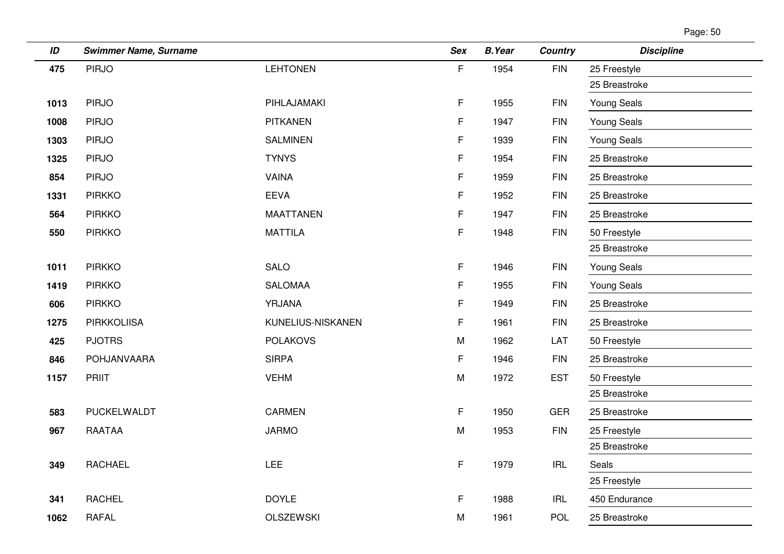| Page: 50 |  |
|----------|--|
|          |  |

| ID   | <b>Swimmer Name, Surname</b> |                   | <b>Sex</b>  | <b>B.Year</b> | <b>Country</b> | <b>Discipline</b>  |
|------|------------------------------|-------------------|-------------|---------------|----------------|--------------------|
| 475  | <b>PIRJO</b>                 | <b>LEHTONEN</b>   | $\mathsf F$ | 1954          | <b>FIN</b>     | 25 Freestyle       |
|      |                              |                   |             |               |                | 25 Breastroke      |
| 1013 | <b>PIRJO</b>                 | PIHLAJAMAKI       | F           | 1955          | <b>FIN</b>     | <b>Young Seals</b> |
| 1008 | <b>PIRJO</b>                 | <b>PITKANEN</b>   | F.          | 1947          | <b>FIN</b>     | <b>Young Seals</b> |
| 1303 | <b>PIRJO</b>                 | <b>SALMINEN</b>   | F           | 1939          | <b>FIN</b>     | <b>Young Seals</b> |
| 1325 | <b>PIRJO</b>                 | <b>TYNYS</b>      | F           | 1954          | <b>FIN</b>     | 25 Breastroke      |
| 854  | <b>PIRJO</b>                 | <b>VAINA</b>      | F           | 1959          | <b>FIN</b>     | 25 Breastroke      |
| 1331 | <b>PIRKKO</b>                | <b>EEVA</b>       | F           | 1952          | <b>FIN</b>     | 25 Breastroke      |
| 564  | <b>PIRKKO</b>                | <b>MAATTANEN</b>  | F           | 1947          | <b>FIN</b>     | 25 Breastroke      |
| 550  | <b>PIRKKO</b>                | <b>MATTILA</b>    | F           | 1948          | <b>FIN</b>     | 50 Freestyle       |
|      |                              |                   |             |               |                | 25 Breastroke      |
| 1011 | <b>PIRKKO</b>                | <b>SALO</b>       | F           | 1946          | <b>FIN</b>     | <b>Young Seals</b> |
| 1419 | <b>PIRKKO</b>                | <b>SALOMAA</b>    | F           | 1955          | <b>FIN</b>     | <b>Young Seals</b> |
| 606  | <b>PIRKKO</b>                | YRJANA            | F           | 1949          | <b>FIN</b>     | 25 Breastroke      |
| 1275 | <b>PIRKKOLIISA</b>           | KUNELIUS-NISKANEN | F           | 1961          | <b>FIN</b>     | 25 Breastroke      |
| 425  | <b>PJOTRS</b>                | <b>POLAKOVS</b>   | M           | 1962          | LAT            | 50 Freestyle       |
| 846  | POHJANVAARA                  | <b>SIRPA</b>      | F.          | 1946          | <b>FIN</b>     | 25 Breastroke      |
| 1157 | <b>PRIIT</b>                 | <b>VEHM</b>       | M           | 1972          | <b>EST</b>     | 50 Freestyle       |
|      |                              |                   |             |               |                | 25 Breastroke      |
| 583  | PUCKELWALDT                  | <b>CARMEN</b>     | F           | 1950          | <b>GER</b>     | 25 Breastroke      |
| 967  | <b>RAATAA</b>                | <b>JARMO</b>      | M           | 1953          | <b>FIN</b>     | 25 Freestyle       |
|      |                              |                   |             |               |                | 25 Breastroke      |
| 349  | <b>RACHAEL</b>               | LEE               | F           | 1979          | <b>IRL</b>     | Seals              |
|      |                              |                   |             |               |                | 25 Freestyle       |
| 341  | <b>RACHEL</b>                | <b>DOYLE</b>      | F           | 1988          | <b>IRL</b>     | 450 Endurance      |
| 1062 | <b>RAFAL</b>                 | <b>OLSZEWSKI</b>  | M           | 1961          | <b>POL</b>     | 25 Breastroke      |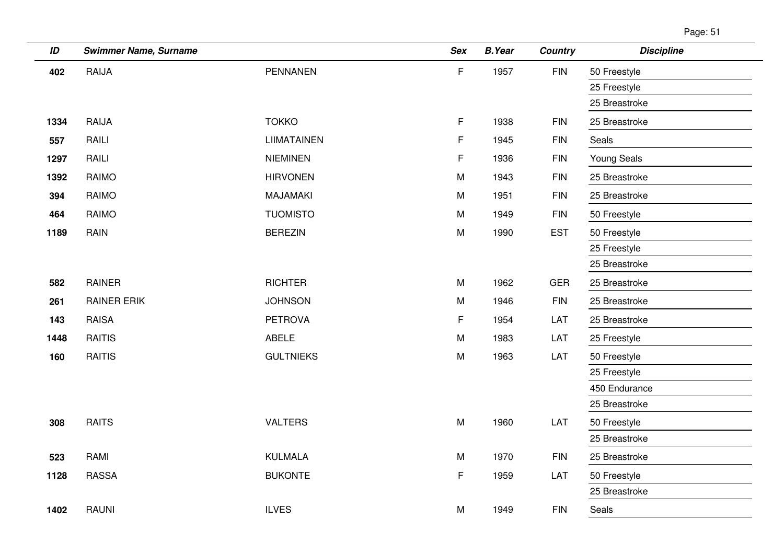$\overline{\phantom{a}}$ 

| ID   | <b>Swimmer Name, Surname</b> |                    | <b>Sex</b> | <b>B.Year</b> | <b>Country</b> | <b>Discipline</b>  |
|------|------------------------------|--------------------|------------|---------------|----------------|--------------------|
| 402  | RAIJA                        | <b>PENNANEN</b>    | F          | 1957          | <b>FIN</b>     | 50 Freestyle       |
|      |                              |                    |            |               |                | 25 Freestyle       |
|      |                              |                    |            |               |                | 25 Breastroke      |
| 1334 | RAIJA                        | <b>TOKKO</b>       | F          | 1938          | <b>FIN</b>     | 25 Breastroke      |
| 557  | RAILI                        | <b>LIIMATAINEN</b> | F          | 1945          | <b>FIN</b>     | Seals              |
| 1297 | RAILI                        | <b>NIEMINEN</b>    | F          | 1936          | <b>FIN</b>     | <b>Young Seals</b> |
| 1392 | <b>RAIMO</b>                 | <b>HIRVONEN</b>    | M          | 1943          | <b>FIN</b>     | 25 Breastroke      |
| 394  | <b>RAIMO</b>                 | <b>MAJAMAKI</b>    | M          | 1951          | <b>FIN</b>     | 25 Breastroke      |
| 464  | <b>RAIMO</b>                 | <b>TUOMISTO</b>    | M          | 1949          | <b>FIN</b>     | 50 Freestyle       |
| 1189 | RAIN                         | <b>BEREZIN</b>     | M          | 1990          | <b>EST</b>     | 50 Freestyle       |
|      |                              |                    |            |               |                | 25 Freestyle       |
|      |                              |                    |            |               |                | 25 Breastroke      |
| 582  | <b>RAINER</b>                | <b>RICHTER</b>     | M          | 1962          | <b>GER</b>     | 25 Breastroke      |
| 261  | <b>RAINER ERIK</b>           | <b>JOHNSON</b>     | M          | 1946          | <b>FIN</b>     | 25 Breastroke      |
| 143  | <b>RAISA</b>                 | <b>PETROVA</b>     | F          | 1954          | LAT            | 25 Breastroke      |
| 1448 | <b>RAITIS</b>                | <b>ABELE</b>       | M          | 1983          | LAT            | 25 Freestyle       |
| 160  | <b>RAITIS</b>                | <b>GULTNIEKS</b>   | M          | 1963          | LAT            | 50 Freestyle       |
|      |                              |                    |            |               |                | 25 Freestyle       |
|      |                              |                    |            |               |                | 450 Endurance      |
|      |                              |                    |            |               |                | 25 Breastroke      |
| 308  | <b>RAITS</b>                 | <b>VALTERS</b>     | M          | 1960          | LAT            | 50 Freestyle       |
|      |                              |                    |            |               |                | 25 Breastroke      |
| 523  | RAMI                         | <b>KULMALA</b>     | M          | 1970          | <b>FIN</b>     | 25 Breastroke      |
| 1128 | <b>RASSA</b>                 | <b>BUKONTE</b>     | F          | 1959          | LAT            | 50 Freestyle       |
|      |                              |                    |            |               |                | 25 Breastroke      |
| 1402 | <b>RAUNI</b>                 | <b>ILVES</b>       | М          | 1949          | <b>FIN</b>     | Seals              |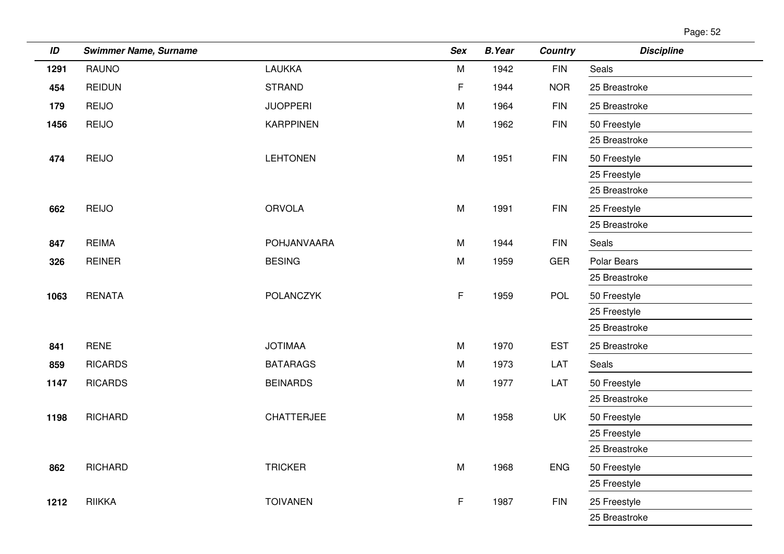| Page: 52 |  |
|----------|--|
|          |  |

| ID   | <b>Swimmer Name, Surname</b> |                   | <b>Sex</b> | <b>B.Year</b> | <b>Country</b> | <b>Discipline</b> |
|------|------------------------------|-------------------|------------|---------------|----------------|-------------------|
| 1291 | <b>RAUNO</b>                 | <b>LAUKKA</b>     | M          | 1942          | <b>FIN</b>     | Seals             |
| 454  | <b>REIDUN</b>                | <b>STRAND</b>     | F          | 1944          | <b>NOR</b>     | 25 Breastroke     |
| 179  | <b>REIJO</b>                 | <b>JUOPPERI</b>   | M          | 1964          | $\mathsf{FIN}$ | 25 Breastroke     |
| 1456 | <b>REIJO</b>                 | <b>KARPPINEN</b>  | M          | 1962          | <b>FIN</b>     | 50 Freestyle      |
|      |                              |                   |            |               |                | 25 Breastroke     |
| 474  | <b>REIJO</b>                 | <b>LEHTONEN</b>   | ${\sf M}$  | 1951          | <b>FIN</b>     | 50 Freestyle      |
|      |                              |                   |            |               |                | 25 Freestyle      |
|      |                              |                   |            |               |                | 25 Breastroke     |
| 662  | <b>REIJO</b>                 | <b>ORVOLA</b>     | M          | 1991          | <b>FIN</b>     | 25 Freestyle      |
|      |                              |                   |            |               |                | 25 Breastroke     |
| 847  | <b>REIMA</b>                 | POHJANVAARA       | M          | 1944          | <b>FIN</b>     | Seals             |
| 326  | <b>REINER</b>                | <b>BESING</b>     | M          | 1959          | <b>GER</b>     | Polar Bears       |
|      |                              |                   |            |               |                | 25 Breastroke     |
| 1063 | <b>RENATA</b>                | POLANCZYK         | F          | 1959          | POL            | 50 Freestyle      |
|      |                              |                   |            |               |                | 25 Freestyle      |
|      |                              |                   |            |               |                | 25 Breastroke     |
| 841  | <b>RENE</b>                  | <b>JOTIMAA</b>    | M          | 1970          | <b>EST</b>     | 25 Breastroke     |
| 859  | <b>RICARDS</b>               | <b>BATARAGS</b>   | M          | 1973          | LAT            | Seals             |
| 1147 | <b>RICARDS</b>               | <b>BEINARDS</b>   | M          | 1977          | LAT            | 50 Freestyle      |
|      |                              |                   |            |               |                | 25 Breastroke     |
| 1198 | <b>RICHARD</b>               | <b>CHATTERJEE</b> | M          | 1958          | UK             | 50 Freestyle      |
|      |                              |                   |            |               |                | 25 Freestyle      |
|      |                              |                   |            |               |                | 25 Breastroke     |
| 862  | <b>RICHARD</b>               | <b>TRICKER</b>    | ${\sf M}$  | 1968          | <b>ENG</b>     | 50 Freestyle      |
|      |                              |                   |            |               |                | 25 Freestyle      |
| 1212 | <b>RIIKKA</b>                | <b>TOIVANEN</b>   | F          | 1987          | <b>FIN</b>     | 25 Freestyle      |
|      |                              |                   |            |               |                | 25 Breastroke     |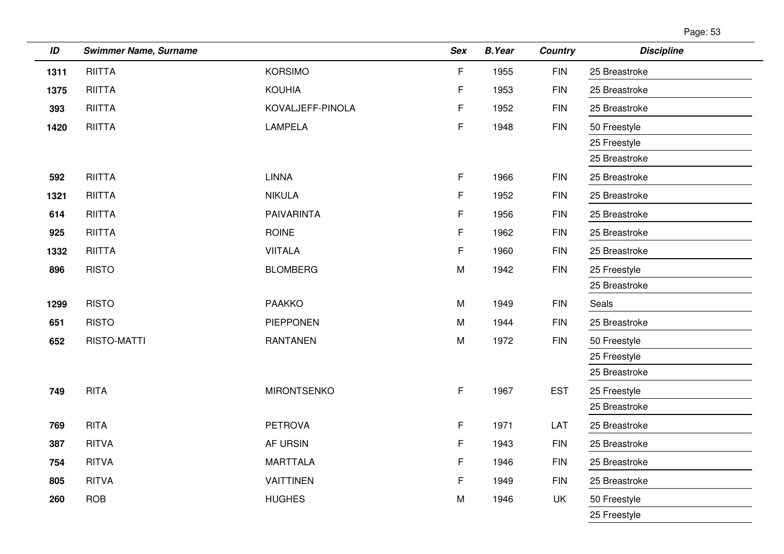| Page: 53 |  |
|----------|--|
|----------|--|

| ID   | <b>Swimmer Name, Surname</b> |                    | <b>Sex</b>  | <b>B.Year</b> | <b>Country</b> | <b>Discipline</b> |
|------|------------------------------|--------------------|-------------|---------------|----------------|-------------------|
| 1311 | <b>RIITTA</b>                | <b>KORSIMO</b>     | $\mathsf F$ | 1955          | <b>FIN</b>     | 25 Breastroke     |
| 1375 | <b>RIITTA</b>                | <b>KOUHIA</b>      | F           | 1953          | <b>FIN</b>     | 25 Breastroke     |
| 393  | <b>RIITTA</b>                | KOVALJEFF-PINOLA   | F           | 1952          | <b>FIN</b>     | 25 Breastroke     |
| 1420 | <b>RIITTA</b>                | <b>LAMPELA</b>     | F.          | 1948          | <b>FIN</b>     | 50 Freestyle      |
|      |                              |                    |             |               |                | 25 Freestyle      |
|      |                              |                    |             |               |                | 25 Breastroke     |
| 592  | <b>RIITTA</b>                | <b>LINNA</b>       | $\mathsf F$ | 1966          | <b>FIN</b>     | 25 Breastroke     |
| 1321 | <b>RIITTA</b>                | <b>NIKULA</b>      | F           | 1952          | <b>FIN</b>     | 25 Breastroke     |
| 614  | <b>RIITTA</b>                | <b>PAIVARINTA</b>  | F           | 1956          | <b>FIN</b>     | 25 Breastroke     |
| 925  | <b>RIITTA</b>                | <b>ROINE</b>       | F           | 1962          | <b>FIN</b>     | 25 Breastroke     |
| 1332 | <b>RIITTA</b>                | <b>VIITALA</b>     | F           | 1960          | <b>FIN</b>     | 25 Breastroke     |
| 896  | <b>RISTO</b>                 | <b>BLOMBERG</b>    | M           | 1942          | <b>FIN</b>     | 25 Freestyle      |
|      |                              |                    |             |               |                | 25 Breastroke     |
| 1299 | <b>RISTO</b>                 | <b>PAAKKO</b>      | M           | 1949          | <b>FIN</b>     | Seals             |
| 651  | <b>RISTO</b>                 | <b>PIEPPONEN</b>   | M           | 1944          | <b>FIN</b>     | 25 Breastroke     |
| 652  | RISTO-MATTI                  | <b>RANTANEN</b>    | ${\sf M}$   | 1972          | <b>FIN</b>     | 50 Freestyle      |
|      |                              |                    |             |               |                | 25 Freestyle      |
|      |                              |                    |             |               |                | 25 Breastroke     |
| 749  | <b>RITA</b>                  | <b>MIRONTSENKO</b> | F.          | 1967          | <b>EST</b>     | 25 Freestyle      |
|      |                              |                    |             |               |                | 25 Breastroke     |
| 769  | <b>RITA</b>                  | <b>PETROVA</b>     | F           | 1971          | LAT            | 25 Breastroke     |
| 387  | <b>RITVA</b>                 | AF URSIN           | F           | 1943          | <b>FIN</b>     | 25 Breastroke     |
| 754  | <b>RITVA</b>                 | <b>MARTTALA</b>    | F           | 1946          | <b>FIN</b>     | 25 Breastroke     |
| 805  | <b>RITVA</b>                 | <b>VAITTINEN</b>   | F.          | 1949          | <b>FIN</b>     | 25 Breastroke     |
| 260  | <b>ROB</b>                   | <b>HUGHES</b>      | M           | 1946          | UK             | 50 Freestyle      |
|      |                              |                    |             |               |                | 25 Freestyle      |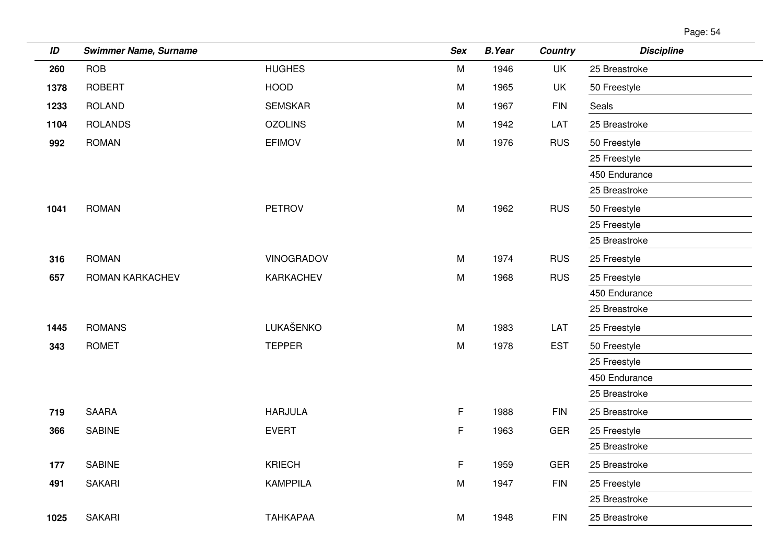| Page: 54 |  |
|----------|--|
|          |  |

| ID   | <b>Swimmer Name, Surname</b> |                   | <b>Sex</b>  | <b>B.Year</b> | <b>Country</b> | <b>Discipline</b> |
|------|------------------------------|-------------------|-------------|---------------|----------------|-------------------|
| 260  | <b>ROB</b>                   | <b>HUGHES</b>     | M           | 1946          | <b>UK</b>      | 25 Breastroke     |
| 1378 | <b>ROBERT</b>                | <b>HOOD</b>       | M           | 1965          | UK             | 50 Freestyle      |
| 1233 | <b>ROLAND</b>                | <b>SEMSKAR</b>    | M           | 1967          | <b>FIN</b>     | Seals             |
| 1104 | <b>ROLANDS</b>               | <b>OZOLINS</b>    | M           | 1942          | LAT            | 25 Breastroke     |
| 992  | <b>ROMAN</b>                 | <b>EFIMOV</b>     | M           | 1976          | <b>RUS</b>     | 50 Freestyle      |
|      |                              |                   |             |               |                | 25 Freestyle      |
|      |                              |                   |             |               |                | 450 Endurance     |
|      |                              |                   |             |               |                | 25 Breastroke     |
| 1041 | <b>ROMAN</b>                 | <b>PETROV</b>     | M           | 1962          | <b>RUS</b>     | 50 Freestyle      |
|      |                              |                   |             |               |                | 25 Freestyle      |
|      |                              |                   |             |               |                | 25 Breastroke     |
| 316  | <b>ROMAN</b>                 | <b>VINOGRADOV</b> | M           | 1974          | <b>RUS</b>     | 25 Freestyle      |
| 657  | ROMAN KARKACHEV              | KARKACHEV         | ${\sf M}$   | 1968          | <b>RUS</b>     | 25 Freestyle      |
|      |                              |                   |             |               |                | 450 Endurance     |
|      |                              |                   |             |               |                | 25 Breastroke     |
| 1445 | <b>ROMANS</b>                | LUKAŠENKO         | M           | 1983          | LAT            | 25 Freestyle      |
| 343  | <b>ROMET</b>                 | <b>TEPPER</b>     | M           | 1978          | <b>EST</b>     | 50 Freestyle      |
|      |                              |                   |             |               |                | 25 Freestyle      |
|      |                              |                   |             |               |                | 450 Endurance     |
|      |                              |                   |             |               |                | 25 Breastroke     |
| 719  | <b>SAARA</b>                 | <b>HARJULA</b>    | $\mathsf F$ | 1988          | <b>FIN</b>     | 25 Breastroke     |
| 366  | <b>SABINE</b>                | <b>EVERT</b>      | F           | 1963          | <b>GER</b>     | 25 Freestyle      |
|      |                              |                   |             |               |                | 25 Breastroke     |
| 177  | <b>SABINE</b>                | <b>KRIECH</b>     | F           | 1959          | <b>GER</b>     | 25 Breastroke     |
| 491  | <b>SAKARI</b>                | <b>KAMPPILA</b>   | M           | 1947          | <b>FIN</b>     | 25 Freestyle      |
|      |                              |                   |             |               |                | 25 Breastroke     |
| 1025 | <b>SAKARI</b>                | ТАНКАРАА          | M           | 1948          | <b>FIN</b>     | 25 Breastroke     |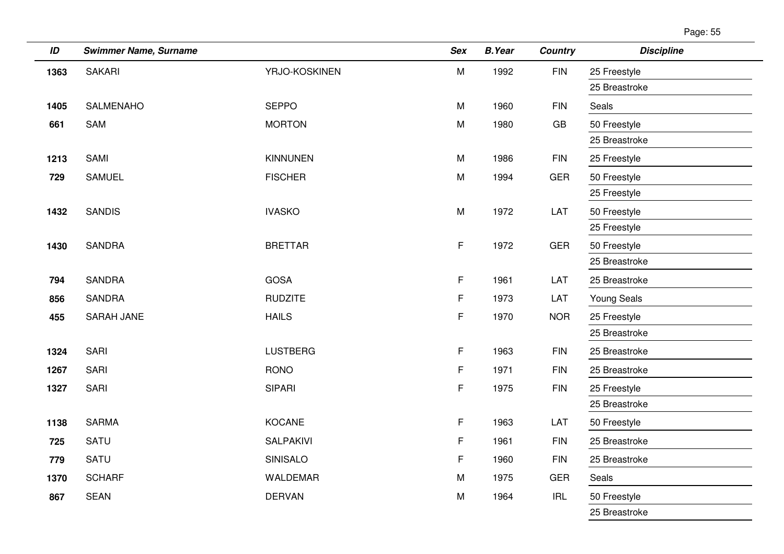| ID   | <b>Swimmer Name, Surname</b> |                  | Sex                                                                                   | <b>B.Year</b> | Country    | <b>Discipline</b>  |
|------|------------------------------|------------------|---------------------------------------------------------------------------------------|---------------|------------|--------------------|
| 1363 | <b>SAKARI</b>                | YRJO-KOSKINEN    | $\mathsf{M}% _{T}=\mathsf{M}_{T}\!\left( a,b\right) ,\ \mathsf{M}_{T}=\mathsf{M}_{T}$ | 1992          | <b>FIN</b> | 25 Freestyle       |
|      |                              |                  |                                                                                       |               |            | 25 Breastroke      |
| 1405 | <b>SALMENAHO</b>             | <b>SEPPO</b>     | M                                                                                     | 1960          | <b>FIN</b> | Seals              |
| 661  | <b>SAM</b>                   | <b>MORTON</b>    | M                                                                                     | 1980          | GB         | 50 Freestyle       |
|      |                              |                  |                                                                                       |               |            | 25 Breastroke      |
| 1213 | SAMI                         | <b>KINNUNEN</b>  | M                                                                                     | 1986          | <b>FIN</b> | 25 Freestyle       |
| 729  | <b>SAMUEL</b>                | <b>FISCHER</b>   | M                                                                                     | 1994          | GER        | 50 Freestyle       |
|      |                              |                  |                                                                                       |               |            | 25 Freestyle       |
| 1432 | <b>SANDIS</b>                | <b>IVASKO</b>    | M                                                                                     | 1972          | LAT        | 50 Freestyle       |
|      |                              |                  |                                                                                       |               |            | 25 Freestyle       |
| 1430 | <b>SANDRA</b>                | <b>BRETTAR</b>   | $\mathsf F$                                                                           | 1972          | <b>GER</b> | 50 Freestyle       |
|      |                              |                  |                                                                                       |               |            | 25 Breastroke      |
| 794  | <b>SANDRA</b>                | <b>GOSA</b>      | $\mathsf F$                                                                           | 1961          | LAT        | 25 Breastroke      |
| 856  | <b>SANDRA</b>                | <b>RUDZITE</b>   | F                                                                                     | 1973          | LAT        | <b>Young Seals</b> |
| 455  | <b>SARAH JANE</b>            | <b>HAILS</b>     | $\mathsf F$                                                                           | 1970          | <b>NOR</b> | 25 Freestyle       |
|      |                              |                  |                                                                                       |               |            | 25 Breastroke      |
| 1324 | SARI                         | <b>LUSTBERG</b>  | $\mathsf F$                                                                           | 1963          | <b>FIN</b> | 25 Breastroke      |
| 1267 | SARI                         | <b>RONO</b>      | $\mathsf F$                                                                           | 1971          | <b>FIN</b> | 25 Breastroke      |
| 1327 | SARI                         | <b>SIPARI</b>    | $\mathsf F$                                                                           | 1975          | <b>FIN</b> | 25 Freestyle       |
|      |                              |                  |                                                                                       |               |            | 25 Breastroke      |
| 1138 | <b>SARMA</b>                 | KOCANE           | $\mathsf F$                                                                           | 1963          | LAT        | 50 Freestyle       |
| 725  | <b>SATU</b>                  | <b>SALPAKIVI</b> | F                                                                                     | 1961          | <b>FIN</b> | 25 Breastroke      |
| 779  | SATU                         | SINISALO         | F                                                                                     | 1960          | <b>FIN</b> | 25 Breastroke      |
| 1370 | <b>SCHARF</b>                | <b>WALDEMAR</b>  | M                                                                                     | 1975          | <b>GER</b> | Seals              |
| 867  | <b>SEAN</b>                  | <b>DERVAN</b>    | M                                                                                     | 1964          | <b>IRL</b> | 50 Freestyle       |
|      |                              |                  |                                                                                       |               |            | 25 Breastroke      |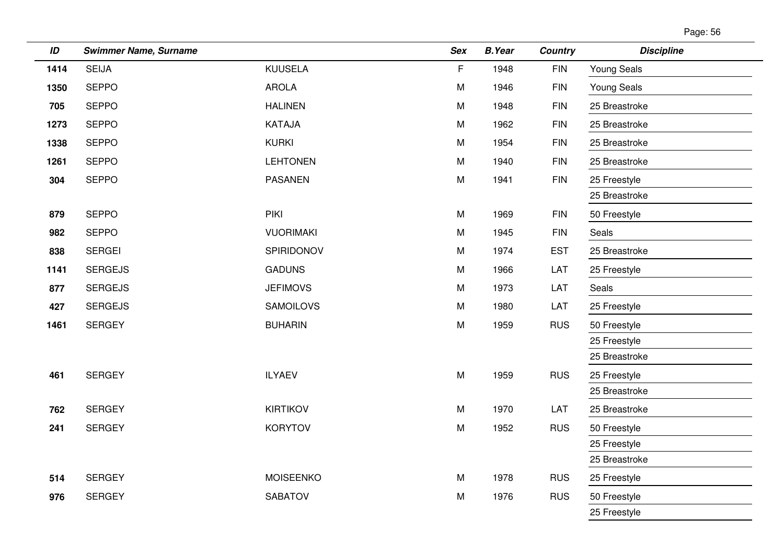| Page: 56 |  |
|----------|--|
|----------|--|

| ID   | <b>Swimmer Name, Surname</b> |                  | <b>Sex</b> | <b>B.Year</b> | <b>Country</b> | <b>Discipline</b>  |
|------|------------------------------|------------------|------------|---------------|----------------|--------------------|
| 1414 | <b>SEIJA</b>                 | <b>KUUSELA</b>   | F.         | 1948          | <b>FIN</b>     | Young Seals        |
| 1350 | <b>SEPPO</b>                 | <b>AROLA</b>     | M          | 1946          | $\mathsf{FIN}$ | <b>Young Seals</b> |
| 705  | <b>SEPPO</b>                 | <b>HALINEN</b>   | M          | 1948          | <b>FIN</b>     | 25 Breastroke      |
| 1273 | <b>SEPPO</b>                 | KATAJA           | M          | 1962          | <b>FIN</b>     | 25 Breastroke      |
| 1338 | <b>SEPPO</b>                 | <b>KURKI</b>     | M          | 1954          | <b>FIN</b>     | 25 Breastroke      |
| 1261 | <b>SEPPO</b>                 | <b>LEHTONEN</b>  | M          | 1940          | <b>FIN</b>     | 25 Breastroke      |
| 304  | <b>SEPPO</b>                 | <b>PASANEN</b>   | M          | 1941          | <b>FIN</b>     | 25 Freestyle       |
|      |                              |                  |            |               |                | 25 Breastroke      |
| 879  | <b>SEPPO</b>                 | PIKI             | M          | 1969          | <b>FIN</b>     | 50 Freestyle       |
| 982  | <b>SEPPO</b>                 | <b>VUORIMAKI</b> | ${\sf M}$  | 1945          | ${\sf FIN}$    | Seals              |
| 838  | <b>SERGEI</b>                | SPIRIDONOV       | M          | 1974          | <b>EST</b>     | 25 Breastroke      |
| 1141 | <b>SERGEJS</b>               | <b>GADUNS</b>    | M          | 1966          | LAT            | 25 Freestyle       |
| 877  | <b>SERGEJS</b>               | <b>JEFIMOVS</b>  | M          | 1973          | LAT            | Seals              |
| 427  | <b>SERGEJS</b>               | <b>SAMOILOVS</b> | M          | 1980          | LAT            | 25 Freestyle       |
| 1461 | <b>SERGEY</b>                | <b>BUHARIN</b>   | ${\sf M}$  | 1959          | <b>RUS</b>     | 50 Freestyle       |
|      |                              |                  |            |               |                | 25 Freestyle       |
|      |                              |                  |            |               |                | 25 Breastroke      |
| 461  | <b>SERGEY</b>                | <b>ILYAEV</b>    | M          | 1959          | <b>RUS</b>     | 25 Freestyle       |
|      |                              |                  |            |               |                | 25 Breastroke      |
| 762  | <b>SERGEY</b>                | <b>KIRTIKOV</b>  | ${\sf M}$  | 1970          | LAT            | 25 Breastroke      |
| 241  | <b>SERGEY</b>                | <b>KORYTOV</b>   | M          | 1952          | <b>RUS</b>     | 50 Freestyle       |
|      |                              |                  |            |               |                | 25 Freestyle       |
|      |                              |                  |            |               |                | 25 Breastroke      |
| 514  | <b>SERGEY</b>                | <b>MOISEENKO</b> | M          | 1978          | <b>RUS</b>     | 25 Freestyle       |
| 976  | <b>SERGEY</b>                | <b>SABATOV</b>   | ${\sf M}$  | 1976          | <b>RUS</b>     | 50 Freestyle       |
|      |                              |                  |            |               |                | 25 Freestyle       |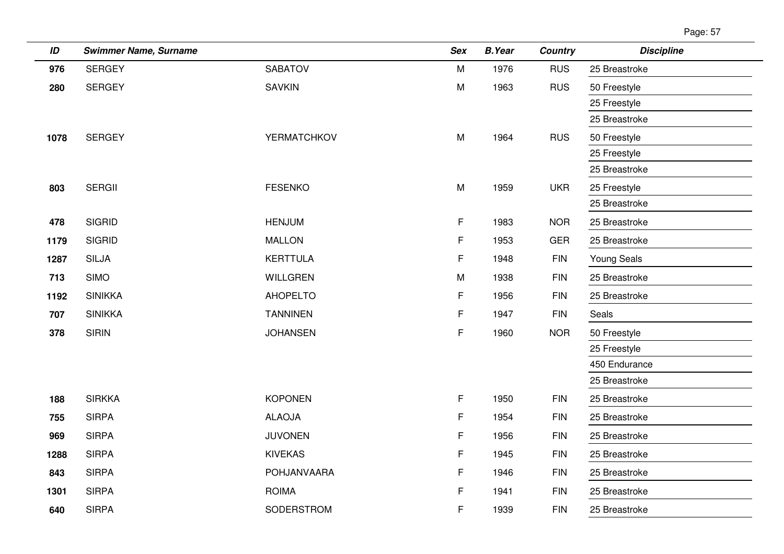| ID   | <b>Swimmer Name, Surname</b> |                 | <b>Sex</b>  | <b>B.Year</b> | <b>Country</b> | <b>Discipline</b> |
|------|------------------------------|-----------------|-------------|---------------|----------------|-------------------|
| 976  | <b>SERGEY</b>                | <b>SABATOV</b>  | M           | 1976          | <b>RUS</b>     | 25 Breastroke     |
| 280  | <b>SERGEY</b>                | <b>SAVKIN</b>   | M           | 1963          | <b>RUS</b>     | 50 Freestyle      |
|      |                              |                 |             |               |                | 25 Freestyle      |
|      |                              |                 |             |               |                | 25 Breastroke     |
| 1078 | <b>SERGEY</b>                | YERMATCHKOV     | M           | 1964          | <b>RUS</b>     | 50 Freestyle      |
|      |                              |                 |             |               |                | 25 Freestyle      |
|      |                              |                 |             |               |                | 25 Breastroke     |
| 803  | <b>SERGII</b>                | <b>FESENKO</b>  | M           | 1959          | <b>UKR</b>     | 25 Freestyle      |
|      |                              |                 |             |               |                | 25 Breastroke     |
| 478  | <b>SIGRID</b>                | <b>HENJUM</b>   | $\mathsf F$ | 1983          | <b>NOR</b>     | 25 Breastroke     |
| 1179 | <b>SIGRID</b>                | <b>MALLON</b>   | F           | 1953          | <b>GER</b>     | 25 Breastroke     |
| 1287 | <b>SILJA</b>                 | <b>KERTTULA</b> | F           | 1948          | <b>FIN</b>     | Young Seals       |
| 713  | <b>SIMO</b>                  | <b>WILLGREN</b> | M           | 1938          | <b>FIN</b>     | 25 Breastroke     |
| 1192 | <b>SINIKKA</b>               | <b>AHOPELTO</b> | F           | 1956          | <b>FIN</b>     | 25 Breastroke     |
| 707  | <b>SINIKKA</b>               | <b>TANNINEN</b> | F           | 1947          | <b>FIN</b>     | Seals             |
| 378  | <b>SIRIN</b>                 | <b>JOHANSEN</b> | F           | 1960          | <b>NOR</b>     | 50 Freestyle      |
|      |                              |                 |             |               |                | 25 Freestyle      |
|      |                              |                 |             |               |                | 450 Endurance     |
|      |                              |                 |             |               |                | 25 Breastroke     |
| 188  | <b>SIRKKA</b>                | <b>KOPONEN</b>  | $\mathsf F$ | 1950          | <b>FIN</b>     | 25 Breastroke     |
| 755  | <b>SIRPA</b>                 | <b>ALAOJA</b>   | F           | 1954          | <b>FIN</b>     | 25 Breastroke     |
| 969  | <b>SIRPA</b>                 | <b>JUVONEN</b>  | F.          | 1956          | <b>FIN</b>     | 25 Breastroke     |
| 1288 | <b>SIRPA</b>                 | <b>KIVEKAS</b>  | F           | 1945          | <b>FIN</b>     | 25 Breastroke     |
| 843  | <b>SIRPA</b>                 | POHJANVAARA     | F.          | 1946          | $\mathsf{FIN}$ | 25 Breastroke     |
| 1301 | <b>SIRPA</b>                 | <b>ROIMA</b>    | F           | 1941          | <b>FIN</b>     | 25 Breastroke     |
| 640  | <b>SIRPA</b>                 | SODERSTROM      | F           | 1939          | <b>FIN</b>     | 25 Breastroke     |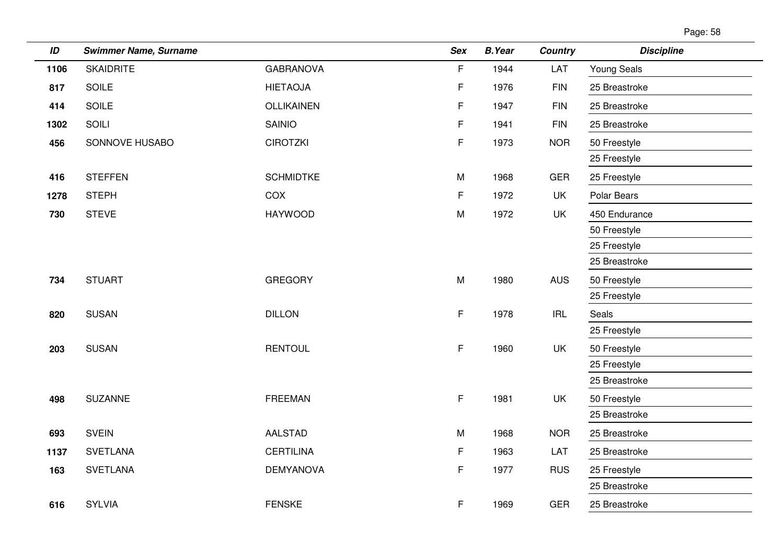| Page: 58 |  |
|----------|--|
|          |  |

| ID   | <b>Swimmer Name, Surname</b> |                  | Sex | <b>B.Year</b> | Country    | <b>Discipline</b>  |
|------|------------------------------|------------------|-----|---------------|------------|--------------------|
| 1106 | <b>SKAIDRITE</b>             | <b>GABRANOVA</b> | F   | 1944          | LAT        | <b>Young Seals</b> |
| 817  | <b>SOILE</b>                 | <b>HIETAOJA</b>  | F   | 1976          | <b>FIN</b> | 25 Breastroke      |
| 414  | <b>SOILE</b>                 | OLLIKAINEN       | F   | 1947          | <b>FIN</b> | 25 Breastroke      |
| 1302 | SOILI                        | <b>SAINIO</b>    | F   | 1941          | <b>FIN</b> | 25 Breastroke      |
| 456  | SONNOVE HUSABO               | <b>CIROTZKI</b>  | F   | 1973          | <b>NOR</b> | 50 Freestyle       |
|      |                              |                  |     |               |            | 25 Freestyle       |
| 416  | <b>STEFFEN</b>               | <b>SCHMIDTKE</b> | M   | 1968          | <b>GER</b> | 25 Freestyle       |
| 1278 | <b>STEPH</b>                 | COX              | F   | 1972          | UK         | Polar Bears        |
| 730  | <b>STEVE</b>                 | <b>HAYWOOD</b>   | M   | 1972          | <b>UK</b>  | 450 Endurance      |
|      |                              |                  |     |               |            | 50 Freestyle       |
|      |                              |                  |     |               |            | 25 Freestyle       |
|      |                              |                  |     |               |            | 25 Breastroke      |
| 734  | <b>STUART</b>                | <b>GREGORY</b>   | M   | 1980          | <b>AUS</b> | 50 Freestyle       |
|      |                              |                  |     |               |            | 25 Freestyle       |
| 820  | <b>SUSAN</b>                 | <b>DILLON</b>    | F   | 1978          | <b>IRL</b> | Seals              |
|      |                              |                  |     |               |            | 25 Freestyle       |
| 203  | <b>SUSAN</b>                 | <b>RENTOUL</b>   | F   | 1960          | UK         | 50 Freestyle       |
|      |                              |                  |     |               |            | 25 Freestyle       |
|      |                              |                  |     |               |            | 25 Breastroke      |
| 498  | <b>SUZANNE</b>               | <b>FREEMAN</b>   | F   | 1981          | UK         | 50 Freestyle       |
|      |                              |                  |     |               |            | 25 Breastroke      |
| 693  | <b>SVEIN</b>                 | <b>AALSTAD</b>   | M   | 1968          | <b>NOR</b> | 25 Breastroke      |
| 1137 | <b>SVETLANA</b>              | <b>CERTILINA</b> | F   | 1963          | LAT        | 25 Breastroke      |
| 163  | <b>SVETLANA</b>              | <b>DEMYANOVA</b> | F   | 1977          | <b>RUS</b> | 25 Freestyle       |
|      |                              |                  |     |               |            | 25 Breastroke      |
| 616  | <b>SYLVIA</b>                | <b>FENSKE</b>    | F   | 1969          | <b>GER</b> | 25 Breastroke      |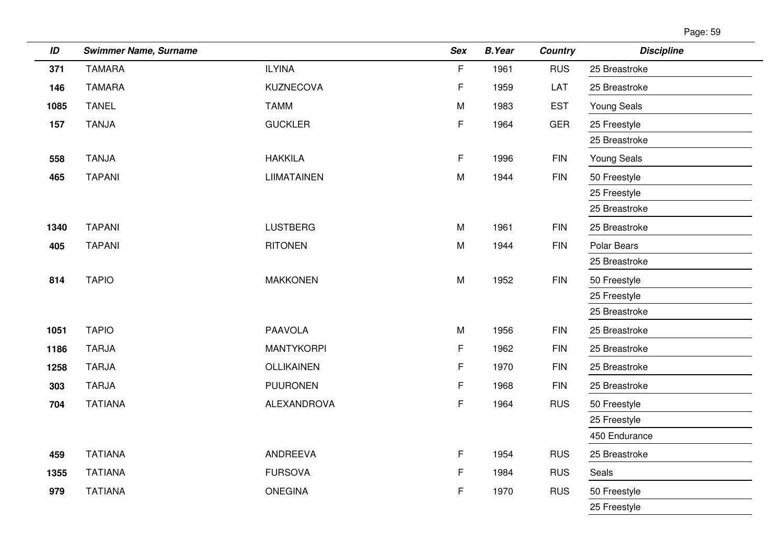| Page: 59 |  |
|----------|--|
|----------|--|

| ID   | <b>Swimmer Name, Surname</b> |                    | Sex         | <b>B.Year</b> | <b>Country</b> | <b>Discipline</b>  |
|------|------------------------------|--------------------|-------------|---------------|----------------|--------------------|
| 371  | <b>TAMARA</b>                | <b>ILYINA</b>      | F           | 1961          | <b>RUS</b>     | 25 Breastroke      |
| 146  | <b>TAMARA</b>                | KUZNECOVA          | $\mathsf F$ | 1959          | LAT            | 25 Breastroke      |
| 1085 | <b>TANEL</b>                 | <b>TAMM</b>        | M           | 1983          | <b>EST</b>     | <b>Young Seals</b> |
| 157  | <b>TANJA</b>                 | <b>GUCKLER</b>     | F.          | 1964          | <b>GER</b>     | 25 Freestyle       |
|      |                              |                    |             |               |                | 25 Breastroke      |
| 558  | <b>TANJA</b>                 | <b>HAKKILA</b>     | $\mathsf F$ | 1996          | <b>FIN</b>     | <b>Young Seals</b> |
| 465  | <b>TAPANI</b>                | <b>LIIMATAINEN</b> | M           | 1944          | <b>FIN</b>     | 50 Freestyle       |
|      |                              |                    |             |               |                | 25 Freestyle       |
|      |                              |                    |             |               |                | 25 Breastroke      |
| 1340 | <b>TAPANI</b>                | <b>LUSTBERG</b>    | M           | 1961          | <b>FIN</b>     | 25 Breastroke      |
| 405  | <b>TAPANI</b>                | <b>RITONEN</b>     | M           | 1944          | <b>FIN</b>     | Polar Bears        |
|      |                              |                    |             |               |                | 25 Breastroke      |
| 814  | <b>TAPIO</b>                 | <b>MAKKONEN</b>    | M           | 1952          | <b>FIN</b>     | 50 Freestyle       |
|      |                              |                    |             |               |                | 25 Freestyle       |
|      |                              |                    |             |               |                | 25 Breastroke      |
| 1051 | <b>TAPIO</b>                 | <b>PAAVOLA</b>     | M           | 1956          | <b>FIN</b>     | 25 Breastroke      |
| 1186 | <b>TARJA</b>                 | <b>MANTYKORPI</b>  | F           | 1962          | <b>FIN</b>     | 25 Breastroke      |
| 1258 | <b>TARJA</b>                 | <b>OLLIKAINEN</b>  | F           | 1970          | <b>FIN</b>     | 25 Breastroke      |
| 303  | <b>TARJA</b>                 | <b>PUURONEN</b>    | $\mathsf F$ | 1968          | <b>FIN</b>     | 25 Breastroke      |
| 704  | <b>TATIANA</b>               | ALEXANDROVA        | $\mathsf F$ | 1964          | <b>RUS</b>     | 50 Freestyle       |
|      |                              |                    |             |               |                | 25 Freestyle       |
|      |                              |                    |             |               |                | 450 Endurance      |
| 459  | <b>TATIANA</b>               | ANDREEVA           | F           | 1954          | <b>RUS</b>     | 25 Breastroke      |
| 1355 | <b>TATIANA</b>               | <b>FURSOVA</b>     | F           | 1984          | <b>RUS</b>     | Seals              |
| 979  | <b>TATIANA</b>               | <b>ONEGINA</b>     | F           | 1970          | <b>RUS</b>     | 50 Freestyle       |
|      |                              |                    |             |               |                | 25 Freestyle       |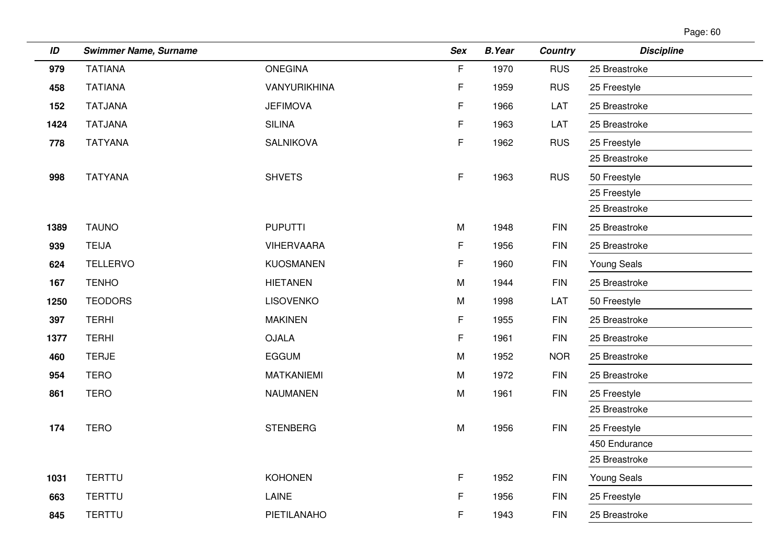| Page: 60 |  |
|----------|--|
|          |  |

| ID   | <b>Swimmer Name, Surname</b> |                   | <b>Sex</b> | <b>B.Year</b> | <b>Country</b> | <b>Discipline</b>  |
|------|------------------------------|-------------------|------------|---------------|----------------|--------------------|
| 979  | <b>TATIANA</b>               | <b>ONEGINA</b>    | F          | 1970          | <b>RUS</b>     | 25 Breastroke      |
| 458  | <b>TATIANA</b>               | VANYURIKHINA      | F          | 1959          | <b>RUS</b>     | 25 Freestyle       |
| 152  | <b>TATJANA</b>               | <b>JEFIMOVA</b>   | F          | 1966          | LAT            | 25 Breastroke      |
| 1424 | <b>TATJANA</b>               | <b>SILINA</b>     | F          | 1963          | LAT            | 25 Breastroke      |
| 778  | <b>TATYANA</b>               | <b>SALNIKOVA</b>  | F          | 1962          | <b>RUS</b>     | 25 Freestyle       |
|      |                              |                   |            |               |                | 25 Breastroke      |
| 998  | <b>TATYANA</b>               | <b>SHVETS</b>     | F          | 1963          | <b>RUS</b>     | 50 Freestyle       |
|      |                              |                   |            |               |                | 25 Freestyle       |
|      |                              |                   |            |               |                | 25 Breastroke      |
| 1389 | <b>TAUNO</b>                 | <b>PUPUTTI</b>    | M          | 1948          | <b>FIN</b>     | 25 Breastroke      |
| 939  | <b>TEIJA</b>                 | <b>VIHERVAARA</b> | F          | 1956          | <b>FIN</b>     | 25 Breastroke      |
| 624  | <b>TELLERVO</b>              | <b>KUOSMANEN</b>  | F          | 1960          | <b>FIN</b>     | <b>Young Seals</b> |
| 167  | <b>TENHO</b>                 | <b>HIETANEN</b>   | M          | 1944          | <b>FIN</b>     | 25 Breastroke      |
| 1250 | <b>TEODORS</b>               | <b>LISOVENKO</b>  | M          | 1998          | LAT            | 50 Freestyle       |
| 397  | <b>TERHI</b>                 | <b>MAKINEN</b>    | F          | 1955          | <b>FIN</b>     | 25 Breastroke      |
| 1377 | <b>TERHI</b>                 | <b>OJALA</b>      | F          | 1961          | <b>FIN</b>     | 25 Breastroke      |
| 460  | <b>TERJE</b>                 | <b>EGGUM</b>      | M          | 1952          | <b>NOR</b>     | 25 Breastroke      |
| 954  | <b>TERO</b>                  | <b>MATKANIEMI</b> | M          | 1972          | <b>FIN</b>     | 25 Breastroke      |
| 861  | <b>TERO</b>                  | <b>NAUMANEN</b>   | M          | 1961          | <b>FIN</b>     | 25 Freestyle       |
|      |                              |                   |            |               |                | 25 Breastroke      |
| 174  | <b>TERO</b>                  | <b>STENBERG</b>   | M          | 1956          | <b>FIN</b>     | 25 Freestyle       |
|      |                              |                   |            |               |                | 450 Endurance      |
|      |                              |                   |            |               |                | 25 Breastroke      |
| 1031 | <b>TERTTU</b>                | <b>KOHONEN</b>    | F.         | 1952          | <b>FIN</b>     | Young Seals        |
| 663  | <b>TERTTU</b>                | LAINE             | F          | 1956          | <b>FIN</b>     | 25 Freestyle       |
| 845  | <b>TERTTU</b>                | PIETILANAHO       | F          | 1943          | <b>FIN</b>     | 25 Breastroke      |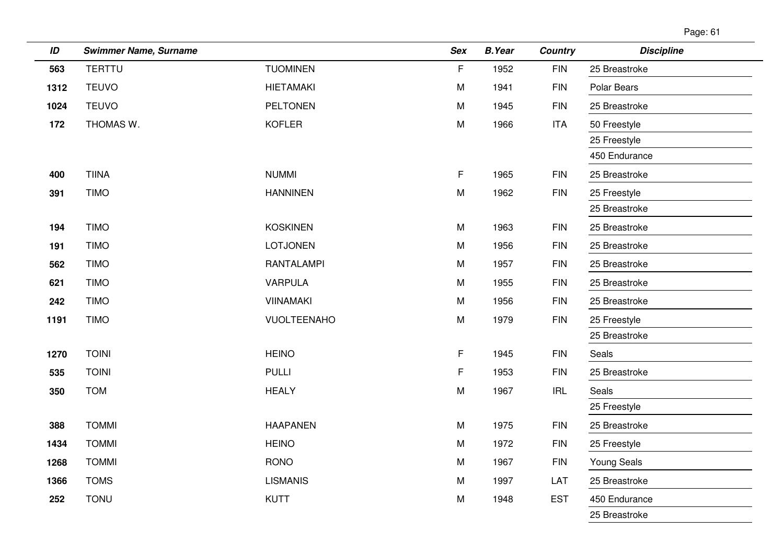| ID   | <b>Swimmer Name, Surname</b> |                    | Sex | <b>B.Year</b> | <b>Country</b> | <b>Discipline</b> |
|------|------------------------------|--------------------|-----|---------------|----------------|-------------------|
| 563  | <b>TERTTU</b>                | <b>TUOMINEN</b>    | F   | 1952          | <b>FIN</b>     | 25 Breastroke     |
| 1312 | <b>TEUVO</b>                 | <b>HIETAMAKI</b>   | M   | 1941          | <b>FIN</b>     | Polar Bears       |
| 1024 | <b>TEUVO</b>                 | <b>PELTONEN</b>    | M   | 1945          | <b>FIN</b>     | 25 Breastroke     |
| 172  | THOMAS W.                    | <b>KOFLER</b>      | M   | 1966          | <b>ITA</b>     | 50 Freestyle      |
|      |                              |                    |     |               |                | 25 Freestyle      |
|      |                              |                    |     |               |                | 450 Endurance     |
| 400  | <b>TIINA</b>                 | <b>NUMMI</b>       | F   | 1965          | <b>FIN</b>     | 25 Breastroke     |
| 391  | <b>TIMO</b>                  | <b>HANNINEN</b>    | M   | 1962          | $\mathsf{FIN}$ | 25 Freestyle      |
|      |                              |                    |     |               |                | 25 Breastroke     |
| 194  | <b>TIMO</b>                  | <b>KOSKINEN</b>    | M   | 1963          | <b>FIN</b>     | 25 Breastroke     |
| 191  | <b>TIMO</b>                  | <b>LOTJONEN</b>    | M   | 1956          | <b>FIN</b>     | 25 Breastroke     |
| 562  | <b>TIMO</b>                  | <b>RANTALAMPI</b>  | M   | 1957          | <b>FIN</b>     | 25 Breastroke     |
| 621  | <b>TIMO</b>                  | <b>VARPULA</b>     | M   | 1955          | <b>FIN</b>     | 25 Breastroke     |
| 242  | <b>TIMO</b>                  | <b>VIINAMAKI</b>   | M   | 1956          | <b>FIN</b>     | 25 Breastroke     |
| 1191 | <b>TIMO</b>                  | <b>VUOLTEENAHO</b> | M   | 1979          | <b>FIN</b>     | 25 Freestyle      |
|      |                              |                    |     |               |                | 25 Breastroke     |
| 1270 | <b>TOINI</b>                 | <b>HEINO</b>       | F   | 1945          | $\mathsf{FIN}$ | Seals             |
| 535  | <b>TOINI</b>                 | <b>PULLI</b>       | F   | 1953          | <b>FIN</b>     | 25 Breastroke     |
| 350  | <b>TOM</b>                   | <b>HEALY</b>       | M   | 1967          | <b>IRL</b>     | Seals             |
|      |                              |                    |     |               |                | 25 Freestyle      |
| 388  | <b>TOMMI</b>                 | <b>HAAPANEN</b>    | M   | 1975          | <b>FIN</b>     | 25 Breastroke     |
| 1434 | <b>TOMMI</b>                 | <b>HEINO</b>       | M   | 1972          | <b>FIN</b>     | 25 Freestyle      |
| 1268 | <b>TOMMI</b>                 | <b>RONO</b>        | M   | 1967          | <b>FIN</b>     | Young Seals       |
| 1366 | <b>TOMS</b>                  | <b>LISMANIS</b>    | M   | 1997          | LAT            | 25 Breastroke     |
| 252  | <b>TONU</b>                  | <b>KUTT</b>        | M   | 1948          | <b>EST</b>     | 450 Endurance     |
|      |                              |                    |     |               |                | 25 Breastroke     |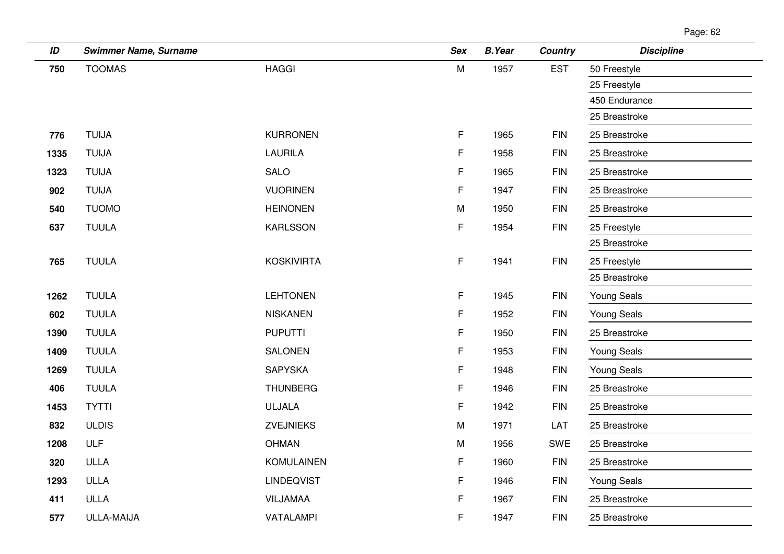| ID   | <b>Swimmer Name, Surname</b> |                   | <b>Sex</b>  | <b>B.Year</b> | <b>Country</b> | <b>Discipline</b>  |
|------|------------------------------|-------------------|-------------|---------------|----------------|--------------------|
| 750  | <b>TOOMAS</b>                | <b>HAGGI</b>      | M           | 1957          | <b>EST</b>     | 50 Freestyle       |
|      |                              |                   |             |               |                | 25 Freestyle       |
|      |                              |                   |             |               |                | 450 Endurance      |
|      |                              |                   |             |               |                | 25 Breastroke      |
| 776  | <b>TUIJA</b>                 | <b>KURRONEN</b>   | $\mathsf F$ | 1965          | <b>FIN</b>     | 25 Breastroke      |
| 1335 | <b>TUIJA</b>                 | <b>LAURILA</b>    | F           | 1958          | <b>FIN</b>     | 25 Breastroke      |
| 1323 | <b>TUIJA</b>                 | SALO              | F           | 1965          | <b>FIN</b>     | 25 Breastroke      |
| 902  | <b>TUIJA</b>                 | <b>VUORINEN</b>   | F           | 1947          | <b>FIN</b>     | 25 Breastroke      |
| 540  | <b>TUOMO</b>                 | <b>HEINONEN</b>   | M           | 1950          | <b>FIN</b>     | 25 Breastroke      |
| 637  | <b>TUULA</b>                 | <b>KARLSSON</b>   | F           | 1954          | <b>FIN</b>     | 25 Freestyle       |
|      |                              |                   |             |               |                | 25 Breastroke      |
| 765  | <b>TUULA</b>                 | <b>KOSKIVIRTA</b> | $\mathsf F$ | 1941          | <b>FIN</b>     | 25 Freestyle       |
|      |                              |                   |             |               |                | 25 Breastroke      |
| 1262 | <b>TUULA</b>                 | <b>LEHTONEN</b>   | F.          | 1945          | <b>FIN</b>     | <b>Young Seals</b> |
| 602  | <b>TUULA</b>                 | <b>NISKANEN</b>   | F           | 1952          | <b>FIN</b>     | <b>Young Seals</b> |
| 1390 | <b>TUULA</b>                 | <b>PUPUTTI</b>    | F           | 1950          | <b>FIN</b>     | 25 Breastroke      |
| 1409 | <b>TUULA</b>                 | <b>SALONEN</b>    | F           | 1953          | <b>FIN</b>     | <b>Young Seals</b> |
| 1269 | <b>TUULA</b>                 | SAPYSKA           | $\mathsf F$ | 1948          | <b>FIN</b>     | <b>Young Seals</b> |
| 406  | <b>TUULA</b>                 | <b>THUNBERG</b>   | F           | 1946          | <b>FIN</b>     | 25 Breastroke      |
| 1453 | <b>TYTTI</b>                 | <b>ULJALA</b>     | F           | 1942          | <b>FIN</b>     | 25 Breastroke      |
| 832  | <b>ULDIS</b>                 | <b>ZVEJNIEKS</b>  | M           | 1971          | LAT            | 25 Breastroke      |
| 1208 | ULF                          | <b>OHMAN</b>      | M           | 1956          | SWE            | 25 Breastroke      |
| 320  | ULLA                         | <b>KOMULAINEN</b> | $\mathsf F$ | 1960          | <b>FIN</b>     | 25 Breastroke      |
| 1293 | <b>ULLA</b>                  | <b>LINDEQVIST</b> | F.          | 1946          | <b>FIN</b>     | <b>Young Seals</b> |
| 411  | ULLA                         | VILJAMAA          | F           | 1967          | <b>FIN</b>     | 25 Breastroke      |
| 577  | ULLA-MAIJA                   | VATALAMPI         | F           | 1947          | <b>FIN</b>     | 25 Breastroke      |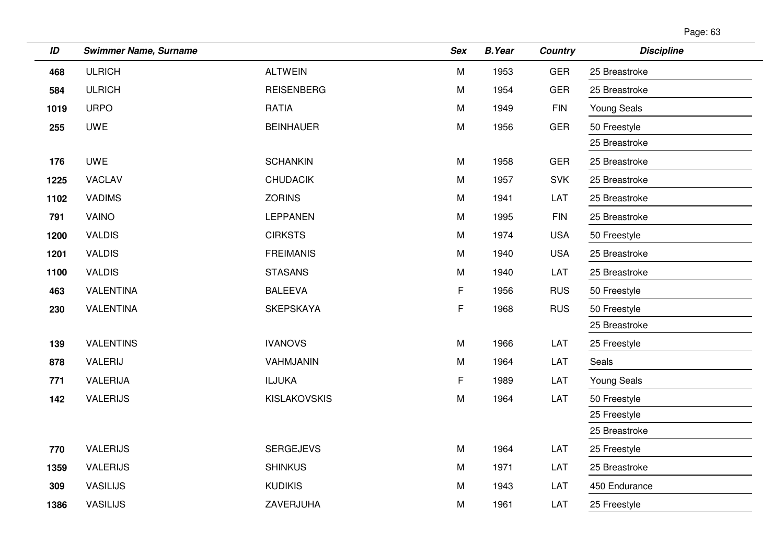| Page: 63 |
|----------|
|----------|

| ID   | <b>Swimmer Name, Surname</b> |                     | <b>Sex</b> | <b>B.Year</b> | <b>Country</b> | <b>Discipline</b>  |
|------|------------------------------|---------------------|------------|---------------|----------------|--------------------|
| 468  | <b>ULRICH</b>                | <b>ALTWEIN</b>      | M          | 1953          | <b>GER</b>     | 25 Breastroke      |
| 584  | <b>ULRICH</b>                | <b>REISENBERG</b>   | M          | 1954          | <b>GER</b>     | 25 Breastroke      |
| 1019 | <b>URPO</b>                  | <b>RATIA</b>        | M          | 1949          | <b>FIN</b>     | <b>Young Seals</b> |
| 255  | <b>UWE</b>                   | <b>BEINHAUER</b>    | ${\sf M}$  | 1956          | GER            | 50 Freestyle       |
|      |                              |                     |            |               |                | 25 Breastroke      |
| 176  | <b>UWE</b>                   | <b>SCHANKIN</b>     | M          | 1958          | <b>GER</b>     | 25 Breastroke      |
| 1225 | VACLAV                       | <b>CHUDACIK</b>     | M          | 1957          | <b>SVK</b>     | 25 Breastroke      |
| 1102 | <b>VADIMS</b>                | <b>ZORINS</b>       | M          | 1941          | LAT            | 25 Breastroke      |
| 791  | VAINO                        | <b>LEPPANEN</b>     | M          | 1995          | <b>FIN</b>     | 25 Breastroke      |
| 1200 | <b>VALDIS</b>                | <b>CIRKSTS</b>      | M          | 1974          | <b>USA</b>     | 50 Freestyle       |
| 1201 | <b>VALDIS</b>                | <b>FREIMANIS</b>    | M          | 1940          | <b>USA</b>     | 25 Breastroke      |
| 1100 | <b>VALDIS</b>                | <b>STASANS</b>      | M          | 1940          | LAT            | 25 Breastroke      |
| 463  | <b>VALENTINA</b>             | <b>BALEEVA</b>      | F.         | 1956          | <b>RUS</b>     | 50 Freestyle       |
| 230  | <b>VALENTINA</b>             | <b>SKEPSKAYA</b>    | F          | 1968          | <b>RUS</b>     | 50 Freestyle       |
|      |                              |                     |            |               |                | 25 Breastroke      |
| 139  | <b>VALENTINS</b>             | <b>IVANOVS</b>      | M          | 1966          | LAT            | 25 Freestyle       |
| 878  | VALERIJ                      | VAHMJANIN           | M          | 1964          | LAT            | <b>Seals</b>       |
| 771  | VALERIJA                     | <b>ILJUKA</b>       | F          | 1989          | LAT            | <b>Young Seals</b> |
| 142  | <b>VALERIJS</b>              | <b>KISLAKOVSKIS</b> | ${\sf M}$  | 1964          | LAT            | 50 Freestyle       |
|      |                              |                     |            |               |                | 25 Freestyle       |
|      |                              |                     |            |               |                | 25 Breastroke      |
| 770  | <b>VALERIJS</b>              | <b>SERGEJEVS</b>    | M          | 1964          | LAT            | 25 Freestyle       |
| 1359 | <b>VALERIJS</b>              | <b>SHINKUS</b>      | M          | 1971          | LAT            | 25 Breastroke      |
| 309  | <b>VASILIJS</b>              | <b>KUDIKIS</b>      | M          | 1943          | LAT            | 450 Endurance      |
| 1386 | <b>VASILIJS</b>              | ZAVERJUHA           | M          | 1961          | LAT            | 25 Freestyle       |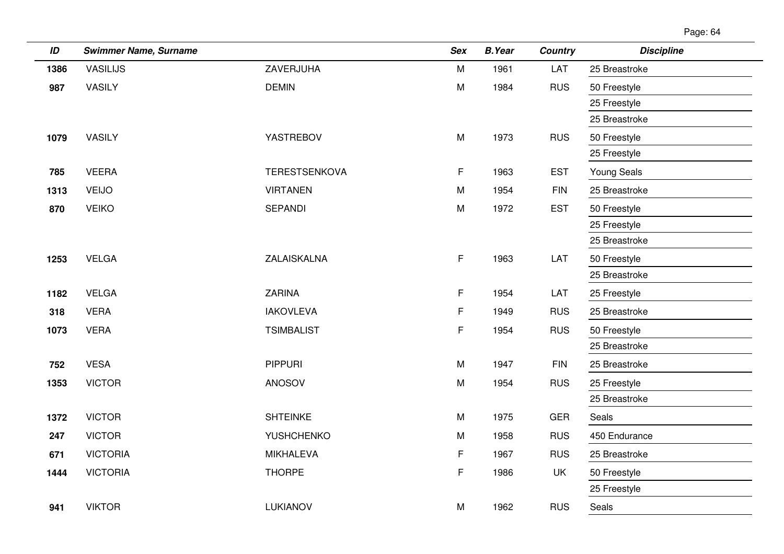| ID   | <b>Swimmer Name, Surname</b> |                      | <b>Sex</b> | <b>B.Year</b> | Country    | <b>Discipline</b>  |
|------|------------------------------|----------------------|------------|---------------|------------|--------------------|
| 1386 | <b>VASILIJS</b>              | ZAVERJUHA            | M          | 1961          | LAT        | 25 Breastroke      |
| 987  | <b>VASILY</b>                | <b>DEMIN</b>         | ${\sf M}$  | 1984          | <b>RUS</b> | 50 Freestyle       |
|      |                              |                      |            |               |            | 25 Freestyle       |
|      |                              |                      |            |               |            | 25 Breastroke      |
| 1079 | <b>VASILY</b>                | YASTREBOV            | ${\sf M}$  | 1973          | <b>RUS</b> | 50 Freestyle       |
|      |                              |                      |            |               |            | 25 Freestyle       |
| 785  | <b>VEERA</b>                 | <b>TERESTSENKOVA</b> | F          | 1963          | <b>EST</b> | <b>Young Seals</b> |
| 1313 | <b>VEIJO</b>                 | <b>VIRTANEN</b>      | M          | 1954          | <b>FIN</b> | 25 Breastroke      |
| 870  | <b>VEIKO</b>                 | <b>SEPANDI</b>       | M          | 1972          | <b>EST</b> | 50 Freestyle       |
|      |                              |                      |            |               |            | 25 Freestyle       |
|      |                              |                      |            |               |            | 25 Breastroke      |
| 1253 | <b>VELGA</b>                 | ZALAISKALNA          | F          | 1963          | LAT        | 50 Freestyle       |
|      |                              |                      |            |               |            | 25 Breastroke      |
| 1182 | <b>VELGA</b>                 | <b>ZARINA</b>        | F          | 1954          | LAT        | 25 Freestyle       |
| 318  | <b>VERA</b>                  | <b>IAKOVLEVA</b>     | F          | 1949          | <b>RUS</b> | 25 Breastroke      |
| 1073 | <b>VERA</b>                  | <b>TSIMBALIST</b>    | F          | 1954          | <b>RUS</b> | 50 Freestyle       |
|      |                              |                      |            |               |            | 25 Breastroke      |
| 752  | <b>VESA</b>                  | <b>PIPPURI</b>       | M          | 1947          | <b>FIN</b> | 25 Breastroke      |
| 1353 | <b>VICTOR</b>                | ANOSOV               | M          | 1954          | <b>RUS</b> | 25 Freestyle       |
|      |                              |                      |            |               |            | 25 Breastroke      |
| 1372 | <b>VICTOR</b>                | <b>SHTEINKE</b>      | M          | 1975          | <b>GER</b> | Seals              |
| 247  | <b>VICTOR</b>                | <b>YUSHCHENKO</b>    | M          | 1958          | <b>RUS</b> | 450 Endurance      |
| 671  | <b>VICTORIA</b>              | <b>MIKHALEVA</b>     | F          | 1967          | <b>RUS</b> | 25 Breastroke      |
| 1444 | <b>VICTORIA</b>              | <b>THORPE</b>        | F          | 1986          | <b>UK</b>  | 50 Freestyle       |
|      |                              |                      |            |               |            | 25 Freestyle       |
| 941  | <b>VIKTOR</b>                | LUKIANOV             | M          | 1962          | <b>RUS</b> | Seals              |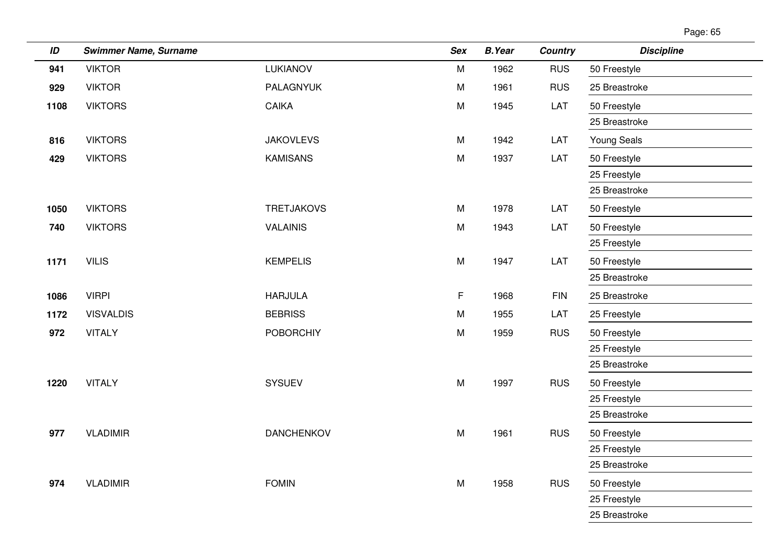| Page: 65 |  |
|----------|--|
|          |  |

| ID   | <b>Swimmer Name, Surname</b> |                   | <b>Sex</b> | <b>B.Year</b> | <b>Country</b> | <b>Discipline</b>             |
|------|------------------------------|-------------------|------------|---------------|----------------|-------------------------------|
| 941  | <b>VIKTOR</b>                | LUKIANOV          | M          | 1962          | <b>RUS</b>     | 50 Freestyle                  |
| 929  | <b>VIKTOR</b>                | PALAGNYUK         | M          | 1961          | <b>RUS</b>     | 25 Breastroke                 |
| 1108 | <b>VIKTORS</b>               | <b>CAIKA</b>      | M          | 1945          | LAT            | 50 Freestyle                  |
|      |                              |                   |            |               |                | 25 Breastroke                 |
| 816  | <b>VIKTORS</b>               | <b>JAKOVLEVS</b>  | M          | 1942          | LAT            | <b>Young Seals</b>            |
| 429  | <b>VIKTORS</b>               | <b>KAMISANS</b>   | M          | 1937          | LAT            | 50 Freestyle                  |
|      |                              |                   |            |               |                | 25 Freestyle                  |
|      |                              |                   |            |               |                | 25 Breastroke                 |
| 1050 | <b>VIKTORS</b>               | <b>TRETJAKOVS</b> | M          | 1978          | LAT            | 50 Freestyle                  |
| 740  | <b>VIKTORS</b>               | <b>VALAINIS</b>   | M          | 1943          | LAT            | 50 Freestyle                  |
|      |                              |                   |            |               |                | 25 Freestyle                  |
| 1171 | <b>VILIS</b>                 | <b>KEMPELIS</b>   | M          | 1947          | LAT            | 50 Freestyle                  |
|      |                              |                   |            |               |                | 25 Breastroke                 |
| 1086 | <b>VIRPI</b>                 | <b>HARJULA</b>    | F          | 1968          | <b>FIN</b>     | 25 Breastroke                 |
| 1172 | <b>VISVALDIS</b>             | <b>BEBRISS</b>    | M          | 1955          | LAT            | 25 Freestyle                  |
| 972  | <b>VITALY</b>                | <b>POBORCHIY</b>  | M          | 1959          | <b>RUS</b>     | 50 Freestyle                  |
|      |                              |                   |            |               |                | 25 Freestyle                  |
|      |                              |                   |            |               |                | 25 Breastroke                 |
| 1220 | <b>VITALY</b>                | SYSUEV            | M          | 1997          | <b>RUS</b>     | 50 Freestyle                  |
|      |                              |                   |            |               |                | 25 Freestyle                  |
|      |                              |                   |            |               |                | 25 Breastroke                 |
| 977  | <b>VLADIMIR</b>              | <b>DANCHENKOV</b> | M          | 1961          | <b>RUS</b>     | 50 Freestyle                  |
|      |                              |                   |            |               |                | 25 Freestyle                  |
|      |                              |                   |            |               |                | 25 Breastroke                 |
| 974  | <b>VLADIMIR</b>              | <b>FOMIN</b>      | M          | 1958          | <b>RUS</b>     | 50 Freestyle                  |
|      |                              |                   |            |               |                | 25 Freestyle<br>25 Breastroke |
|      |                              |                   |            |               |                |                               |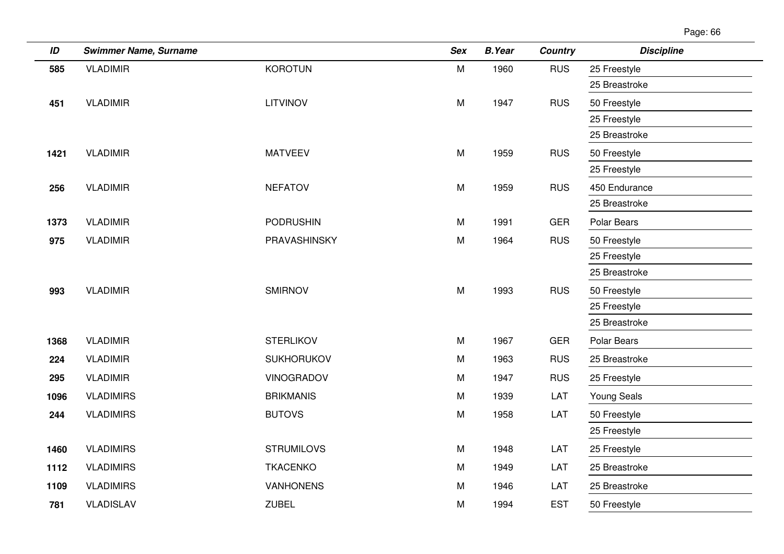| ID   | <b>Swimmer Name, Surname</b> |                   | <b>Sex</b> | <b>B.Year</b> | <b>Country</b> | <b>Discipline</b>  |
|------|------------------------------|-------------------|------------|---------------|----------------|--------------------|
| 585  | <b>VLADIMIR</b>              | <b>KOROTUN</b>    | M          | 1960          | <b>RUS</b>     | 25 Freestyle       |
|      |                              |                   |            |               |                | 25 Breastroke      |
| 451  | <b>VLADIMIR</b>              | <b>LITVINOV</b>   | ${\sf M}$  | 1947          | <b>RUS</b>     | 50 Freestyle       |
|      |                              |                   |            |               |                | 25 Freestyle       |
|      |                              |                   |            |               |                | 25 Breastroke      |
| 1421 | <b>VLADIMIR</b>              | <b>MATVEEV</b>    | M          | 1959          | <b>RUS</b>     | 50 Freestyle       |
|      |                              |                   |            |               |                | 25 Freestyle       |
| 256  | <b>VLADIMIR</b>              | <b>NEFATOV</b>    | ${\sf M}$  | 1959          | <b>RUS</b>     | 450 Endurance      |
|      |                              |                   |            |               |                | 25 Breastroke      |
| 1373 | <b>VLADIMIR</b>              | <b>PODRUSHIN</b>  | M          | 1991          | <b>GER</b>     | Polar Bears        |
| 975  | <b>VLADIMIR</b>              | PRAVASHINSKY      | ${\sf M}$  | 1964          | <b>RUS</b>     | 50 Freestyle       |
|      |                              |                   |            |               |                | 25 Freestyle       |
|      |                              |                   |            |               |                | 25 Breastroke      |
| 993  | <b>VLADIMIR</b>              | <b>SMIRNOV</b>    | M          | 1993          | <b>RUS</b>     | 50 Freestyle       |
|      |                              |                   |            |               |                | 25 Freestyle       |
|      |                              |                   |            |               |                | 25 Breastroke      |
| 1368 | <b>VLADIMIR</b>              | <b>STERLIKOV</b>  | M          | 1967          | <b>GER</b>     | Polar Bears        |
| 224  | <b>VLADIMIR</b>              | <b>SUKHORUKOV</b> | M          | 1963          | <b>RUS</b>     | 25 Breastroke      |
| 295  | <b>VLADIMIR</b>              | <b>VINOGRADOV</b> | M          | 1947          | <b>RUS</b>     | 25 Freestyle       |
| 1096 | <b>VLADIMIRS</b>             | <b>BRIKMANIS</b>  | M          | 1939          | LAT            | <b>Young Seals</b> |
| 244  | <b>VLADIMIRS</b>             | <b>BUTOVS</b>     | ${\sf M}$  | 1958          | LAT            | 50 Freestyle       |
|      |                              |                   |            |               |                | 25 Freestyle       |
| 1460 | <b>VLADIMIRS</b>             | <b>STRUMILOVS</b> | M          | 1948          | LAT            | 25 Freestyle       |
| 1112 | <b>VLADIMIRS</b>             | <b>TKACENKO</b>   | M          | 1949          | LAT            | 25 Breastroke      |
| 1109 | <b>VLADIMIRS</b>             | <b>VANHONENS</b>  | M          | 1946          | LAT            | 25 Breastroke      |
| 781  | <b>VLADISLAV</b>             | <b>ZUBEL</b>      | M          | 1994          | <b>EST</b>     | 50 Freestyle       |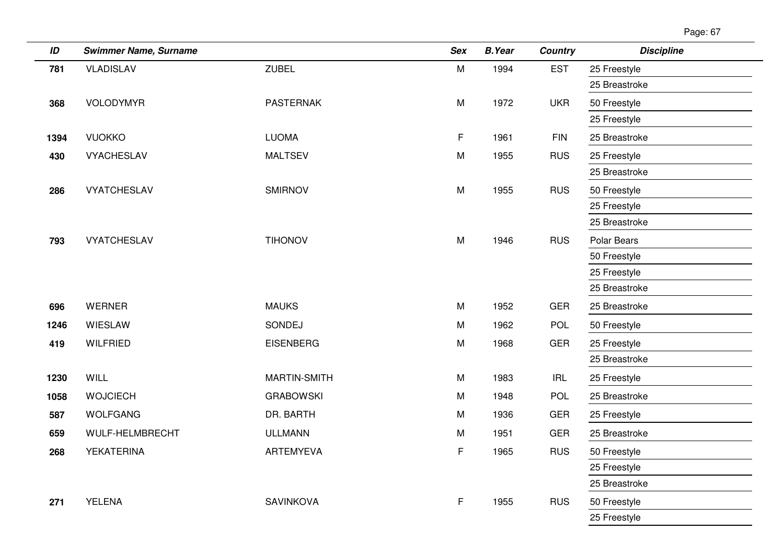| ID   | <b>Swimmer Name, Surname</b> |                     | <b>Sex</b> | <b>B.Year</b> | <b>Country</b> | <b>Discipline</b> |
|------|------------------------------|---------------------|------------|---------------|----------------|-------------------|
| 781  | <b>VLADISLAV</b>             | <b>ZUBEL</b>        | M          | 1994          | <b>EST</b>     | 25 Freestyle      |
|      |                              |                     |            |               |                | 25 Breastroke     |
| 368  | VOLODYMYR                    | <b>PASTERNAK</b>    | M          | 1972          | <b>UKR</b>     | 50 Freestyle      |
|      |                              |                     |            |               |                | 25 Freestyle      |
| 1394 | <b>VUOKKO</b>                | <b>LUOMA</b>        | F.         | 1961          | <b>FIN</b>     | 25 Breastroke     |
| 430  | <b>VYACHESLAV</b>            | <b>MALTSEV</b>      | M          | 1955          | <b>RUS</b>     | 25 Freestyle      |
|      |                              |                     |            |               |                | 25 Breastroke     |
| 286  | <b>VYATCHESLAV</b>           | <b>SMIRNOV</b>      | M          | 1955          | <b>RUS</b>     | 50 Freestyle      |
|      |                              |                     |            |               |                | 25 Freestyle      |
|      |                              |                     |            |               |                | 25 Breastroke     |
| 793  | <b>VYATCHESLAV</b>           | <b>TIHONOV</b>      | M          | 1946          | <b>RUS</b>     | Polar Bears       |
|      |                              |                     |            |               |                | 50 Freestyle      |
|      |                              |                     |            |               |                | 25 Freestyle      |
|      |                              |                     |            |               |                | 25 Breastroke     |
| 696  | <b>WERNER</b>                | <b>MAUKS</b>        | M          | 1952          | <b>GER</b>     | 25 Breastroke     |
| 1246 | WIESLAW                      | SONDEJ              | M          | 1962          | POL            | 50 Freestyle      |
| 419  | <b>WILFRIED</b>              | <b>EISENBERG</b>    | M          | 1968          | <b>GER</b>     | 25 Freestyle      |
|      |                              |                     |            |               |                | 25 Breastroke     |
| 1230 | WILL                         | <b>MARTIN-SMITH</b> | M          | 1983          | <b>IRL</b>     | 25 Freestyle      |
| 1058 | <b>WOJCIECH</b>              | <b>GRABOWSKI</b>    | M          | 1948          | <b>POL</b>     | 25 Breastroke     |
| 587  | <b>WOLFGANG</b>              | DR. BARTH           | M          | 1936          | <b>GER</b>     | 25 Freestyle      |
| 659  | WULF-HELMBRECHT              | <b>ULLMANN</b>      | M          | 1951          | <b>GER</b>     | 25 Breastroke     |
| 268  | YEKATERINA                   | ARTEMYEVA           | F          | 1965          | <b>RUS</b>     | 50 Freestyle      |
|      |                              |                     |            |               |                | 25 Freestyle      |
|      |                              |                     |            |               |                | 25 Breastroke     |
| 271  | <b>YELENA</b>                | SAVINKOVA           | F.         | 1955          | <b>RUS</b>     | 50 Freestyle      |
|      |                              |                     |            |               |                | 25 Freestyle      |